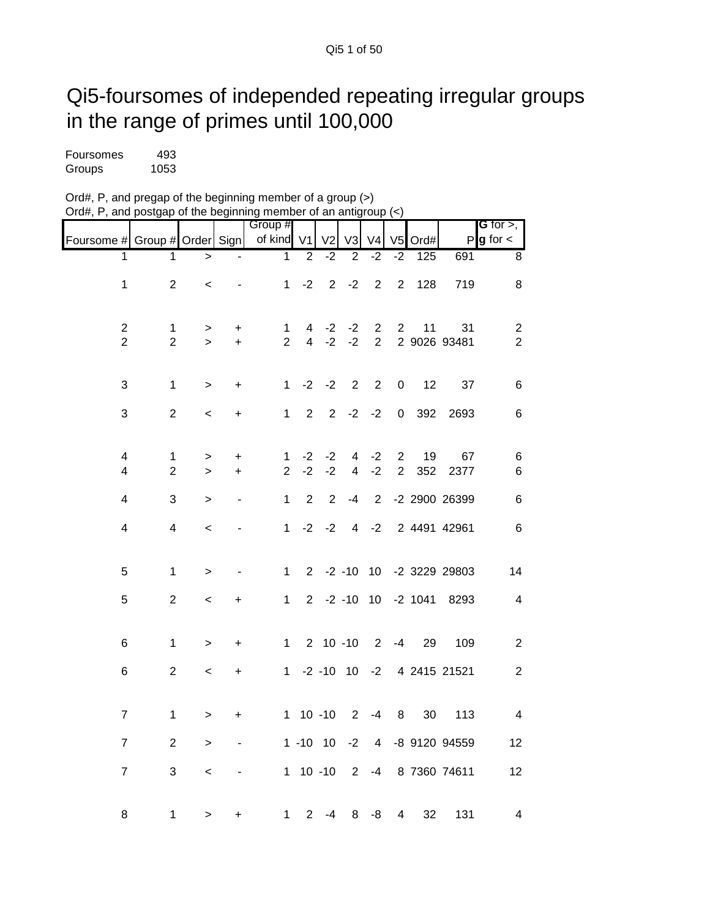## Qi5-foursomes of independed repeating irregular groups in the range of primes until 100,000

| Foursomes | 493  |
|-----------|------|
| Groups    | 1053 |

| Ord#, P, and pregap of the beginning member of a group (>)                                         |  |
|----------------------------------------------------------------------------------------------------|--|
| Ord#, P, and postgap of the beginning member of an antigroup $\left\langle \epsilon \right\rangle$ |  |

|                                  |                                |             |                          | Group #                       |                       |                        |                |                               |                |         |                             | G for $>$ ,                      |
|----------------------------------|--------------------------------|-------------|--------------------------|-------------------------------|-----------------------|------------------------|----------------|-------------------------------|----------------|---------|-----------------------------|----------------------------------|
| Foursome # Group # Order Sign    |                                |             |                          | of kind V1                    |                       | V <sub>2</sub>         | V <sub>3</sub> | V <sub>4</sub>                | V <sub>5</sub> | Ord#    |                             | $P g$ for $\lt$                  |
| 1                                | 1                              | $\geq$      |                          | $\mathbf{1}$                  | $\overline{2}$        | $-2$                   | $\overline{2}$ | $-2$                          | $-2$           | 125     | 691                         | 8                                |
| 1                                | $\overline{2}$                 | $\,<\,$     | $\overline{\phantom{a}}$ |                               | $1 -2 2 -2$           |                        |                | $\overline{2}$                | $2^{\circ}$    | 128     | 719                         | 8                                |
| $\overline{2}$<br>$\overline{2}$ | $\mathbf{1}$<br>$\overline{2}$ | ><br>$\geq$ | $\ddot{}$<br>$\ddot{}$   | $\mathbf 1$<br>2 <sup>1</sup> |                       | $4 -2 -2$<br>$4 -2 -2$ |                | $2^{\circ}$<br>2 <sup>1</sup> | $\overline{2}$ | 11      | 31<br>2 9026 93481          | $\overline{c}$<br>$\overline{2}$ |
|                                  |                                |             |                          |                               |                       |                        |                |                               |                |         |                             |                                  |
| 3                                | $\mathbf{1}$                   | >           | $\ddot{}$                |                               | $1 -2 -2 2 2$         |                        |                |                               |                | 0<br>12 | 37                          | 6                                |
| 3                                | $\overline{2}$                 | $\,<\,$     | +                        |                               | $1 \t2 \t2 \t-2 \t-2$ |                        |                |                               |                | 0 392   | 2693                        | 6                                |
| 4                                | 1                              |             | $\ddot{}$                | 1                             |                       | $-2 -2$                | 4              | $-2$                          | $\mathbf{2}$   | 19      | 67                          | 6                                |
| 4                                | $\overline{2}$                 | ><br>$\geq$ | $+$                      | 2 <sup>1</sup>                |                       | $-2 -2$                | $\overline{4}$ | $-2$                          |                | 2 352   | 2377                        | $\,6$                            |
| 4                                | 3                              | $\, > \,$   | $\blacksquare$           | 1                             |                       | $2 \quad 2$            |                |                               |                |         | -4 2 -2 2900 26399          | 6                                |
| 4                                | $\overline{4}$                 | $\,<\,$     | $\overline{\phantom{a}}$ |                               |                       |                        |                |                               |                |         | 1 -2 -2 4 -2 2 4491 42961   | 6                                |
| 5                                | $\mathbf{1}$                   | $\, > \,$   | $\overline{\phantom{a}}$ | 1                             |                       |                        |                |                               |                |         | 2 -2 -10 10 -2 3229 29803   | 14                               |
| 5                                | $\overline{2}$                 | $\,<\,$     | $\ddot{}$                | 1                             |                       |                        |                |                               |                |         | 2 -2 -10 10 -2 1041 8293    | $\overline{4}$                   |
| 6                                | $\mathbf{1}$                   | $\, > \,$   | $\ddot{}$                | $1 \quad$                     |                       |                        |                | 2 10 -10 2 -4                 |                | 29      | 109                         | $\overline{2}$                   |
| 6                                | $\overline{2}$                 | $\,<\,$     | +                        |                               |                       |                        |                |                               |                |         | 1 -2 -10 10 -2 4 2415 21521 | $\overline{2}$                   |
|                                  |                                |             |                          |                               |                       |                        |                |                               |                |         |                             |                                  |
| $\overline{7}$                   | 1                              | >           | +                        |                               | $1 10 - 10 2$         |                        |                | -4                            | 8              | 30      | 113                         | 4                                |
| $\overline{7}$                   | $\overline{2}$                 | $\geq$      |                          |                               |                       |                        |                |                               |                |         | 1 -10 10 -2 4 -8 9120 94559 | 12                               |
| $\overline{7}$                   | $\mathfrak{S}$                 | $\,<$       | $\overline{\phantom{a}}$ |                               |                       |                        |                |                               |                |         | 1 10 -10 2 -4 8 7360 74611  | 12                               |
| 8                                | $\mathbf 1$                    | $\geq$      | +                        |                               | $1 \t2 \t-4 \t8 \t-8$ |                        |                |                               | $\overline{4}$ | 32      | 131                         | $\overline{4}$                   |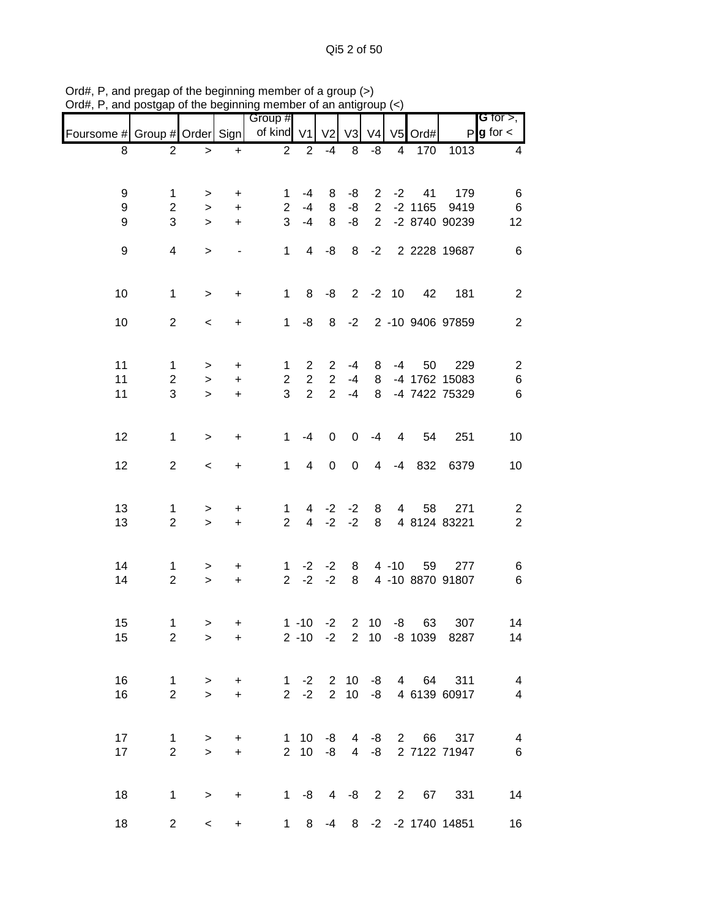Qi5 2 of 50

| $D$ and $D$ and $D$ and $D$ and $D$ and $D$ are $D$ and $D$ and $D$ and $D$ and $D$ and $D$ and $D$ |                         |                        |                              |                              |                                  |                                  |              |                |                |                           |                                |                                              |
|-----------------------------------------------------------------------------------------------------|-------------------------|------------------------|------------------------------|------------------------------|----------------------------------|----------------------------------|--------------|----------------|----------------|---------------------------|--------------------------------|----------------------------------------------|
| Foursome # Group # Order Sign                                                                       |                         |                        |                              | Group #<br>of kind V1        |                                  | V <sub>2</sub>                   | V3           | V <sub>4</sub> |                | V5 Ord#                   |                                | <b>G</b> for $>$ ,<br>$P$ <b>g</b> for $\lt$ |
| 8                                                                                                   | $\overline{2}$          | $\geq$                 | $\ddot{}$                    | $\overline{2}$               | $\overline{2}$                   | $-4$                             | 8            | -8             | 4              | 170                       | 1013                           | 4                                            |
|                                                                                                     |                         |                        |                              |                              |                                  |                                  |              |                |                |                           |                                |                                              |
| 9<br>9                                                                                              | 1<br>$\overline{c}$     | $\, > \,$              | $\ddot{}$<br>$\ddot{}$       | 1.<br>$\overline{2}$         | -4<br>-4                         | 8<br>8                           | -8<br>-8     | $2^{\circ}$    | $2 -2$         | 41<br>$-2$ 1165           | 179<br>9419                    | 6<br>6                                       |
| 9                                                                                                   | 3                       | $\mathbf{I}$<br>$\,$   | $\ddot{}$                    | 3                            | $-4$                             | 8                                | -8           | $2^{\circ}$    |                |                           | -2 8740 90239                  | 12                                           |
|                                                                                                     |                         |                        |                              |                              |                                  |                                  |              |                |                |                           |                                |                                              |
| 9                                                                                                   | $\overline{\mathbf{4}}$ | $\mathbf{I}$           |                              | $\mathbf{1}$                 |                                  | $4 - 8$                          |              |                |                |                           | 8 -2 2 2 2 2 2 19687           | 6                                            |
|                                                                                                     |                         |                        |                              |                              |                                  |                                  |              |                |                |                           |                                |                                              |
| 10                                                                                                  | $\mathbf{1}$            | $\, >$                 | $\ddot{}$                    | $\mathbf{1}$                 |                                  |                                  |              |                | 8 -8 2 -2 10   | 42                        | 181                            | $\overline{2}$                               |
| 10                                                                                                  | $\overline{2}$          |                        |                              |                              |                                  |                                  |              |                |                |                           |                                |                                              |
|                                                                                                     |                         | $\,<\,$                | $\ddot{}$                    | $\mathbf{1}$                 |                                  |                                  |              |                |                |                           | -8 8 -2 2 -10 9406 97859       | $\mathbf{2}$                                 |
|                                                                                                     |                         |                        |                              |                              |                                  |                                  |              |                |                |                           |                                |                                              |
| 11                                                                                                  | 1                       | >                      | +                            | 1                            | $\overline{2}$                   | $\overline{2}$                   | -4           | 8              | -4             | 50                        | 229                            | $\overline{c}$                               |
| 11<br>11                                                                                            | $\overline{c}$<br>3     | $\mathbf{I}$<br>$\geq$ | $\ddot{}$<br>$\ddot{}$       | $\overline{2}$<br>3          | $\overline{2}$<br>$\overline{2}$ | $\overline{2}$<br>$\overline{2}$ | $-4$<br>$-4$ | 8<br>8         |                |                           | -4 1762 15083<br>-4 7422 75329 | $\,6$<br>$\,6$                               |
|                                                                                                     |                         |                        |                              |                              |                                  |                                  |              |                |                |                           |                                |                                              |
|                                                                                                     |                         |                        |                              |                              |                                  |                                  |              |                |                |                           |                                |                                              |
| 12                                                                                                  | $\mathbf{1}$            | $\, > \,$              | $\ddot{}$                    | $\mathbf{1}$                 | -4                               | $\mathbf 0$                      | $\mathsf{O}$ | $-4$           | 4              | 54                        | 251                            | 10                                           |
| 12                                                                                                  | $\overline{2}$          | $\,<\,$                | $\ddot{}$                    | $\mathbf{1}$                 | $\overline{4}$                   | $\mathbf 0$                      | $\mathbf 0$  | 4 <sup>1</sup> | $-4$           | 832                       | 6379                           | 10                                           |
|                                                                                                     |                         |                        |                              |                              |                                  |                                  |              |                |                |                           |                                |                                              |
| 13                                                                                                  | 1                       | >                      | $\ddot{}$                    | $\mathbf 1$                  |                                  | $4 -2$                           | $-2$         | 8              | $\overline{4}$ | 58                        | 271                            | $\overline{c}$                               |
| 13                                                                                                  | $\overline{2}$          | $\geq$                 | $+$                          | 2 <sup>1</sup>               |                                  | $4 - 2$                          | $-2$         | 8              |                |                           | 4 8124 83221                   | $\sqrt{2}$                                   |
|                                                                                                     |                         |                        |                              |                              |                                  |                                  |              |                |                |                           |                                |                                              |
| 14                                                                                                  | 1                       | >                      | $\ddot{}$                    | $\mathbf 1$                  |                                  | $-2 -2$                          | 8            |                | $4 - 10$       | 59                        | 277                            | 6                                            |
| 14                                                                                                  | $\overline{2}$          | $\geq$                 | $+$                          |                              | $2 -2$                           | $-2$                             | 8            |                |                |                           | 4 -10 8870 91807               | 6                                            |
|                                                                                                     |                         |                        |                              |                              |                                  |                                  |              |                |                |                           |                                |                                              |
| 15                                                                                                  | 1.                      | $>$ $\geq$             | $+$                          |                              |                                  |                                  |              |                |                | $1 - 10 - 2$ 2 10 $-8$ 63 | 307                            | 14                                           |
| 15                                                                                                  | $\overline{2}$          | $\geq$                 |                              | + 2 -10 -2 2 10 -8 1039 8287 |                                  |                                  |              |                |                |                           |                                | 14                                           |
|                                                                                                     |                         |                        |                              |                              |                                  |                                  |              |                |                |                           |                                |                                              |
| 16                                                                                                  | $\mathbf{1}$            | $\geq$                 | $\ddot{}$                    |                              |                                  |                                  |              |                |                |                           | 1 -2 2 10 -8 4 64 311          | $\overline{4}$                               |
| 16                                                                                                  | $\overline{2}$          | $\geq$                 | $\pm$                        |                              | $2 -2 2$                         |                                  |              |                |                |                           | 10 -8 4 6139 60917             | $\overline{4}$                               |
|                                                                                                     |                         |                        |                              |                              |                                  |                                  |              |                |                |                           |                                |                                              |
| 17                                                                                                  | $\mathbf{1}$            | $\geq$                 | $\ddot{}$                    |                              |                                  |                                  |              |                |                |                           | 1 10 -8 4 -8 2 66 317          | $\overline{4}$                               |
| 17                                                                                                  | $\overline{2}$          | $\geq$                 | $\pm$                        |                              |                                  |                                  |              |                |                |                           | 2 10 -8 4 -8 2 7122 71947      | 6                                            |
|                                                                                                     |                         |                        |                              |                              |                                  |                                  |              |                |                |                           |                                |                                              |
| 18                                                                                                  | $\mathbf{1}$            | $\, >$                 | $+$                          |                              |                                  |                                  |              |                |                |                           | 1 -8 4 -8 2 2 67 331           | 14                                           |
| 18                                                                                                  | $\overline{2}$          |                        | $\ddot{}$<br>$\leq$ $\qquad$ |                              |                                  |                                  |              |                |                |                           | 1 8 -4 8 -2 -2 1740 14851      | 16                                           |
|                                                                                                     |                         |                        |                              |                              |                                  |                                  |              |                |                |                           |                                |                                              |

Ord#, P, and pregap of the beginning member of a group (>) Ord#, P, and postgap of the beginning member of an antigroup (<)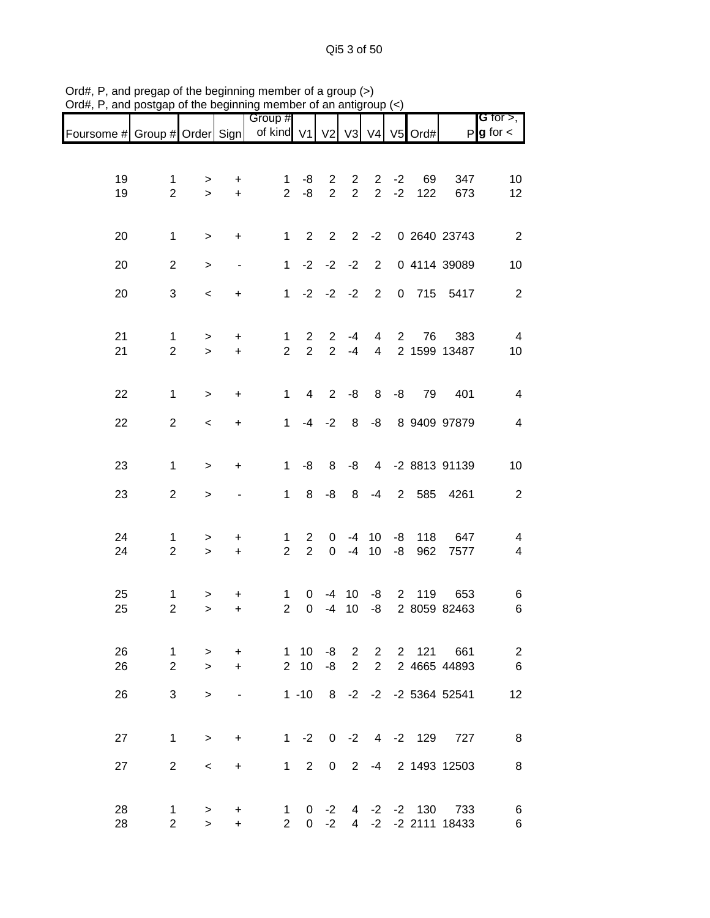Qi5 3 of 50

|                               |                |                          |                          | Group #                     |                |                     |                |                |                |       |                             | <b>G</b> for $>$ , |
|-------------------------------|----------------|--------------------------|--------------------------|-----------------------------|----------------|---------------------|----------------|----------------|----------------|-------|-----------------------------|--------------------|
| Foursome # Group # Order Sign |                |                          |                          | of kind V1 V2 V3 V4 V5 Ord# |                |                     |                |                |                |       |                             | $P g$ for $\lt$    |
|                               |                |                          |                          |                             |                |                     |                |                |                |       |                             |                    |
| 19                            | 1              | $\geq$                   | +                        | $\mathbf 1$                 | -8             | $\overline{2}$      | $\overline{2}$ | $\overline{2}$ | $-2$           | 69    | 347                         | 10                 |
| 19                            | $\overline{2}$ | $\geq$                   | $\ddot{}$                | $\overline{2}$              | -8             | $\overline{2}$      | $\overline{2}$ | $\overline{2}$ | $-2$           | 122   | 673                         | 12                 |
|                               |                |                          |                          |                             |                |                     |                |                |                |       |                             |                    |
| 20                            | $\mathbf{1}$   | $\, >$                   | +                        | $\mathbf{1}$                | 2              | $\overline{2}$      | $2^{\circ}$    | $-2$           |                |       | 0 2640 23743                | 2                  |
|                               |                |                          |                          |                             |                |                     |                |                |                |       |                             |                    |
| 20                            | $\overline{2}$ | $\, > \,$                | $\overline{\phantom{a}}$ | $\mathbf{1}$                |                | $-2 -2$             | $-2$           | $2^{\circ}$    |                |       | 0 4114 39089                | 10                 |
| 20                            | 3              | $\,<$                    | +                        |                             |                | $1 -2 -2 -2$        |                | 2              |                |       | 0 715 5417                  | $\overline{2}$     |
|                               |                |                          |                          |                             |                |                     |                |                |                |       |                             |                    |
| 21                            | 1              | >                        | $\ddot{}$                | 1                           | 2              | $\overline{2}$      | -4             | 4              | $\overline{2}$ | 76    | 383                         | $\overline{4}$     |
| 21                            | $\overline{2}$ | $\geq$                   | $\ddot{}$                | $\overline{2}$              | $\overline{2}$ | $\overline{2}$      | $-4$           | $\overline{4}$ |                |       | 2 1599 13487                | 10                 |
|                               |                |                          |                          |                             |                |                     |                |                |                |       |                             |                    |
| 22                            | $\mathbf{1}$   | $\, >$                   | $\ddot{}$                | $\mathbf{1}$                | $\overline{4}$ | $\overline{2}$      | -8             | 8              | -8             | 79    | 401                         | $\overline{4}$     |
|                               |                |                          |                          |                             |                |                     |                |                |                |       |                             |                    |
| 22                            | $\overline{2}$ | $\overline{\phantom{a}}$ | $\ddot{}$                | $\mathbf{1}$                |                | $-4 -2$             | 8              | $-8$           |                |       | 8 9409 97879                | -4                 |
|                               |                |                          |                          |                             |                |                     |                |                |                |       |                             |                    |
| 23                            | $\mathbf{1}$   | $\geq$                   | $\ddot{}$                | $\mathbf{1}$                | -8             | 8                   | -8             |                |                |       | 4 -2 8813 91139             | 10                 |
| 23                            | $\overline{2}$ | $\, > \,$                |                          | $\mathbf{1}$                |                | $8 - 8$             | 8              | $-4$           |                | 2 585 | 4261                        | $\overline{2}$     |
|                               |                |                          |                          |                             |                |                     |                |                |                |       |                             |                    |
| 24                            | 1              | >                        | +                        | $\mathbf{1}$                | $\overline{2}$ | 0                   | -4             | 10             | -8             | 118   | 647                         | 4                  |
| 24                            | $\overline{c}$ | $\geq$                   | $\ddot{}$                | $\overline{2}$              | $\overline{2}$ | $\mathbf 0$         | $-4$           | 10             | -8             | 962   | 7577                        | $\overline{4}$     |
|                               |                |                          |                          |                             |                |                     |                |                |                |       |                             |                    |
| 25                            | 1              | >                        | +                        | 1                           | 0              | $-4$                | 10             | -8             | $\overline{2}$ | 119   | 653                         | 6                  |
| 25                            | $\overline{2}$ | $\, > \,$                | $\ddot{}$                | $\overline{2}$              | 0              | $-4$                | 10             | -8             |                |       | 2 8059 82463                | 6                  |
|                               |                |                          |                          |                             |                |                     |                |                |                |       |                             |                    |
| 26                            | $\mathbf{1}$   | $\geq$                   | $\ddot{}$                |                             | $1 \quad 10$   | -8                  | $2^{\circ}$    | $\overline{2}$ | $2^{\circ}$    |       | 121 661                     | 2                  |
| 26                            | $\overline{2}$ | $\geq$                   | $+$                      |                             |                | $2 \t10 \t -8$      | $\overline{2}$ | $2^{\circ}$    |                |       | 2 4665 44893                | 6                  |
| 26                            | 3              | $\,>$                    |                          |                             |                |                     |                |                |                |       | 1 -10 8 -2 -2 -2 5364 52541 | 12                 |
|                               |                |                          |                          |                             |                |                     |                |                |                |       |                             |                    |
|                               |                |                          |                          |                             |                |                     |                |                |                |       |                             |                    |
| 27                            | $\mathbf{1}$   | $\geq$                   | $\ddot{}$                |                             |                |                     |                |                |                |       | 1 -2 0 -2 4 -2 129 727      | - 8                |
| 27                            | $\overline{2}$ | $\prec$                  | $\ddot{}$                |                             |                | $1 \quad 2 \quad 0$ | $\overline{2}$ |                |                |       | -4 2 1493 12503             | 8                  |
|                               |                |                          |                          |                             |                |                     |                |                |                |       |                             |                    |
| 28                            | 1              | $\, > \,$                | $\ddot{}$                | $\mathbf{1}$                |                | $0 -2$              |                |                |                |       | 4 -2 -2 130 733             | 6                  |
| 28                            | $\overline{2}$ | $\geq$                   | $\ddot{}$                | $\mathbf{2}$                |                | $0 -2$              |                |                |                |       | 4 -2 -2 2111 18433          | 6                  |

Ord#, P, and pregap of the beginning member of a group (>) Ord#, P, and postgap of the beginning member of an antigroup (<)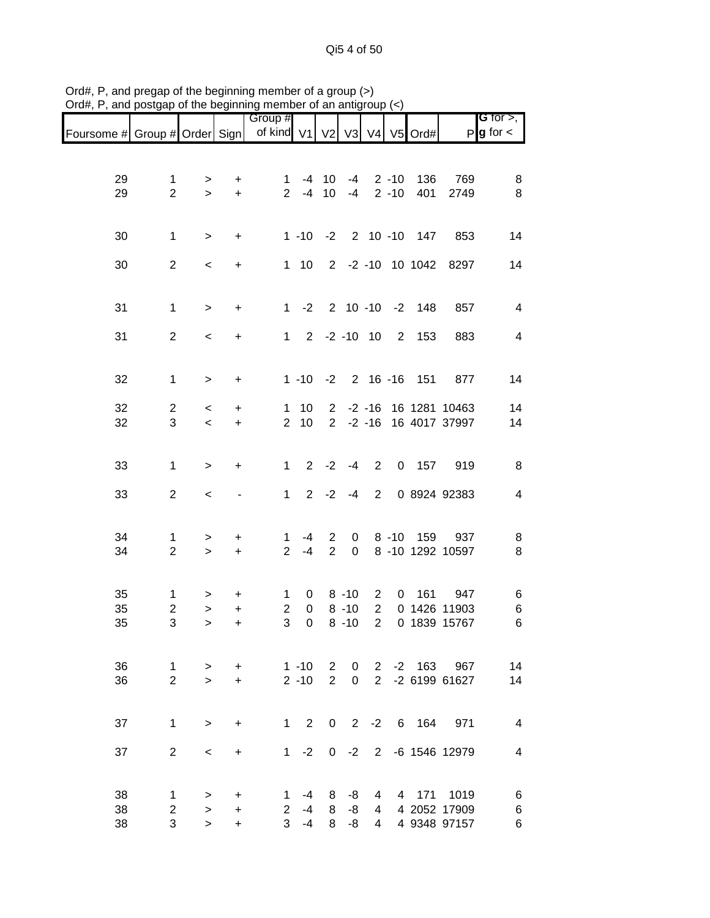Qi5 4 of 50

| Foursome # Group # Order Sign |                     |                  |                        | Group #<br>of kind V1 V2 V3 V4 V5 Ord# |                            |                                         |                      |                                  |                      |                       |                              | <b>G</b> for $>$ , $\vert$<br>$P g$ for $\lt$ |
|-------------------------------|---------------------|------------------|------------------------|----------------------------------------|----------------------------|-----------------------------------------|----------------------|----------------------------------|----------------------|-----------------------|------------------------------|-----------------------------------------------|
|                               |                     |                  |                        |                                        |                            |                                         |                      |                                  |                      |                       |                              |                                               |
| 29<br>29                      | 1<br>$\overline{2}$ | ><br>$\geq$      | +<br>$\ddot{}$         | $1 \quad$                              | $2 - 4$                    | $-4$ 10<br>10                           | $-4$<br>-4           |                                  | $2 - 10$<br>$2 - 10$ | 136<br>401            | 769<br>2749                  | 8<br>8                                        |
| 30                            | $\mathbf{1}$        | >                | +                      |                                        |                            |                                         |                      |                                  |                      | 1 -10 -2 2 10 -10 147 | 853                          | 14                                            |
| 30                            | $\overline{2}$      | $\,<\,$          | +                      |                                        |                            |                                         |                      |                                  |                      | 1 10 2 -2 -10 10 1042 | 8297                         | 14                                            |
| 31                            | $\mathbf{1}$        | $\, > \,$        | $\ddot{}$              |                                        |                            | $1 -2 2 10 -10 -2$                      |                      |                                  |                      | 148                   | 857                          | 4                                             |
| 31                            | $\overline{2}$      | $\,<\,$          | +                      |                                        |                            | $1 \quad 2 \quad -2 \quad -10 \quad 10$ |                      |                                  | $\overline{2}$       | 153                   | 883                          | 4                                             |
| 32                            | $\mathbf{1}$        | $\, > \,$        | $\ddot{}$              |                                        |                            | $1 - 10 - 2$ 2 16 -16                   |                      |                                  |                      | 151                   | 877                          | 14                                            |
| 32                            | $\overline{c}$      | $\,<\,$          | $\ddot{}$              | $\mathbf 1$                            | 10                         | $\overline{2}$                          |                      | $-2 - 16$                        |                      |                       | 16 1281 10463                | 14                                            |
| 32                            | 3                   | $\,<$            | $\ddot{}$              | $\overline{2}$                         | 10                         | $2^{\circ}$                             |                      |                                  |                      |                       | -2 -16 16 4017 37997         | 14                                            |
| 33                            | $\mathbf{1}$        | $\, >$           | $\ddot{}$              | $\mathbf{1}$                           |                            | $2 -2$                                  | $-4$                 | 2                                |                      | $0$ 157               | 919                          | 8                                             |
| 33                            | $\overline{2}$      | $\,<\,$          |                        | $\mathbf{1}$                           |                            | $2 -2$                                  | $-4$                 | $2^{\circ}$                      |                      |                       | 0 8924 92383                 | 4                                             |
| 34<br>34                      | 1<br>$\overline{2}$ | ><br>$\geq$      | +<br>$\ddot{}$         | $\mathbf 1$<br>$\overline{2}$          | -4<br>$-4$                 | 2<br>$\overline{2}$                     | 0<br>0               |                                  | $8 - 10$             | 159                   | 937<br>8 -10 1292 10597      | 8<br>8                                        |
| 35                            | 1                   | >                | +                      | 1                                      | 0                          |                                         | $8 - 10$             | $\overline{\mathbf{c}}$          | 0                    | 161                   | 947                          | 6                                             |
| 35<br>35                      | $\overline{c}$<br>3 | ><br>$\geq$      | $\ddot{}$<br>$\ddot{}$ | $\overline{2}$<br>3                    | $\mathbf 0$<br>$\mathbf 0$ |                                         | $8 - 10$<br>$8 - 10$ | $\overline{2}$<br>$\overline{2}$ |                      |                       | 0 1426 11903<br>0 1839 15767 | 6<br>6                                        |
| 36                            | $\mathbf{1}$        | $\geq$           | $+$                    |                                        |                            | $1 - 10$ 2                              | $\mathbf 0$          |                                  |                      |                       | 2 -2 163 967                 | 14                                            |
| 36                            | $\overline{2}$      | $\geq$           | $+$                    |                                        | $2 - 10$                   | $\overline{2}$                          | $\mathbf 0$          |                                  |                      |                       | 2 -2 6199 61627              | 14                                            |
| 37                            | $\mathbf{1}$        | $\geq$           | $\ddot{}$              | $1 \quad$                              |                            |                                         |                      |                                  |                      |                       | 2 0 2 -2 6 164 971           | $\overline{4}$                                |
| 37                            | $\overline{2}$      | $\,<\,$          | $\ddot{}$              |                                        | $1 -2$                     |                                         | $0 -2$               |                                  |                      |                       | 2 -6 1546 12979              | 4                                             |
| 38                            | 1                   | $\, > \,$        | $\ddot{}$              | $\mathbf{1}$                           | $-4$                       | 8                                       | -8                   | 4                                |                      | 4 171                 | 1019                         | 6                                             |
| 38<br>38                      | $\overline{2}$<br>3 | $\geq$<br>$\geq$ | +<br>+                 | $2^{\circ}$<br>3 <sup>1</sup>          | -4<br>$-4$                 | 8<br>8                                  | -8<br>-8             | 4<br>4                           |                      |                       | 4 2052 17909<br>4 9348 97157 | 6<br>6                                        |

Ord#, P, and pregap of the beginning member of a group (>) Ord#, P, and postgap of the beginning member of an antigroup (<)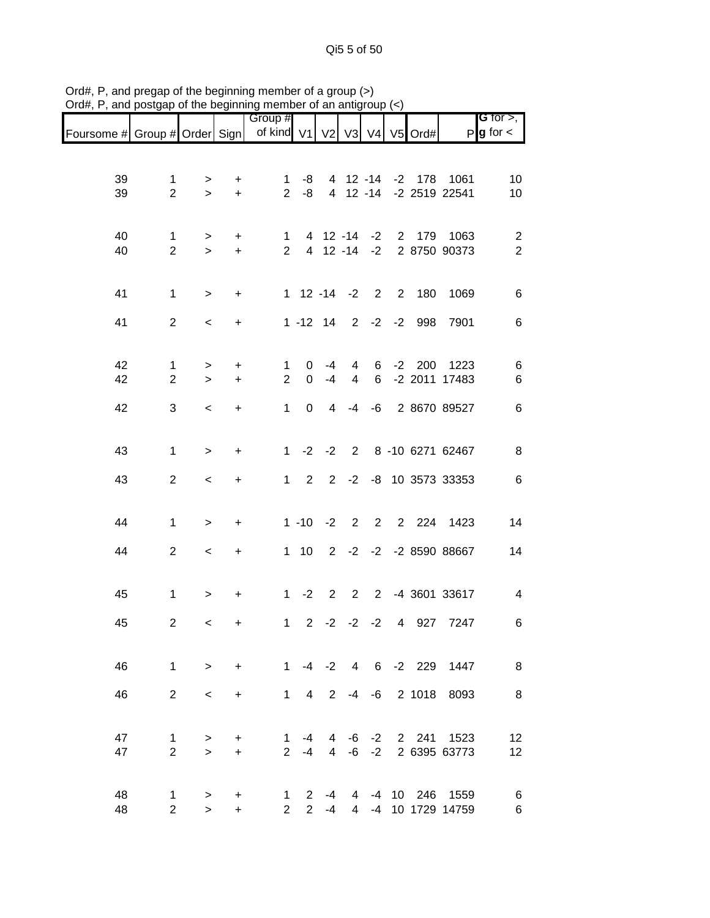Qi5 5 of 50

| Foursome # Group # Order Sign |                                |                          |                        | Group #<br>of kind V1          |                               | V <sub>2</sub> |                          |              |             | V3 V4 V5 Ord#        |                                    | <b>G</b> for $>$ ,<br>$P g$ for $\lt$ |
|-------------------------------|--------------------------------|--------------------------|------------------------|--------------------------------|-------------------------------|----------------|--------------------------|--------------|-------------|----------------------|------------------------------------|---------------------------------------|
|                               |                                |                          |                        |                                |                               |                |                          |              |             |                      |                                    |                                       |
| 39<br>39                      | 1<br>$\overline{2}$            | $\, > \,$<br>$\geq$      | +<br>$\ddot{}$         | 1<br>$\overline{2}$            | -8<br>-8                      |                |                          |              |             | 4 12 -14 -2 178      | 1061<br>4 12 -14 -2 2519 22541     | 10<br>10                              |
| 40<br>40                      | $\mathbf{1}$<br>$\overline{2}$ | $\, > \,$<br>$\geq$      | $\ddot{}$<br>$\ddot{}$ | $\mathbf 1$<br>$\overline{2}$  |                               |                | 4 12 -14<br>4 12 -14     | $-2$<br>$-2$ | $2^{\circ}$ | 179                  | 1063<br>2 8750 90373               | $\overline{c}$<br>$\overline{2}$      |
| 41                            | $\mathbf 1$                    | $\, > \,$                | $\ddot{}$              |                                | $1 12 -14 -2 2$               |                |                          |              | $2^{\circ}$ | 180                  | 1069                               | 6                                     |
| 41                            | $\overline{2}$                 | $\,<\,$                  | $\ddot{}$              |                                |                               |                |                          |              |             | 1 -12 14 2 -2 -2 998 | 7901                               | 6                                     |
| 42<br>42                      | 1<br>$\overline{2}$            | ><br>$\geq$              | $\ddot{}$<br>$\ddot{}$ | 1<br>$\overline{2}$            | 0<br>$\overline{0}$           | -4<br>$-4$     | 4<br>$\overline{4}$      | 6<br>6       |             | $-2$ 200             | 1223<br>-2 2011 17483              | 6<br>6                                |
| 42                            | 3                              | $\,<$                    | $\ddot{}$              | $\mathbf{1}$                   | 0                             | $\overline{4}$ | $-4$                     | -6           |             |                      | 2 8670 89527                       | 6                                     |
| 43                            | $\mathbf{1}$                   | $\geq$                   | $\ddot{}$              | 1                              |                               | $-2 -2$        | $2^{\circ}$              |              |             |                      | 8 -10 6271 62467                   | 8                                     |
| 43                            | $\overline{2}$                 | $\,<\,$                  | +                      | $\mathbf{1}$                   | $\overline{2}$                |                | $2 -2$                   |              |             |                      | -8 10 3573 33353                   | 6                                     |
| 44                            | $\mathbf{1}$                   | $\geq$                   | $\ddot{}$              |                                | $1 - 10 - 2$                  |                |                          | 2 2          |             |                      | 2 224 1423                         | 14                                    |
| 44                            | $\overline{2}$                 | $\,<\,$                  | $\ddot{}$              |                                | $1 \quad 10$                  |                |                          |              |             |                      | 2 -2 -2 -2 8590 88667              | 14                                    |
| 45                            | $\mathbf{1}$                   | $\, > \,$                | $\ddot{}$              | $1 \quad$                      | $-2$                          | $\overline{2}$ | $2^{\circ}$              | $2^{\circ}$  |             |                      | -4 3601 33617                      | 4                                     |
| 45                            | $\overline{2}$                 | $\,<$                    | +                      | 1                              |                               |                | $2 -2 -2$                | $-2$         |             | 4 927                | 7247                               | 6                                     |
| 46                            |                                | $1 \quad$<br>$\geq$      | $+$                    |                                |                               |                |                          |              |             |                      | 1 -4 -2 4 6 -2 229 1447            | 8                                     |
| 46                            | $\overline{2}$                 | $\overline{\phantom{0}}$ | $+$                    |                                |                               |                |                          |              |             |                      | 1 4 2 -4 -6 2 1018 8093            | 8                                     |
| 47<br>47                      | $\mathbf{1}$<br>$\overline{2}$ | $\, >$<br>$\geq$         | $\ddot{}$<br>$\ddot{}$ | $\mathbf{1}$                   | $-4$<br>$2 - 4$               |                | $4 - 6 - 2$              |              |             |                      | 4 -6 -2 2 241 1523<br>2 6395 63773 | 12<br>12                              |
| 48<br>48                      | 1<br>$\overline{2}$            | ><br>$\geq$              | ÷<br>$\ddot{}$         | $\mathbf{1}$<br>$\overline{2}$ | $\overline{2}$<br>$2^{\circ}$ | $-4$           | $-4$ 4<br>$\overline{4}$ | $-4$         |             |                      | -4 10 246 1559<br>10 1729 14759    | 6<br>6                                |

Ord#, P, and pregap of the beginning member of a group (>) Ord#, P, and postgap of the beginning member of an antigroup (<)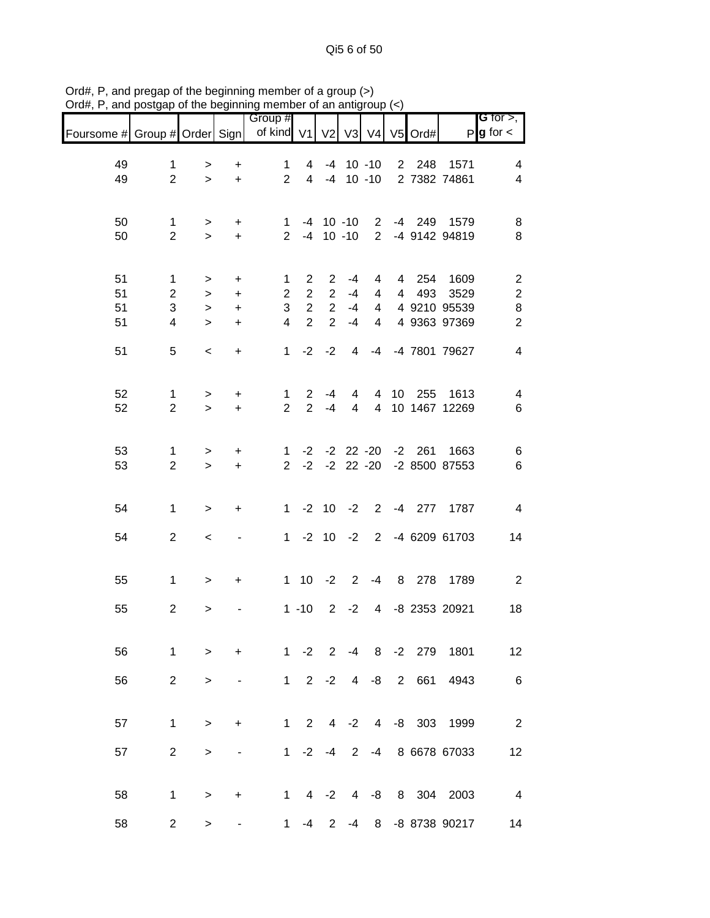Qi5 6 of 50

| Foursome # Group # Order Sign |                                                      |                    |                              | Group #<br>of kind V1          |                                | V <sub>2</sub>      | V3                             | V <sub>4</sub>                   | V <sub>5</sub> | Ord#                            |                                  | <b>G</b> for $>$ ,<br>$P$ <b>g</b> for $\lt$ |
|-------------------------------|------------------------------------------------------|--------------------|------------------------------|--------------------------------|--------------------------------|---------------------|--------------------------------|----------------------------------|----------------|---------------------------------|----------------------------------|----------------------------------------------|
| 49<br>49                      | $\mathbf{1}$<br>$\overline{2}$                       | ><br>$\geq$        | +<br>$\ddot{}$               | $\mathbf{1}$<br>$\overline{2}$ |                                |                     | 4 -4 10 -10                    | 4 -4 10 -10                      |                | 2 248                           | 1571<br>2 7382 74861             | 4<br>$\overline{4}$                          |
| 50<br>50                      | $\mathbf{1}$<br>$\overline{2}$                       | ><br>$\geq$        | $\ddot{}$<br>$+$             | $\mathbf{1}$<br>$\overline{2}$ |                                |                     | $-4$ 10 $-10$<br>$-4$ 10 $-10$ |                                  |                |                                 | 2 -4 249 1579<br>2 -4 9142 94819 | 8<br>8                                       |
|                               |                                                      |                    |                              |                                |                                |                     |                                |                                  |                |                                 |                                  |                                              |
| 51<br>51                      | $\mathbf{1}$<br>$\overline{2}$                       | ><br>$\, > \,$     | +<br>$\ddot{}$               | $\mathbf{1}$<br>$\overline{2}$ | $\overline{2}$<br>2            | $\overline{2}$<br>2 | -4<br>$-4$                     | $\overline{4}$<br>$\overline{4}$ |                | 4 254<br>4 493                  | 1609<br>3529                     | $\overline{c}$<br>$\overline{\mathbf{c}}$    |
| 51<br>51                      | $\ensuremath{\mathsf{3}}$<br>$\overline{\mathbf{4}}$ | $\,>$<br>$\, > \,$ | $\ddot{}$<br>$\ddot{}$       | 3<br>$\overline{4}$            | 2<br>2                         | $\overline{2}$<br>2 | $-4$<br>$-4$                   | 4 <sup>1</sup><br>4              |                |                                 | 4 9210 95539<br>4 9363 97369     | 8<br>$\overline{2}$                          |
| 51                            | 5                                                    | $\,<\,$            | $\ddot{}$                    | 1                              |                                | $-2 -2$             | $\overline{4}$                 |                                  |                |                                 | -4 -4 7801 79627                 | $\overline{4}$                               |
| 52<br>52                      | $\mathbf{1}$<br>$\overline{2}$                       | ><br>$\geq$        | $\ddot{}$<br>$\ddot{}$       | $\mathbf{1}$<br>$\overline{2}$ | $\mathbf{2}$<br>$\overline{2}$ | $-4$<br>$-4$        | 4<br>$\overline{4}$            | $\overline{4}$                   |                |                                 | 4 10 255 1613<br>10 1467 12269   | 4<br>$\,6$                                   |
| 53<br>53                      | $\mathbf{1}$<br>$\overline{2}$                       | ><br>$\geq$        | $\ddot{}$<br>$\ddot{}$       | $\mathbf{1}$<br>$\overline{2}$ |                                |                     |                                | $-2$ $-2$ 22 $-20$               |                | $-2$ $-2$ $22$ $-20$ $-2$ $261$ | 1663<br>-2 8500 87553            | 6<br>$\,6$                                   |
| 54                            | $\mathbf{1}$                                         | $\, > \,$          | +                            |                                | $1 - 2 10 - 2$                 |                     |                                |                                  |                |                                 | 2 -4 277 1787                    | $\overline{4}$                               |
| 54                            | $\overline{2}$                                       | $\,<$              | $\overline{\phantom{a}}$     |                                | $1 - 2 10 - 2$                 |                     |                                |                                  |                |                                 | 2 -4 6209 61703                  | 14                                           |
| 55                            | $\mathbf{1}$                                         | >                  | $\ddot{}$                    |                                | $1 \t10 \t-2 \t2$              |                     |                                | $-4$                             |                |                                 | 8 278 1789                       | $\overline{2}$                               |
| 55                            | $\overline{2}$                                       | >                  |                              |                                | $1 - 10$                       |                     | $2 -2$                         | $\overline{4}$                   |                |                                 | -8 2353 20921                    | 18                                           |
| 56                            | $\mathbf 1$                                          | $\geq$             | $\ddot{}$                    |                                |                                |                     |                                |                                  |                |                                 | 1 -2 2 -4 8 -2 279 1801          | 12                                           |
| 56                            | $\overline{2}$                                       | $\geq$             |                              |                                | $1 \t2 \t-2$                   |                     | $\overline{4}$                 | -8                               | $2^{\circ}$    | 661                             | 4943                             | $-6$                                         |
| 57                            | $\mathbf 1$                                          | $\,>$              | $\ddot{}$                    |                                | $1\quad 2$                     |                     |                                |                                  |                | 4 -2 4 -8 303                   | 1999                             | $\overline{\phantom{a}}$                     |
| 57                            | $\overline{2}$                                       | >                  | $\qquad \qquad \blacksquare$ |                                | $1 -2 -4 2$                    |                     |                                |                                  |                |                                 | -4 8 6678 67033                  | 12                                           |
| 58                            | $\mathbf 1$                                          | $\, > \,$          | +                            |                                | $1 \t 4 \t -2 \t 4$            |                     |                                |                                  |                |                                 | -8 8 304 2003                    | $\overline{4}$                               |
| 58                            | $\overline{2}$                                       | >                  |                              | $\mathbf 1$                    | -4                             | $2^{\circ}$         | -4                             | 8                                |                |                                 | -8 8738 90217                    | 14                                           |

Ord#, P, and pregap of the beginning member of a group (>) Ord#, P, and postgap of the beginning member of an antigroup (<)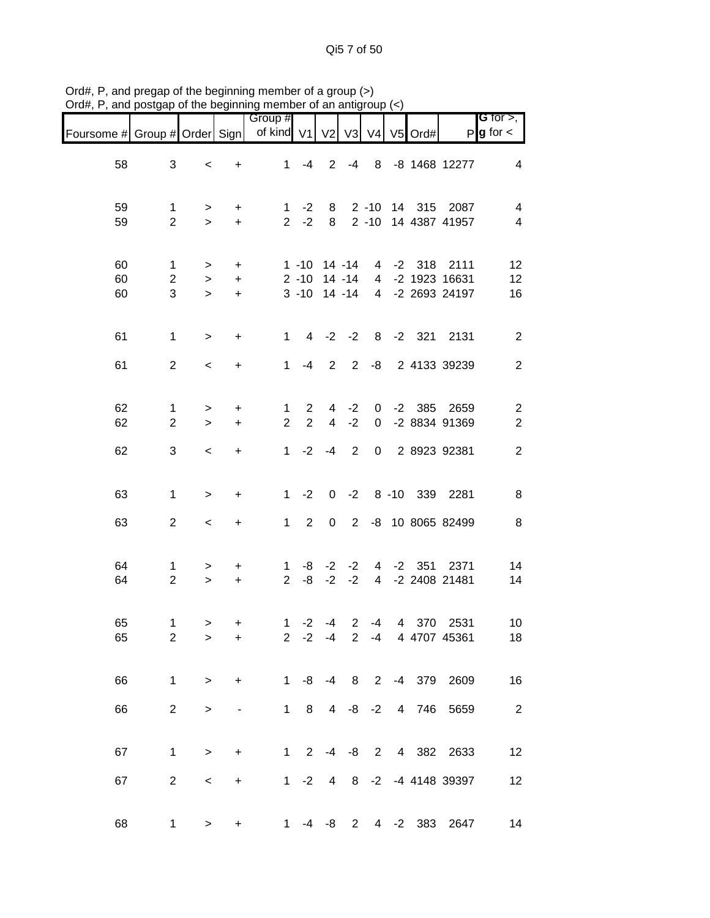Qi5 7 of 50

| Foursome # Group # Order Sign |                                     |                           |                             | Group #<br>of kind V1          |                                                   | V <sub>2</sub> | V3             | V <sub>4</sub>            |      | V5 Ord#  |                                                     | <b>G</b> for $>$ ,<br>$P$ <b>g</b> for $\lt$ |
|-------------------------------|-------------------------------------|---------------------------|-----------------------------|--------------------------------|---------------------------------------------------|----------------|----------------|---------------------------|------|----------|-----------------------------------------------------|----------------------------------------------|
|                               |                                     |                           |                             |                                |                                                   |                |                |                           |      |          |                                                     |                                              |
| 58                            | 3                                   | $\,<\,$                   | +                           | $\mathbf 1$                    | -4                                                |                | $2 - 4$        |                           |      |          | 8 -8 1468 12277                                     | 4                                            |
| 59<br>59                      | $\mathbf{1}$<br>$\overline{2}$      | ><br>$\geq$               | +<br>$+$                    | $\mathbf{1}$                   | $-2$<br>$2 -2$                                    | 8<br>8         |                | $2 - 10$                  |      |          | 2 -10 14 315 2087<br>14 4387 41957                  | 4<br>4                                       |
| 60<br>60<br>60                | $\mathbf{1}$<br>$\overline{2}$<br>3 | ><br>$\, >$<br>$\geq$     | +<br>$\ddot{}$<br>$\ddot{}$ |                                | 1 -10 14 -14<br>2 -10 14 -14<br>$3 - 10$ 14 $-14$ |                |                |                           |      |          | 4 -2 318 2111<br>4 -2 1923 16631<br>4 -2 2693 24197 | 12<br>12<br>16                               |
| 61                            | $\mathbf{1}$                        | $\, > \,$                 | $\ddot{}$                   | $1 \quad$                      |                                                   | $4 -2 -2$      |                |                           |      | 8 -2 321 | 2131                                                | $\overline{2}$                               |
| 61                            | $\overline{2}$                      | $\,<$                     | $\ddot{}$                   | $\mathbf{1}$                   |                                                   | $-4$ 2         |                |                           |      |          | 2 -8 2 4133 39239                                   | $\overline{2}$                               |
| 62<br>62                      | $\mathbf{1}$<br>$\overline{2}$      | $\, > \,$<br>$\mathbf{L}$ | $\ddot{}$<br>$\ddot{}$      | $\mathbf{1}$<br>$\overline{2}$ | $\mathbf{2}$<br>$\overline{2}$                    | $\overline{4}$ | $4 -2$<br>$-2$ |                           |      |          | 0 -2 385 2659<br>0 -2 8834 91369                    | $\overline{2}$<br>$\boldsymbol{2}$           |
| 62                            | 3                                   | $\prec$                   | $\ddot{}$                   |                                | $1 -2 -4$                                         |                | $\overline{2}$ |                           |      |          | 0 2 8923 92381                                      | $\sqrt{2}$                                   |
| 63                            | $\mathbf{1}$                        | $\,>$                     | $\ddot{}$                   |                                | $1 -2$                                            |                |                |                           |      |          | 0 -2 8 -10 339 2281                                 | 8                                            |
| 63                            | $\overline{2}$                      | $\,<\,$                   | $\ddot{}$                   | $1 \quad$                      | $2^{\circ}$                                       | $\overline{0}$ |                |                           |      |          | 2 -8 10 8065 82499                                  | 8                                            |
| 64<br>64                      | 1<br>$\overline{2}$                 | ><br>$\, >$               | +<br>$\ddot{}$              | 1<br>$2^{\circ}$               | -8<br>-8                                          | $-2$<br>$-2$   | $-2$<br>$-2$   |                           |      | 4 -2 351 | 2371<br>4 -2 2408 21481                             | 14<br>14                                     |
| 65<br>65                      | 1<br>$\overline{2}$                 | $\,$<br>$\,>$             | $\ddot{}$<br>+              |                                | $1 -2 -4$<br>$2 -2 -4$                            |                | $\overline{2}$ | -4                        |      |          | 4 370 2531<br>2 -4 4 4707 45361                     | 10<br>18                                     |
| 66                            | 1                                   | $\geq$                    | $\ddot{}$                   |                                |                                                   |                |                |                           |      |          | 1 -8 -4 8 2 -4 379 2609                             | 16                                           |
| 66                            | $\overline{2}$                      | $\,>$                     |                             |                                |                                                   |                |                | $1 \t 8 \t 4 \t -8 \t -2$ |      | 4 746    | 5659                                                | $\overline{2}$                               |
| 67                            | 1                                   | $\,>$                     | +                           |                                | $1 \t2 \t-4 \t-8$                                 |                |                |                           |      |          | 2 4 382 2633                                        | 12                                           |
| 67                            | $\overline{2}$                      | $\,<$                     | +                           |                                | $1 -2$                                            | $\overline{4}$ |                |                           |      |          | 8 -2 -4 4148 39397                                  | 12                                           |
| 68                            | 1                                   | $\,>$                     | $\pmb{+}$                   | 1.                             | -4                                                | -8             | $2^{\circ}$    | $4\overline{ }$           | $-2$ | 383      | 2647                                                | 14                                           |

Ord#, P, and pregap of the beginning member of a group (>) Ord#, P, and postgap of the beginning member of an antigroup (<)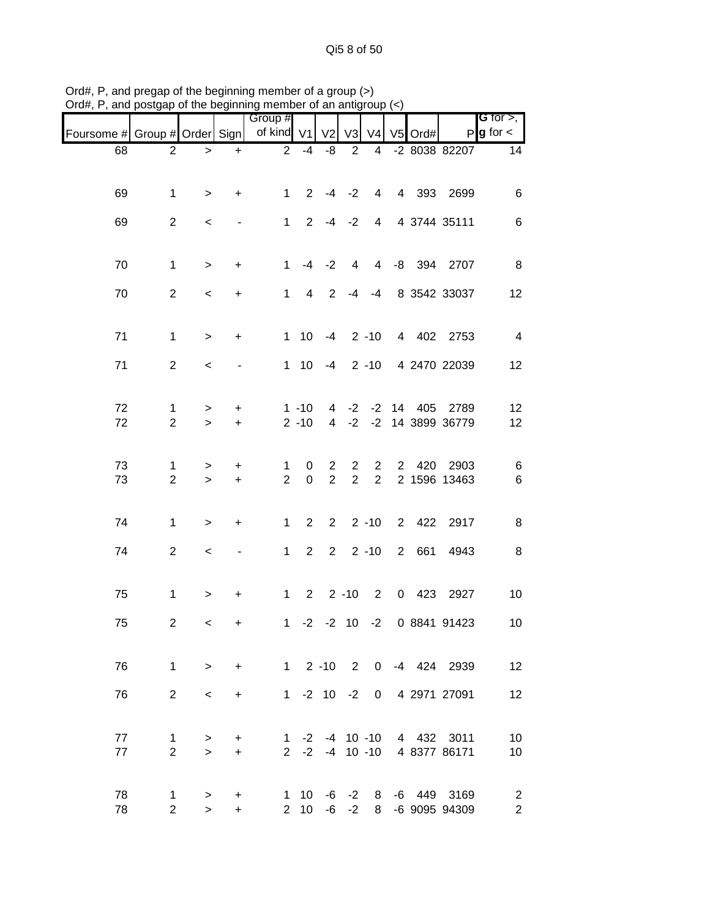Qi5 8 of 50

| $O(\omega_{H}$ , $F$ , and posigap or the beginning member or an analytody $(S)$ |                                |             |                              |                                |                      |                                  |                                  |                                  |                |         |                                                          |                                  |
|----------------------------------------------------------------------------------|--------------------------------|-------------|------------------------------|--------------------------------|----------------------|----------------------------------|----------------------------------|----------------------------------|----------------|---------|----------------------------------------------------------|----------------------------------|
| Foursome # Group # Order Sign                                                    |                                |             |                              | Group #<br>of kind V1 V2 V3 V4 |                      |                                  |                                  |                                  |                | V5 Ord# |                                                          | G for $>$ ,<br>$P g$ for $\lt$   |
| 68                                                                               | $\overline{2}$                 | $\geq$      | $\ddot{}$                    |                                | $2 - 4$              | -8                               | $\overline{2}$                   | $\overline{4}$                   |                |         | -2 8038 82207                                            | 14                               |
| 69                                                                               | $\mathbf 1$                    | $\,>$       | $\ddot{}$                    | $\mathbf{1}$                   |                      | $2 - 4 - 2$                      |                                  | $\overline{4}$                   |                |         | 4 393 2699                                               | 6                                |
| 69                                                                               | 2                              | $\prec$     |                              | 1                              |                      | $2 - 4 - 2$                      |                                  | 4                                |                |         | 4 3744 35111                                             | 6                                |
| 70                                                                               | $\mathbf{1}$                   | $\, > \,$   | $\ddot{}$                    | $\mathbf{1}$                   |                      | $-4 -2$                          | $\overline{4}$                   |                                  |                |         | 4 -8 394 2707                                            | 8                                |
| 70                                                                               | $\overline{2}$                 | $\,<\,$     | $\ddot{}$                    | 1                              |                      | $4\quad 2$                       |                                  | $-4$ $-4$                        |                |         | 8 3542 33037                                             | 12                               |
| 71                                                                               | $\mathbf 1$                    | $\, > \,$   | $\ddot{}$                    |                                | $1 \quad 10$         | -4                               |                                  | $2 - 10$                         |                | 4 402   | 2753                                                     | $\overline{4}$                   |
| 71                                                                               | $\overline{2}$                 | $\,<\,$     | $\qquad \qquad \blacksquare$ | 1                              | 10 <sup>1</sup>      | -4                               |                                  | $2 - 10$                         |                |         | 4 2470 22039                                             | 12                               |
| 72<br>72                                                                         | 1<br>$\overline{2}$            | ><br>$\geq$ | $\ddot{}$<br>$\ddot{}$       |                                | $1 - 10$<br>$2 - 10$ | $\overline{4}$<br>$\overline{4}$ |                                  | $-2$ $-2$ 14                     |                | 405     | 2789<br>-2 -2 14 3899 36779                              | 12<br>12                         |
| 73<br>73                                                                         | $\mathbf{1}$<br>$\overline{2}$ | ><br>$\geq$ | $\ddot{}$<br>$\ddot{}$       | 1<br>$\overline{2}$            | 0<br>$\pmb{0}$       | $\mathbf{2}$<br>$\overline{2}$   | $\overline{2}$<br>$\overline{2}$ | $\overline{2}$<br>$\overline{2}$ | $2^{\circ}$    | 420     | 2903<br>2 1596 13463                                     | 6<br>6                           |
| 74                                                                               | $\mathbf 1$                    | >           | $\ddot{}$                    | $\mathbf{1}$                   |                      | $2 \quad 2$                      |                                  | $2 - 10$                         |                | 2 422   | 2917                                                     | 8                                |
| 74                                                                               | $\overline{2}$                 | $\,<\,$     | $\qquad \qquad \blacksquare$ | $\mathbf{1}$                   | $2^{\circ}$          | $2^{\circ}$                      |                                  | $2 - 10$                         | $\overline{2}$ | 661     | 4943                                                     | 8                                |
| 75                                                                               | $\mathbf 1$                    | >           | $\ddot{}$                    | $\mathbf{1}$                   |                      | $2 \quad 2 -10$                  |                                  | $2\overline{ }$                  |                | 0 423   | 2927                                                     | 10                               |
| 75                                                                               | 2                              | $\lt$       | $+$                          |                                |                      |                                  |                                  |                                  |                |         | 1 -2 -2 10 -2 0 8841 91423                               | 10 <sup>°</sup>                  |
| 76                                                                               | $\mathbf{1}$                   | $\geq$      | $\ddot{}$                    |                                |                      |                                  |                                  |                                  |                |         | 1 2 -10 2 0 -4 424 2939                                  | 12                               |
| 76                                                                               | 2                              | $\,<\,$     | $\ddot{}$                    |                                |                      |                                  |                                  |                                  |                |         | 1 -2 10 -2 0 4 2971 27091                                | 12                               |
| 77<br>77                                                                         | $\mathbf{1}$<br>$\overline{2}$ | ><br>$\geq$ | $\ddot{}$<br>$\ddot{}$       |                                |                      |                                  |                                  |                                  |                |         | 1 -2 -4 10 -10 4 432 3011<br>2 -2 -4 10 -10 4 8377 86171 | 10<br>10                         |
| 78<br>78                                                                         | $\mathbf 1$<br>$\overline{2}$  | ><br>$\geq$ | +<br>$+$                     |                                | $1 \quad 10$<br>2 10 | -6                               | $-6 -2$<br>$-2$                  | 8                                |                |         | 8 -6 449 3169<br>-6 9095 94309                           | $\overline{2}$<br>$\overline{c}$ |

Ord#, P, and pregap of the beginning member of a group (>) Ord#, P, and postgap of the beginning member of an antigroup (<)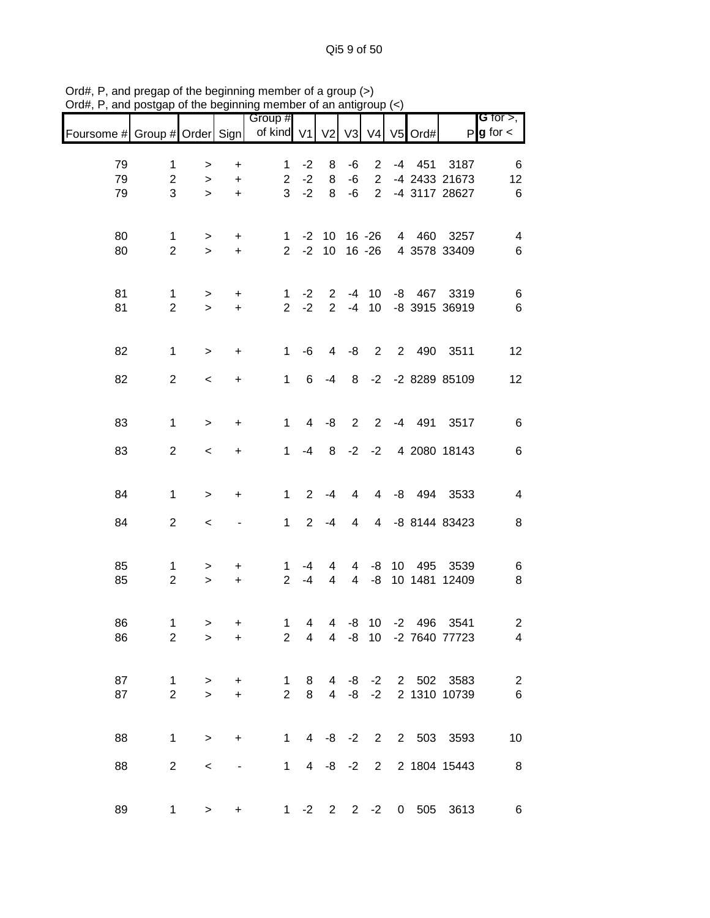Qi5 9 of 50

| Foursome # Group # Order Sign   of kind V1 |                                     |                          |                             | Group #                        |                         | V2 V3                      |                                  | V <sub>4</sub>             | V5 Ord#        |                                           | G for $>$ ,<br>$P g$ for $\lt$    |
|--------------------------------------------|-------------------------------------|--------------------------|-----------------------------|--------------------------------|-------------------------|----------------------------|----------------------------------|----------------------------|----------------|-------------------------------------------|-----------------------------------|
| 79<br>79<br>79                             | $\mathbf{1}$<br>$\overline{2}$<br>3 | ><br>$\, > \,$<br>$\geq$ | +<br>$\ddot{}$<br>$\ddot{}$ | $\mathbf{1}$<br>$2^{\circ}$    | $-2$<br>$-2$<br>$3 - 2$ | 8<br>8<br>8                | -6<br>-6<br>$-6$                 | $2^{\circ}$<br>$2^{\circ}$ | -4 451         | 3187<br>2 -4 2433 21673<br>-4 3117 28627  | 6<br>12<br>$6\phantom{1}6$        |
| 80<br>80                                   | $\mathbf{1}$<br>$\overline{2}$      | ><br>$\geq$              | $+$<br>$+$                  |                                |                         | $1 - 2 10 16 - 26$         |                                  |                            |                | 4 460 3257<br>2 -2 10 16 -26 4 3578 33409 | 4<br>$\,6$                        |
| 81<br>81                                   | $\mathbf{1}$<br>$\overline{2}$      | $\, > \,$<br>$\geq$      | $\ddot{}$<br>$\ddot{}$      | $\mathbf{1}$                   | $-2$<br>$2 -2$          | $2^{\circ}$<br>$2^{\circ}$ |                                  | $-4$ 10                    |                | -8 467 3319<br>-4 10 -8 3915 36919        | 6<br>$\,6$                        |
| 82                                         | $\mathbf{1}$                        | $\,$                     | $\ddot{}$                   | 1                              | -6                      | $\overline{4}$             | -8                               |                            |                | 2 2 490 3511                              | 12                                |
| 82                                         | $\overline{2}$                      | $\overline{\phantom{a}}$ | +                           | $1 \quad$                      | 6                       | $-4$                       |                                  |                            |                | 8 -2 -2 8289 85109                        | 12                                |
| 83                                         | $\mathbf{1}$                        | $\,$                     | $\ddot{}$                   | $\mathbf{1}$                   |                         | $4 - 8$                    | $\overline{2}$                   |                            |                | 2 -4 491 3517                             | $\,6$                             |
| 83                                         | $\overline{2}$                      | $\overline{\phantom{a}}$ | $\ddot{}$                   | $\mathbf{1}$                   |                         | $-4$ 8                     |                                  | $-2$ $-2$                  |                | 4 2080 18143                              | $\,6$                             |
| 84                                         | $\mathbf{1}$                        | $\, > \,$                | +                           | 1                              | $2^{\circ}$             | $-4$                       | 4                                |                            |                | 4 -8 494 3533                             | $\overline{\mathbf{4}}$           |
| 84                                         | $\overline{2}$                      | $\,<$                    |                             | 1 <sup>1</sup>                 | $2^{\circ}$             | $-4$                       | $\overline{4}$                   |                            |                | 4 -8 8144 83423                           | $\bf 8$                           |
| 85<br>85                                   | $\mathbf{1}$<br>$\overline{2}$      | $\, > \,$<br>$\geq$      | +<br>$\ddot{}$              | $\mathbf{1}$<br>$\overline{2}$ | -4<br>$-4$              | 4<br>4                     | $\overline{4}$<br>$\overline{4}$ | -8                         | -8 10 495      | 3539<br>10 1481 12409                     | 6<br>8                            |
| 86<br>86                                   | 1<br>$\overline{2}$                 | $\,$<br>$\geq$           | +<br>$\ddot{}$              | $\mathbf 1$<br>$\overline{2}$  | $\overline{4}$          |                            |                                  |                            | 4 -8 10 -2 496 | 3541<br>4 4 -8 10 -2 7640 77723           | $\overline{c}$<br>4               |
| 87<br>87                                   | $\mathbf 1$<br>$\overline{2}$       | ><br>$\geq$              | +<br>$\ddot{}$              | $\mathbf{1}$<br>$\overline{2}$ | 8<br>8                  | 4                          |                                  | $-8 - 2$<br>$4 -8 -2$      | 2 502          | 3583<br>2 1310 10739                      | $\overline{c}$<br>$6\phantom{1}6$ |
| 88                                         | 1                                   | $\, > \,$                | $\ddot{}$                   |                                |                         |                            |                                  |                            |                | 1 4 -8 -2 2 2 503 3593                    | 10                                |
| 88                                         | $\overline{2}$                      | $\,<$                    | $\overline{\phantom{a}}$    | $1 \quad$                      |                         | $4 -8 -2$                  |                                  | $\overline{2}$             |                | 2 1804 15443                              | 8                                 |
| 89                                         | $\mathbf{1}$                        | $\, > \,$                | +                           |                                |                         | $1 -2 2$                   |                                  | $2 -2$                     | 0 505          | 3613                                      | 6                                 |

Ord#, P, and pregap of the beginning member of a group (>) Ord#, P, and postgap of the beginning member of an antigroup (<)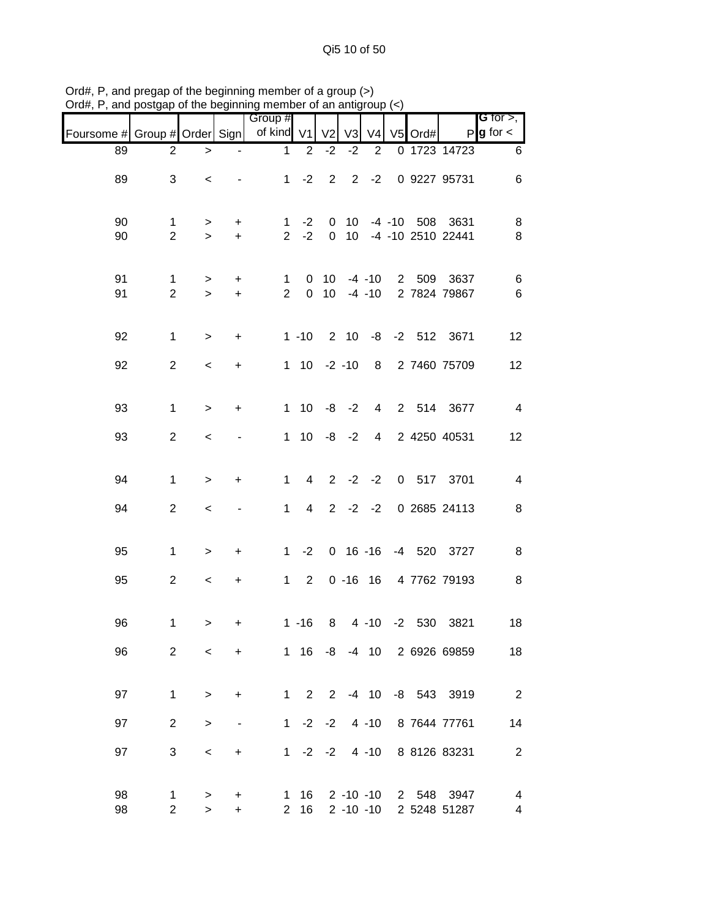|            |                                  |                          |                | Group #                        |                      |                 |                |                            |           |                                      | G for $>$ ,              |
|------------|----------------------------------|--------------------------|----------------|--------------------------------|----------------------|-----------------|----------------|----------------------------|-----------|--------------------------------------|--------------------------|
| Foursome # | Group # Order Sign               |                          |                | of kind V1                     |                      | V <sub>2</sub>  | V <sub>3</sub> | V <sub>4</sub>             | $V5$ Ord# |                                      | $P$ <b>g</b> for $\lt$   |
| 89         | $\overline{2}$                   | $\, >$                   |                | $\mathbf{1}$                   | 2                    | $-2$            | $-2$           | $\overline{2}$             |           | 0 1723 14723                         | 6                        |
| 89         | 3                                | $\,<$                    |                |                                | $1 -2 2$             |                 |                | $2 -2$                     |           | 0 9227 95731                         | 6                        |
| 90<br>90   | 1<br>$\overline{2}$              | $\geq$<br>$\geq$         | +<br>$+$       | 1                              | $-2$<br>$2 -2$       | $\overline{0}$  | $0$ 10<br>10   |                            |           | -4 -10 508 3631<br>-4 -10 2510 22441 | 8<br>8                   |
| 91<br>91   | $\mathbf{1}$<br>$\boldsymbol{2}$ | $\,>$<br>$\geq$          | +<br>$\ddot{}$ | $\mathbf{1}$<br>$\overline{2}$ | $\mathbf{0}$         | 10 <sup>1</sup> |                | $-4 - 10$<br>$0$ 10 -4 -10 |           | 2 509 3637<br>2 7824 79867           | $\,6$<br>$\,6$           |
| 92         | $\mathbf{1}$                     | $\,>$                    | $\ddot{}$      |                                |                      |                 |                |                            |           | 1 -10 2 10 -8 -2 512 3671            | 12                       |
| 92         | $\overline{2}$                   | $\,<$                    | +              |                                | $1 \t10 \t-2 \t-10$  |                 |                |                            |           | 8 2 7460 75709                       | 12                       |
| 93         | $\mathbf{1}$                     | $\,>$                    | +              | 1                              |                      |                 | $10 - 8 - 2$   | $\overline{4}$             |           | 2 514 3677                           | $\overline{4}$           |
| 93         | $\overline{2}$                   | $\,<$                    |                |                                | $1 10 -8 -2$         |                 |                | $\overline{4}$             |           | 2 4250 40531                         | 12                       |
| 94         | $\mathbf{1}$                     | $\,$                     | $\ddot{}$      | $\mathbf{1}$                   | $\overline{4}$       |                 |                | $2 -2 -2$                  |           | 0 517 3701                           | $\overline{\mathbf{4}}$  |
| 94         | $\overline{2}$                   | $\,<$                    |                | $\mathbf{1}$                   | $\overline{4}$       |                 |                | $2 -2 -2$                  |           | 0 2685 24113                         | 8                        |
| 95         | $\mathbf{1}$                     | $\,$                     | $\ddot{}$      | 1                              | $-2$                 |                 |                |                            |           | 0 16 -16 -4 520 3727                 | 8                        |
| 95         | $\overline{c}$                   | $\overline{\phantom{0}}$ | $\ddot{}$      |                                | 1 2 0 -16 16         |                 |                |                            |           | 4 7762 79193                         | 8                        |
| 96         | $\mathbf 1$                      | $\geq$                   | $\ddot{}$      |                                | $1 - 16$             |                 |                |                            |           | 8 4 -10 -2 530 3821                  | $18$                     |
| 96         | $\overline{2}$                   | $\prec$                  | $\ddot{}$      |                                |                      |                 |                |                            |           | 1 16 -8 -4 10 2 6926 69859           | 18                       |
| 97         | $\mathbf 1$                      | $\geq$                   | +              |                                |                      |                 |                |                            |           | 1 2 2 -4 10 -8 543 3919              | $\overline{\phantom{a}}$ |
| 97         | 2                                | $\geq$                   | -              |                                | $1 -2 -2$            |                 |                | $4 - 10$                   |           | 8 7644 77761                         | 14                       |
| 97         | 3                                | $\,<\,$                  | +              |                                | $1 -2 -2$            |                 |                | 4 -10                      |           | 8 8126 83231                         | $\overline{2}$           |
| 98<br>98   | 1<br>$\overline{2}$              | ><br>$\geq$              | $\ddot{}$<br>+ |                                | 1 16<br>$2 \quad 16$ |                 |                | 2 -10 -10<br>$2 - 10 - 10$ |           | 2 548 3947<br>2 5248 51287           | 4<br>$\overline{4}$      |

Ord#, P, and pregap of the beginning member of a group (>) Ord#, P, and postgap of the beginning member of an antigroup (<)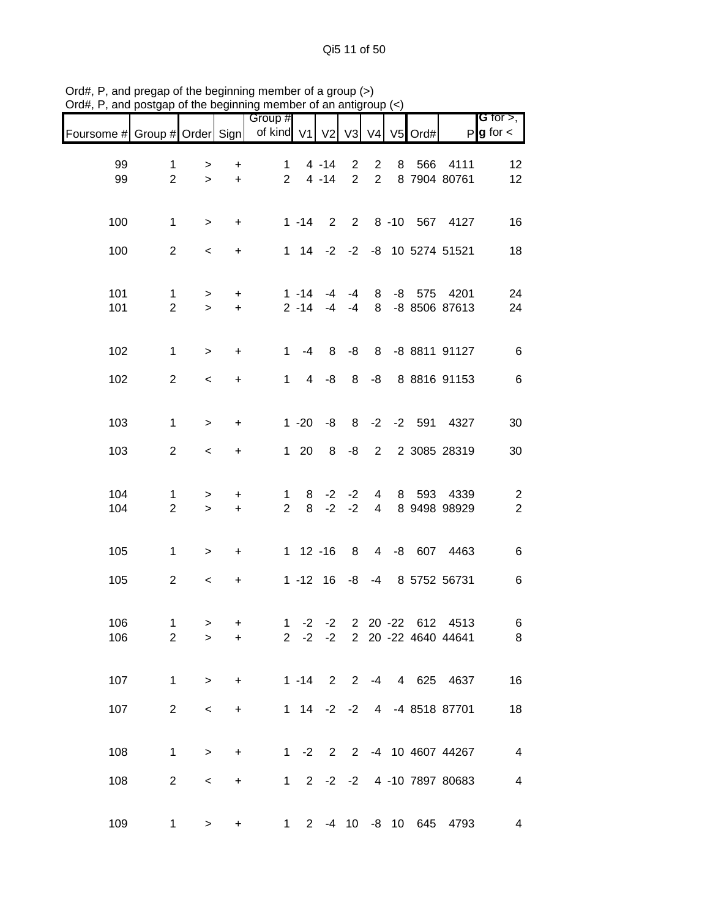| $max$ , $max$ , and postgap or the beginning inember or an antigroup $\langle \cdot \rangle$ |                                |                          |                                  |                       |                              |                      |                                  |                                  |   |             |                             |                                       |
|----------------------------------------------------------------------------------------------|--------------------------------|--------------------------|----------------------------------|-----------------------|------------------------------|----------------------|----------------------------------|----------------------------------|---|-------------|-----------------------------|---------------------------------------|
| Foursome # Group # Order Sign                                                                |                                |                          |                                  | Group #<br>of kind V1 |                              | V <sub>2</sub>       | $V3$ $V4$                        |                                  |   | V5 Ord#     |                             | G for $>$ ,<br>$P$ <b>g</b> for $\lt$ |
| 99<br>99                                                                                     | $\mathbf{1}$<br>$\overline{2}$ | ><br>$\geq$              | +<br>$\ddot{}$                   | 1<br>2 <sup>1</sup>   |                              | $4 - 14$<br>$4 - 14$ | $\overline{2}$<br>$\overline{2}$ | $\overline{2}$<br>$\overline{2}$ | 8 | 566         | 4111<br>8 7904 80761        | 12<br>12                              |
|                                                                                              |                                |                          |                                  |                       |                              |                      |                                  |                                  |   |             |                             |                                       |
| 100                                                                                          | $\mathbf{1}$                   | $\geq$                   | $\ddot{}$                        |                       | $1 - 14$ 2 2                 |                      |                                  |                                  |   |             | 8 -10 567 4127              | 16                                    |
| 100                                                                                          | $\overline{2}$                 | $\overline{\phantom{0}}$ | $\ddot{}$                        |                       |                              |                      |                                  |                                  |   |             | 1 14 -2 -2 -8 10 5274 51521 | 18                                    |
| 101<br>101                                                                                   | $\mathbf{1}$<br>$\overline{2}$ | $\, > \,$<br>$\geq$      | $\ddot{}$<br>$+$                 |                       | $1 - 14$<br>$2 - 14 - 4 - 4$ | $-4$                 | -4                               | 8<br>8                           |   | -8 575      | 4201<br>-8 8506 87613       | 24<br>24                              |
| 102                                                                                          | $\mathbf{1}$                   |                          | $\ddot{}$                        | 1                     | $-4$                         | 8                    | -8                               |                                  |   |             | 8 -8 8811 91127             | 6                                     |
|                                                                                              | $\overline{2}$                 | $\,>$                    |                                  | 1                     |                              | $4 - 8$              |                                  | -8                               |   |             | 8 8816 91153                |                                       |
| 102                                                                                          |                                | $\,<$                    | $\ddot{}$                        |                       |                              |                      | 8                                |                                  |   |             |                             | 6                                     |
| 103                                                                                          | $\mathbf{1}$                   | $\,>$                    | +                                |                       | $1 - 20$                     | -8                   |                                  |                                  |   | 8 -2 -2 591 | 4327                        | 30                                    |
| 103                                                                                          | $\overline{2}$                 | $\,<$                    | $\begin{array}{c} + \end{array}$ |                       | $1 \quad 20$                 | 8                    | -8                               | $2^{\circ}$                      |   |             | 2 3085 28319                | 30                                    |
| 104                                                                                          | $\mathbf{1}$                   | >                        | $\ddot{}$                        | $\mathbf 1$           |                              | $8 - 2$              | $-2$                             | $\overline{4}$                   |   | 8 593       | 4339                        | $\overline{c}$                        |
| 104                                                                                          | $\overline{2}$                 | $\geq$                   | $\ddot{}$                        | $\overline{2}$        | 8                            | $-2$                 | $-2$                             | 4                                |   |             | 8 9498 98929                | $\overline{2}$                        |
| 105                                                                                          | $\mathbf{1}$                   | $\, > \,$                | $\ddot{}$                        |                       | $1 \t12 \t-16$               |                      | 8 <sup>1</sup>                   |                                  |   |             | 4 -8 607 4463               | 6                                     |
| 105                                                                                          | $\overline{2}$                 | $\,<\,$                  | +                                |                       | $1 - 12$ 16 $-8$ $-4$        |                      |                                  |                                  |   |             | 8 5752 56731                | 6                                     |
| 106                                                                                          | $\mathbf{1}$                   | >                        | $+$                              |                       |                              |                      |                                  |                                  |   |             | 1 -2 -2 2 20 -22 612 4513   | 6                                     |
| 106                                                                                          | $\overline{2}$                 | $\, > \,$                | +                                |                       |                              |                      |                                  |                                  |   |             | 2 -2 -2 2 20 -22 4640 44641 | 8                                     |
| 107                                                                                          | $\mathbf{1}$                   | $\,$                     | $\ddot{}$                        |                       |                              |                      |                                  |                                  |   |             | 1 -14 2 2 -4 4 625 4637     | 16                                    |
| 107                                                                                          | $\overline{2}$                 | $\,<\,$                  | +                                |                       | $1 \t14 \t-2 \t-2$           |                      |                                  |                                  |   |             | 4 -4 8518 87701             | 18                                    |
| 108                                                                                          | $\mathbf{1}$                   | $\,>$                    | +                                |                       |                              |                      |                                  |                                  |   |             | 1 -2 2 2 -4 10 4607 44267   | $\overline{4}$                        |
| 108                                                                                          | $\overline{2}$                 | $\,<$                    | $\ddot{}$                        |                       | $1 \t2 \t-2 \t-2$            |                      |                                  |                                  |   |             | 4 -10 7897 80683            | 4                                     |
| 109                                                                                          | $\mathbf{1}$                   | $\, > \,$                | +                                | $1 \quad$             | $2^{\circ}$                  |                      | $-4$ 10                          |                                  |   |             | -8 10 645 4793              | 4                                     |

Ord#, P, and pregap of the beginning member of a group (>) Ord#, P, and postgap of the beginning member of an antigroup (<)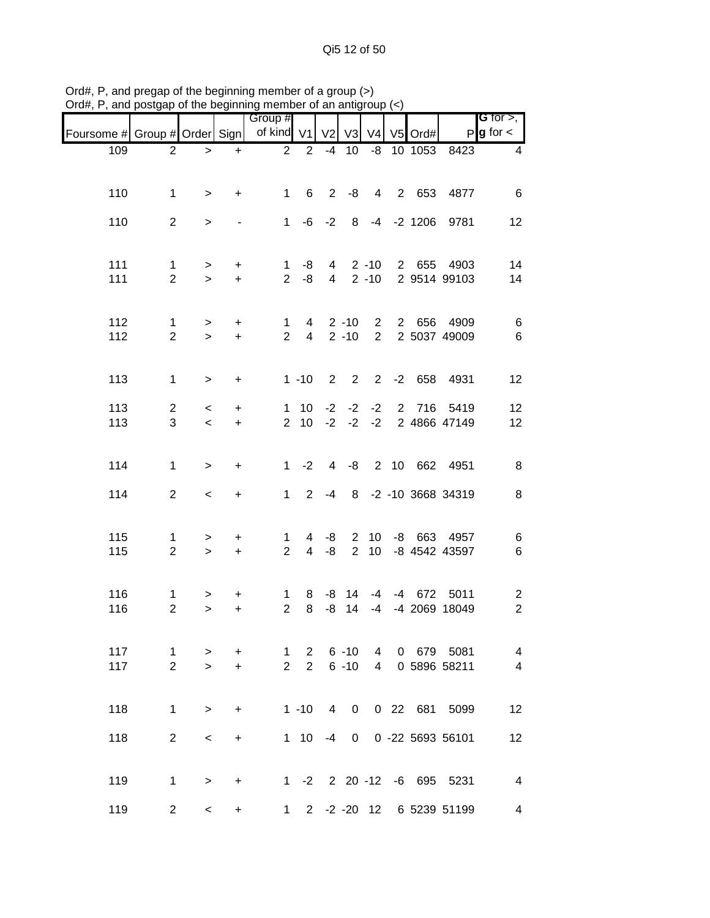|                               |                                |                          |                  | Group #             |                         |         |                        |                |                        |                            | G for $>$ ,            |
|-------------------------------|--------------------------------|--------------------------|------------------|---------------------|-------------------------|---------|------------------------|----------------|------------------------|----------------------------|------------------------|
| Foursome # Group # Order Sign |                                |                          |                  | of kind V1 V2 V3    |                         |         |                        |                | V4 V5 Ord#             |                            | $P$ <b>g</b> for $\lt$ |
| 109                           | $\overline{2}$                 | $\, > \,$                | $+$              | $\overline{2}$      |                         |         | $2 - 4 10$             |                | $-8$ 10 1053           | 8423                       | 4                      |
|                               |                                |                          |                  |                     |                         |         |                        |                |                        |                            |                        |
| 110                           | $\mathbf{1}$                   | $\geq$                   | $+$              |                     |                         |         |                        |                | 1 6 2 -8 4 2 653       | 4877                       | 6                      |
| 110                           | $\overline{2}$                 | $\geq$                   |                  |                     |                         |         |                        |                | $1 -6 -2 8 -4 -2 1206$ | 9781                       | 12                     |
| 111<br>111                    | $\mathbf{1}$<br>$\overline{2}$ | $\, >$<br>$\geq$         | $\ddot{}$<br>$+$ | $2^{\circ}$         | $1 -8 4 2 -10$<br>-8    |         | $4 \quad 2 \quad -10$  |                |                        | 2 655 4903<br>2 9514 99103 | 14<br>14               |
| 112<br>112                    | $\mathbf{1}$<br>$\overline{2}$ | $\geq$<br>$\geq$         | $\ddot{}$<br>$+$ | 1<br>2 <sup>1</sup> | $\overline{4}$          |         | 4 2 - 10 2<br>$2 - 10$ | $2^{\circ}$    |                        | 2 656 4909<br>2 5037 49009 | 6<br>6                 |
| 113                           | $\mathbf{1}$                   | $\, > \,$                | $\ddot{}$        |                     | $1 - 10$                |         |                        |                | 2 2 2 -2 658           | 4931                       | 12                     |
| 113                           | $\overline{2}$                 | $\overline{\phantom{0}}$ | $\ddot{}$        |                     | $1 \quad 10$            |         | $-2$ $-2$ $-2$         |                | 2 716                  | 5419                       | 12                     |
| 113                           | 3                              | $\prec$                  | $+$              |                     | $2 \t10 \t-2 \t-2 \t-2$ |         |                        |                |                        | 2 4866 47149               | 12                     |
|                               |                                |                          |                  |                     |                         |         |                        |                |                        |                            |                        |
| 114                           | $\mathbf{1}$                   | $\geq$                   | $\ddot{}$        |                     | $1 -2$                  |         |                        |                |                        | 4 -8 2 10 662 4951         | 8                      |
| 114                           | $\overline{2}$                 | $\overline{\phantom{a}}$ | $+$              |                     |                         |         |                        |                |                        | 1 2 -4 8 -2 -10 3668 34319 | 8                      |
|                               |                                |                          |                  |                     |                         |         |                        |                |                        |                            |                        |
| 115                           | $\mathbf{1}$                   | $\,>$                    | $\ddot{}$        | $\mathbf{1}$        |                         |         |                        |                |                        | 4 -8 2 10 -8 663 4957      | 6                      |
| 115                           | $\overline{2}$                 | $\geq$                   | $+$              | $\overline{2}$      |                         | $4 - 8$ | $\overline{2}$         |                |                        | 10 -8 4542 43597           | $\,6$                  |
|                               |                                |                          |                  |                     |                         |         |                        |                |                        |                            |                        |
| 116                           | $\mathbf{1}$                   | >                        | $\ddot{}$        | $\mathbf{1}$        |                         |         | 8 -8 14                |                |                        | -4 -4 672 5011             | $\overline{2}$         |
| 116                           | $\overline{2}$                 | $\geq$                   | $\ddot{}$        | $\overline{2}$      | 8                       |         | $-8$ 14                | $-4$           |                        | -4 2069 18049              | $\overline{2}$         |
|                               |                                |                          |                  |                     |                         |         |                        |                |                        |                            |                        |
| 117                           | 1                              | >                        | $\ddot{}$        | 1                   | $\overline{2}$          |         | $6 - 10$               | $\overline{4}$ | 0 679                  | 5081                       | 4                      |
| 117                           | $\overline{2}$                 | $\geq$                   | $\ddot{}$        | $\overline{2}$      | $2^{\circ}$             |         | $6 - 10$               | $\overline{4}$ |                        | 0 5896 58211               | $\overline{4}$         |
|                               |                                |                          |                  |                     |                         |         |                        |                |                        |                            |                        |
| 118                           | $\mathbf{1}$                   | $\geq$                   | $\ddot{}$        |                     | $1 - 10$                |         | 4 0                    |                |                        | 0 22 681 5099              | 12                     |
| 118                           | $\overline{2}$                 | $\,<\,$                  | $\ddot{}$        |                     | $1 \t10 \t-4$           |         | $\mathbf{0}$           |                |                        | 0 -22 5693 56101           | 12                     |
|                               |                                |                          |                  |                     |                         |         |                        |                |                        |                            |                        |
| 119                           | $\mathbf{1}$                   | $\geq$                   | $\ddot{}$        |                     |                         |         |                        |                |                        | 1 -2 2 20 -12 -6 695 5231  | $\overline{4}$         |
| 119                           | $\overline{2}$                 | $\overline{\phantom{0}}$ | $\ddot{}$        |                     | 1 2 -2 -20 12           |         |                        |                |                        | 6 5239 51199               | 4                      |

Ord#, P, and pregap of the beginning member of a group (>) Ord#, P, and postgap of the beginning member of an antigroup (<)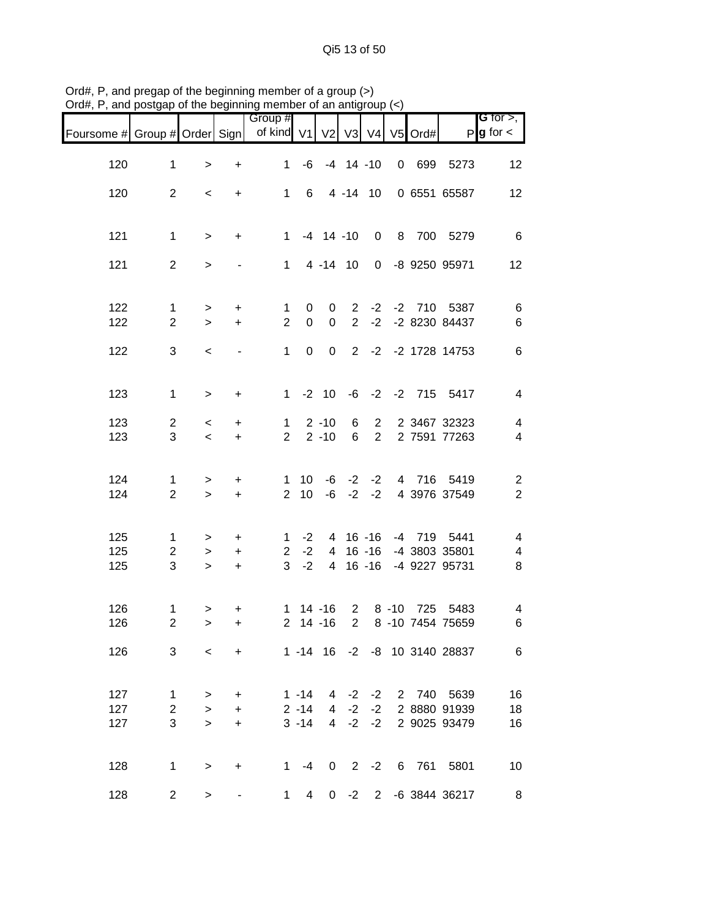| $D$ iu#, r, and postyap or the beginning member or an antigroup $(\leq)$ |                                |                     |                        |                                        |                       |                      |                         |                            |           |                                       |                                           |
|--------------------------------------------------------------------------|--------------------------------|---------------------|------------------------|----------------------------------------|-----------------------|----------------------|-------------------------|----------------------------|-----------|---------------------------------------|-------------------------------------------|
| Foursome # Group # Order Sign                                            |                                |                     |                        | Group #<br>of kind V1 V2 V3 V4 V5 Ord# |                       |                      |                         |                            |           |                                       | G for $>$ ,<br>$P$ <b>g</b> for $\lt$     |
| 120                                                                      | $\mathbf 1$                    | $\, > \,$           | $\ddot{}$              | $\mathbf 1$                            | -6                    |                      | $-4$ 14 $-10$           |                            | 0 699     | 5273                                  | 12                                        |
| 120                                                                      | $\overline{2}$                 | $\,<\,$             | $\ddot{}$              | $\mathbf{1}$                           | 6                     |                      |                         | 4 - 14 10                  |           | 0 6551 65587                          | 12                                        |
|                                                                          |                                |                     |                        |                                        |                       |                      |                         |                            |           |                                       |                                           |
| 121                                                                      | $\mathbf{1}$                   | $\mathbf{L}$        | $\ddot{}$              | $\mathbf{1}$                           |                       | $-4$ 14 $-10$        |                         | $\mathbf 0$                |           | 8 700 5279                            | 6                                         |
| 121                                                                      | $\overline{2}$                 | $\, > \,$           |                        | $\mathbf 1$                            |                       | 4 -14 10             |                         |                            |           | 0 -8 9250 95971                       | 12                                        |
| 122<br>122                                                               | $\mathbf{1}$<br>$\overline{2}$ | ><br>$\geq$         | +<br>$\ddot{}$         | $\mathbf{1}$<br>$\overline{2}$         | 0<br>$\mathbf 0$      | 0<br>$\mathbf 0$     | $\overline{2}$<br>2     | $-2$                       |           | -2 -2 710 5387<br>-2 8230 84437       | 6<br>6                                    |
| 122                                                                      | 3                              |                     |                        | $\mathbf{1}$                           | $\mathbf 0$           | $\mathbf 0$          | 2                       |                            |           | -2 -2 1728 14753                      | 6                                         |
|                                                                          |                                | $\,<$               |                        |                                        |                       |                      |                         |                            |           |                                       |                                           |
| 123                                                                      | $\mathbf{1}$                   | $\, > \,$           | $\ddot{}$              |                                        | $1 - 2 10$            |                      |                         |                            |           | -6 -2 -2 715 5417                     | 4                                         |
| 123<br>123                                                               | $\overline{2}$<br>3            | $\,<\,$<br>$\,<$    | +<br>$\ddot{}$         | 1<br>$\overline{2}$                    |                       | $2 - 10$<br>$2 - 10$ | 6<br>6                  | $2^{\circ}$<br>$2^{\circ}$ |           | 2 3467 32323<br>2 7591 77263          | 4<br>4                                    |
|                                                                          |                                |                     |                        |                                        |                       |                      |                         |                            |           |                                       |                                           |
| 124<br>124                                                               | $\mathbf{1}$<br>$\overline{2}$ | $\, > \,$<br>$\geq$ | $\ddot{}$<br>$\ddot{}$ | $\mathbf{1}$<br>$\overline{2}$         | 10<br>10 <sup>1</sup> |                      | $-6 -2$<br>$-6 -2$      | $-2$<br>$-2$               |           | 4 716 5419<br>4 3976 37549            | $\overline{\mathbf{c}}$<br>$\overline{2}$ |
|                                                                          |                                |                     |                        |                                        |                       |                      |                         |                            |           |                                       |                                           |
| 125<br>125                                                               | $\mathbf{1}$<br>$\overline{c}$ | ><br>$\,>$          | +<br>$\ddot{}$         | $\mathbf 1$<br>$\overline{2}$          | $-2$<br>$-2$          |                      |                         | 4 16 -16                   |           | -4 719 5441<br>4 16 -16 -4 3803 35801 | 4<br>4                                    |
| 125                                                                      | 3                              | $\geq$              | $\ddot{}$              | 3                                      | $-2$                  | $\overline{4}$       |                         | $16 - 16$                  |           | -4 9227 95731                         | 8                                         |
| 126                                                                      | 1                              | $\, > \,$           | $\ddot{}$              |                                        | $1 \t14 - 16$         |                      | $\overline{\mathbf{2}}$ |                            | 8 -10 725 | 5483                                  | 4                                         |
| 126                                                                      | $\overline{2}$                 | $\geq$              | $\pm$                  |                                        |                       |                      |                         |                            |           | 2 14 -16 2 8 -10 7454 75659           | 6                                         |
| 126                                                                      | 3                              | $\lt$               | $+$                    |                                        |                       |                      |                         |                            |           | 1 -14 16 -2 -8 10 3140 28837          | 6                                         |
| 127                                                                      | $\mathbf{1}$                   | $\, >$              | $+$                    |                                        |                       |                      |                         |                            |           | 1 -14 4 -2 -2 2 740 5639              | 16                                        |
| 127                                                                      | $\overline{2}$                 |                     |                        |                                        | $2 - 14$ 4 $-2$ $-2$  |                      |                         |                            |           | 2 8880 91939                          |                                           |
|                                                                          |                                | $\,>$               | $+$                    |                                        |                       |                      |                         |                            |           |                                       | 18                                        |
| 127                                                                      | $\mathfrak{S}$                 | $\geq$              | $+$                    |                                        | $3 - 14$ 4 $-2$ $-2$  |                      |                         |                            |           | 2 9025 93479                          | 16                                        |
| 128                                                                      | $\mathbf{1}$                   | $\geq$              | $+$                    |                                        |                       |                      |                         |                            |           | 1 -4 0 2 -2 6 761 5801                | 10                                        |
| 128                                                                      | $\overline{2}$                 |                     | $>$ $\sim$             |                                        |                       |                      |                         |                            |           | 1 4 0 -2 2 -6 3844 36217              | 8 <sup>8</sup>                            |

Ord#, P, and pregap of the beginning member of a group (>) Ord#, P, and postgap of the beginning member of an antigroup (<)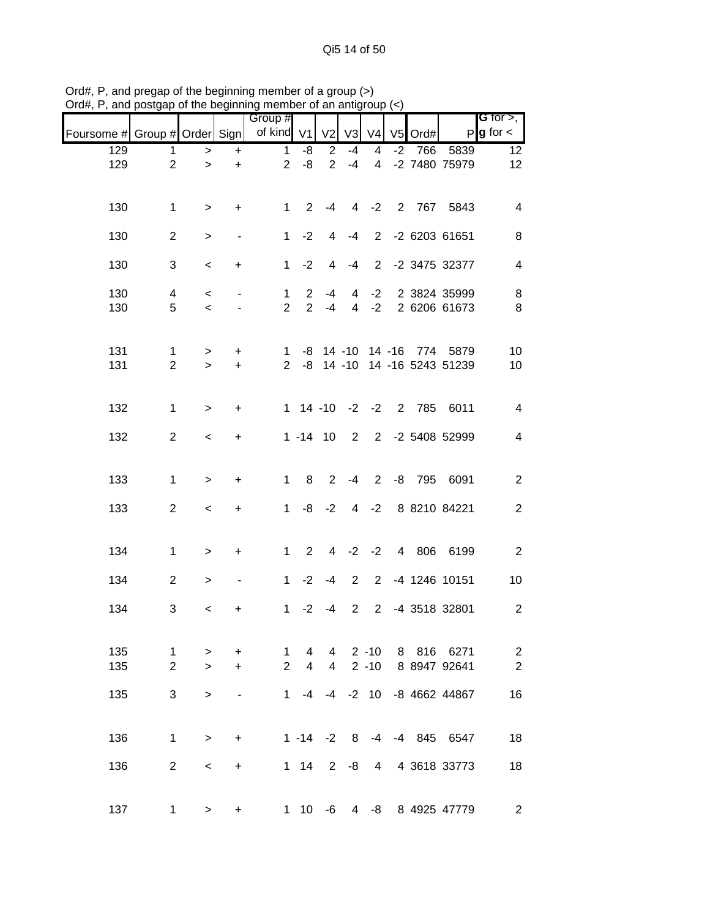| nam, i , and poolgap          |                                |                |                          | $\sim$ and beginning member or an anagroup $(\sim)$ |               |                 |                |                   |      |         |                                                          |                                              |
|-------------------------------|--------------------------------|----------------|--------------------------|-----------------------------------------------------|---------------|-----------------|----------------|-------------------|------|---------|----------------------------------------------------------|----------------------------------------------|
| Foursome # Group # Order Sign |                                |                |                          | Group #<br>of kind V1 V2                            |               |                 | V3             | V <sub>4</sub>    |      | V5 Ord# |                                                          | <b>G</b> for $>$ ,<br>$P$ <b>g</b> for $\lt$ |
| 129                           | 1                              | $\,>$          | $\ddot{}$                | $\mathbf{1}$                                        | -8            | $\overline{2}$  | $-4$           | 4                 | $-2$ | 766     | 5839                                                     | 12 <sub>2</sub>                              |
| 129                           | $\overline{2}$                 | $\geq$         | $\ddot{}$                | $\overline{2}$                                      | $-8$          | $\overline{2}$  | $-4$           |                   |      |         | 4 -2 7480 75979                                          | 12                                           |
| 130                           | $\mathbf{1}$                   | $\geq$         | $+$                      |                                                     | $1 \t2 \t-4$  |                 |                |                   |      |         | 4 -2 2 767 5843                                          | $\overline{4}$                               |
| 130                           | $\overline{2}$                 | $\,$           | $\blacksquare$           | $\mathbf 1$                                         | $-2$          |                 | $4 - 4$        |                   |      |         | 2 -2 6203 61651                                          | 8                                            |
| 130                           | 3                              | $\,<$          | $\ddot{}$                | $\mathbf{1}$                                        | $-2$          | $\overline{4}$  | $-4$           |                   |      |         | 2 -2 3475 32377                                          | $\overline{\mathcal{A}}$                     |
| 130<br>130                    | $\overline{4}$<br>5            | $\,<$<br>$\,<$ | $\overline{\phantom{a}}$ | $\mathbf{1}$<br>$\overline{2}$                      | $2^{\circ}$   | $-4$<br>$2 - 4$ | $\overline{4}$ | $-2$<br>$4 -2$    |      |         | 2 3824 35999<br>2 6206 61673                             | 8<br>8                                       |
| 131<br>131                    | $\mathbf{1}$<br>$\overline{2}$ | ><br>$\geq$    | $\ddot{}$<br>$\ddot{}$   | $\mathbf 1$<br>$\overline{2}$                       |               |                 |                |                   |      |         | -8 14 -10 14 -16 774 5879<br>-8 14 -10 14 -16 5243 51239 | 10<br>10                                     |
| 132                           | $\mathbf{1}$                   | $\,>$          | $\ddot{}$                |                                                     |               |                 |                |                   |      |         | 1 14 -10 -2 -2 2 785 6011                                | $\overline{4}$                               |
| 132                           | $\overline{2}$                 | $\,<$          | $+$                      |                                                     |               |                 |                |                   |      |         | 1 -14 10 2 2 -2 5408 52999                               | $\overline{4}$                               |
| 133                           | $\mathbf{1}$                   | $\, >$         | $\ddot{}$                | $\mathbf 1$                                         |               |                 |                |                   |      |         | 8 2 -4 2 -8 795 6091                                     | $\mathbf{2}$                                 |
| 133                           | $\overline{2}$                 | $\,<$          | $\ddot{}$                | $\mathbf{1}$                                        |               |                 |                | $-8$ $-2$ 4 $-2$  |      |         | 8 8210 84221                                             | $\overline{2}$                               |
| 134                           | $\mathbf{1}$                   | $\, >$         | $\ddot{}$                | $\mathbf{1}$                                        |               |                 |                |                   |      |         | 2 4 -2 -2 4 806 6199                                     | $\sqrt{2}$                                   |
| 134                           | $\overline{2}$                 | $\,$           | $\blacksquare$           | $\mathbf 1$                                         |               |                 |                |                   |      |         | -2 -4 2 2 -4 1246 10151                                  | 10                                           |
| 134                           | 3                              | $\,<$          | +                        |                                                     | $1 -2 -4$     |                 | $\overline{2}$ |                   |      |         | 2 -4 3518 32801                                          | 2                                            |
| 135                           | $\mathbf 1$                    | $\, > \,$      | +                        | 1                                                   | 4             | $\overline{4}$  |                | $2 - 10$          |      | 8 816   | 6271                                                     | $\overline{2}$                               |
| 135                           | $\overline{2}$                 | $\geq$         | $\ddot{}$                | $\overline{2}$                                      | 4             | $\overline{4}$  |                | $2 - 10$          |      |         | 8 8947 92641                                             | $\mathbf{2}$                                 |
| 135                           | 3                              | $\, >$         |                          | $\mathbf{1}$                                        |               |                 |                | $-4$ $-4$ $-2$ 10 |      |         | -8 4662 44867                                            | 16                                           |
| 136                           | $\mathbf{1}$                   | $\,>$          | $\ddot{}$                |                                                     | $1 - 14 - 28$ |                 |                |                   |      |         | -4 -4 845 6547                                           | 18                                           |
| 136                           | $\overline{2}$                 | $\,<$          | +                        |                                                     | $1 \quad 14$  | $2^{\circ}$     | -8             | $\overline{4}$    |      |         | 4 3618 33773                                             | 18                                           |
| 137                           | $\mathbf 1$                    | $\geq$         | $\ddot{}$                |                                                     |               |                 |                | $1 10 -6 4 -8$    |      |         | 8 4925 47779                                             | $\overline{2}$                               |

Ord#, P, and pregap of the beginning member of a group (>) Ord#, P, and postgap of the beginning member of an antigroup (<)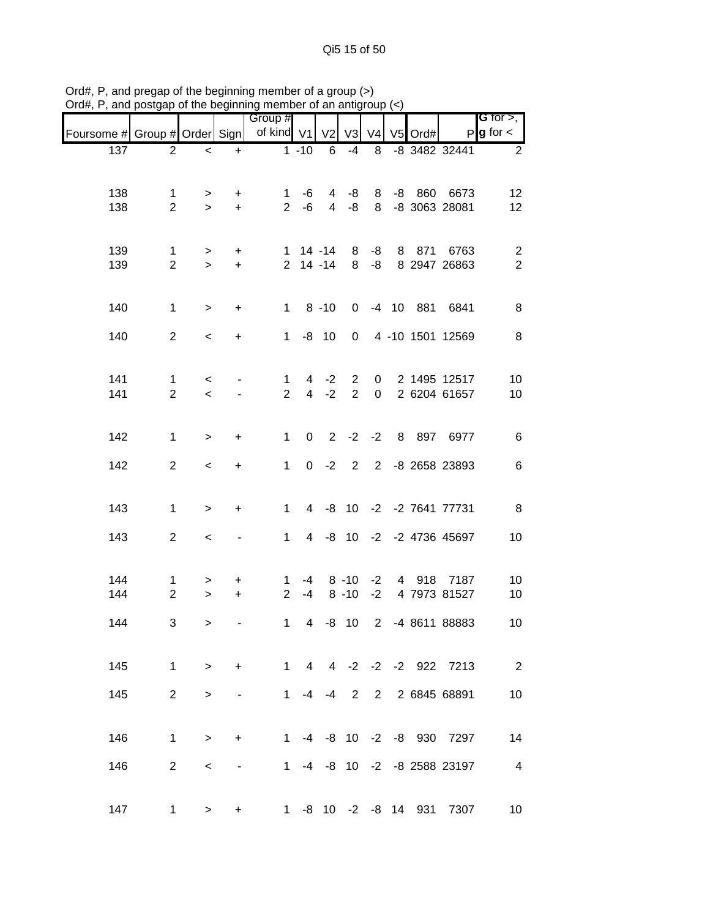| $U$ , $\pi$ , $\pi$ , and postgap of the beginning member of an antigroup $\langle \cdot \rangle$ |                                |                          |                          |                                |                    |                |                |                |            |                             |                                                             |
|---------------------------------------------------------------------------------------------------|--------------------------------|--------------------------|--------------------------|--------------------------------|--------------------|----------------|----------------|----------------|------------|-----------------------------|-------------------------------------------------------------|
| Foursome # Group # Order Sign                                                                     |                                |                          |                          | Group #<br>of kind V1 V2 V3 V4 |                    |                |                |                | V5 Ord#    |                             | <b>G</b> for $>$ , $\blacksquare$<br>$P$ <b>g</b> for $\lt$ |
| 137                                                                                               | $\overline{2}$                 | $\,<$                    | $\ddot{}$                |                                | $1 - 10$           | 6              | $-4$           | 8              |            | -8 3482 32441               | $\overline{2}$                                              |
|                                                                                                   |                                |                          |                          |                                |                    |                |                |                |            |                             |                                                             |
| 138                                                                                               | $\mathbf{1}$<br>$\overline{2}$ | $\, > \,$                | $\ddot{}$                |                                | $1 - 6$<br>$2 - 6$ | $\overline{4}$ | -8             | 8              | -8 860     | 6673                        | 12 <sub>2</sub>                                             |
| 138                                                                                               |                                | $\geq$                   | $+$                      |                                |                    | $\overline{4}$ | -8             |                |            | 8 -8 3063 28081             | 12                                                          |
| 139                                                                                               | $\mathbf{1}$                   | $\geq$                   | $\ddot{}$                |                                | $1 \t14 - 14$      |                |                |                | 8 -8 8 871 | 6763                        | $\overline{c}$                                              |
| 139                                                                                               | $\overline{2}$                 | $\geq$                   | $+$                      |                                |                    | $2$ 14 -14     |                | $8 - 8$        |            | 8 2947 26863                | $\overline{2}$                                              |
|                                                                                                   |                                |                          |                          |                                |                    |                |                |                |            |                             |                                                             |
| 140                                                                                               | $\mathbf{1}$                   | $\geq$                   | $\ddot{}$                |                                | $1 \t 8 \t -10$    |                |                |                |            | 0 -4 10 881 6841            | 8                                                           |
| 140                                                                                               | $\overline{2}$                 | $\overline{\phantom{0}}$ | $\ddot{}$                | $\mathbf 1$                    |                    | $-8$ 10        |                |                |            | 0 4 -10 1501 12569          | 8                                                           |
|                                                                                                   |                                |                          |                          |                                |                    |                |                |                |            |                             |                                                             |
| 141                                                                                               | $\mathbf{1}$                   | $\,<\,$                  |                          | $\mathbf 1$                    |                    | $4 -2$         | $\overline{2}$ | $\mathbf{0}$   |            | 2 1495 12517                | 10                                                          |
| 141                                                                                               | $\overline{2}$                 | $\prec$                  |                          | $\overline{2}$                 |                    | $4 -2$         | $\overline{2}$ | $\overline{0}$ |            | 2 6204 61657                | 10                                                          |
|                                                                                                   |                                |                          |                          |                                |                    |                |                |                |            |                             |                                                             |
| 142                                                                                               | $\mathbf{1}$                   | $\,>$                    | +                        | $\mathbf{1}$                   | $\mathbf 0$        | $2 -2 -2$      |                |                |            | 8 897 6977                  | 6                                                           |
| 142                                                                                               | $\overline{2}$                 | $\,<\,$                  | $\ddot{}$                | $\mathbf{1}$                   |                    | $0 -2$         | $2^{\circ}$    |                |            | 2 -8 2658 23893             | 6                                                           |
|                                                                                                   |                                |                          |                          |                                |                    |                |                |                |            |                             |                                                             |
| 143                                                                                               | $\mathbf{1}$                   | $\,>$                    | $+$                      | $1 \quad$                      |                    |                |                |                |            | 4 -8 10 -2 -2 7641 77731    | 8                                                           |
| 143                                                                                               | $\overline{2}$                 | $\,<\,$                  |                          | $\mathbf{1}$                   |                    |                |                |                |            | 4 -8 10 -2 -2 4736 45697    | 10                                                          |
|                                                                                                   |                                |                          |                          |                                |                    |                |                |                |            |                             |                                                             |
| 144                                                                                               | $\mathbf{1}$                   | >                        | $\ddot{}$                | $\mathbf{1}$                   |                    | $-4$ 8 $-10$   |                | $-2$           |            | 4 918 7187                  | 10                                                          |
| 144                                                                                               | $\overline{2}$                 | $\geq$                   | $\ddot{}$                | $\overline{2}$                 | $-4$               |                | $8 - 10$       | $-2$           |            | 4 7973 81527                | 10                                                          |
| 144                                                                                               | 3                              | $\geq$                   |                          |                                |                    |                |                |                |            | 1 4 -8 10 2 -4 8611 88883   | 10                                                          |
|                                                                                                   |                                |                          |                          |                                |                    |                |                |                |            |                             |                                                             |
| 145                                                                                               | $\mathbf{1}$                   | $\geq$                   | $+$                      |                                |                    |                |                |                |            | 1 4 4 -2 -2 -2 922 7213     | $\overline{\phantom{a}}$ 2                                  |
| 145                                                                                               | $\overline{2}$                 | $\,>$                    | $\overline{\phantom{a}}$ |                                |                    |                |                |                |            | 1 -4 -4 2 2 2 6845 68891    | 10                                                          |
|                                                                                                   |                                |                          |                          |                                |                    |                |                |                |            |                             |                                                             |
| 146                                                                                               | $\mathbf{1}$                   | $\geq$                   | $+$                      |                                |                    |                |                |                |            | 1 -4 -8 10 -2 -8 930 7297   | 14                                                          |
|                                                                                                   | $\overline{2}$                 |                          |                          |                                |                    |                |                |                |            | 1 -4 -8 10 -2 -8 2588 23197 |                                                             |
| 146                                                                                               |                                | $\,<\,$                  |                          |                                |                    |                |                |                |            |                             | $\overline{4}$                                              |
| 147                                                                                               |                                | $1 \quad$<br>$\geq$      |                          | + 1 -8 10 -2 -8 14 931 7307    |                    |                |                |                |            |                             | 10                                                          |
|                                                                                                   |                                |                          |                          |                                |                    |                |                |                |            |                             |                                                             |

Ord#, P, and pregap of the beginning member of a group (>) Ord#, P, and postgap of the beginning member of an antigroup (<)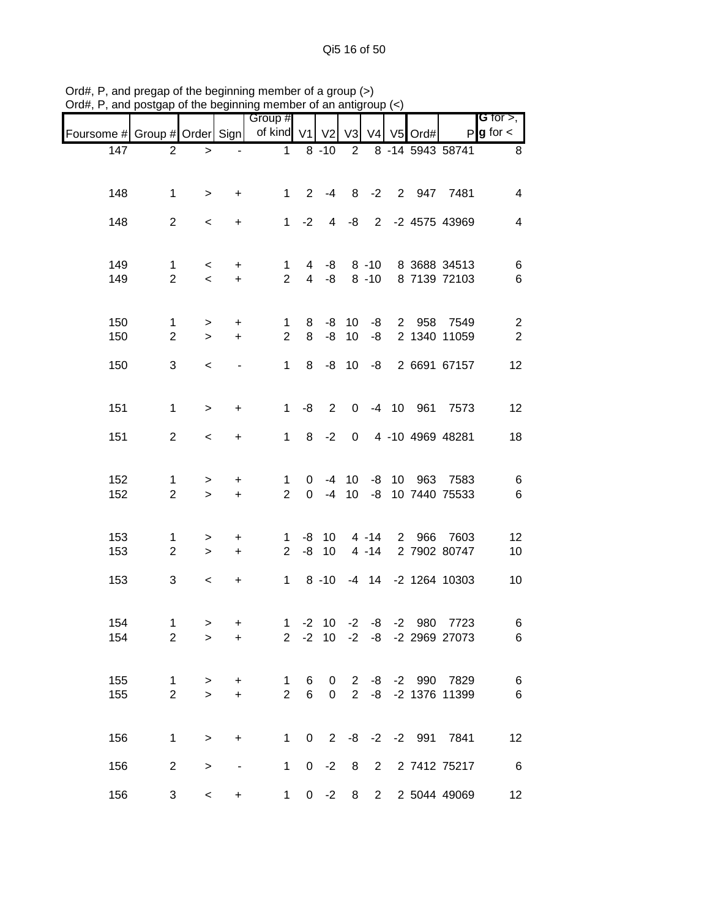Qi5 16 of 50

| $O(\theta_{\rm H},\tau)$ , and postgap or the beginning member or an antigroup ( $\varsigma$ ) |                                |                          |                  |                                        |                                |                    |                       |                      |                      |                                                    |                                              |
|------------------------------------------------------------------------------------------------|--------------------------------|--------------------------|------------------|----------------------------------------|--------------------------------|--------------------|-----------------------|----------------------|----------------------|----------------------------------------------------|----------------------------------------------|
| Foursome # Group # Order Sign                                                                  |                                |                          |                  | Group #<br>of kind V1 V2 V3 V4 V5 Ord# |                                |                    |                       |                      |                      |                                                    | <b>G</b> for $>$ ,<br>$P$ <b>g</b> for $\lt$ |
| 147                                                                                            | $\overline{2}$                 | $\, >$                   |                  | $\mathbf{1}$                           |                                | $8 - 10$           | $\overline{2}$        |                      |                      | 8 -14 5943 58741                                   | 8                                            |
| 148                                                                                            | $\mathbf{1}$                   | $\, > \,$                | $\ddot{}$        | $1 \quad$                              |                                | $2 - 4$            |                       |                      |                      | 8 -2 2 947 7481                                    | 4                                            |
| 148                                                                                            | $\overline{2}$                 | $\overline{\phantom{0}}$ | $\ddot{}$        |                                        | $1 -2$                         | $4\overline{ }$    | -8                    |                      |                      | 2 -2 4575 43969                                    | 4                                            |
| 149<br>149                                                                                     | $\mathbf{1}$<br>$\overline{2}$ | $\,<$<br>$\prec$         | $\ddot{}$<br>$+$ | $\mathbf{1}$<br>$\overline{2}$         |                                | $4 - 8$<br>$4 - 8$ |                       | $8 - 10$<br>$8 - 10$ |                      | 8 3688 34513<br>8 7139 72103                       | 6<br>$\,6$                                   |
| 150<br>150                                                                                     | $\mathbf{1}$<br>$\overline{2}$ | $\, > \,$<br>$\geq$      | +<br>$\ddot{}$   | $\mathbf{1}$<br>$\overline{2}$         | 8<br>8                         | -8<br>-8           | 10 <sup>°</sup><br>10 | -8<br>-8             | 2 958                | 7549<br>2 1340 11059                               | $\overline{c}$<br>$\overline{2}$             |
| 150                                                                                            | 3                              | $\,<$                    |                  | $\mathbf 1$                            | 8                              |                    |                       | $-8$ 10 $-8$         |                      | 2 6691 67157                                       | 12                                           |
| 151                                                                                            | $\mathbf{1}$                   | $\,>$                    | $\ddot{}$        | $\mathbf 1$                            | -8                             | $\overline{2}$     |                       |                      | 0 -4 10 961          | 7573                                               | 12                                           |
| 151                                                                                            | $\overline{2}$                 | $\,<\,$                  | $\ddot{}$        | $\mathbf{1}$                           |                                | $8 - 2$            | $\overline{0}$        |                      |                      | 4 -10 4969 48281                                   | 18                                           |
| 152<br>152                                                                                     | $\mathbf{1}$<br>$\overline{2}$ | ><br>$\geq$              | $\ddot{}$<br>$+$ | $\mathbf{1}$<br>$\overline{2}$         | $\mathbf{0}$<br>$\overline{0}$ | $-4$               |                       |                      | -4 10 -8 10 963      | 7583<br>10 -8 10 7440 75533                        | 6<br>$\,6$                                   |
| 153<br>153                                                                                     | $\mathbf{1}$<br>$\overline{2}$ | ><br>$\,>$               | $\ddot{}$<br>$+$ | $\mathbf 1$<br>$\overline{2}$          |                                | -8 10<br>$-8$ 10   |                       | $4 - 14$<br>$4 - 14$ |                      | 2 966 7603<br>2 7902 80747                         | 12<br>10                                     |
| 153                                                                                            | 3                              | $\,<\,$                  | $\ddot{}$        |                                        |                                | $1 \t 8 \t -10$    |                       |                      |                      | -4 14 -2 1264 10303                                | 10                                           |
| 154<br>154                                                                                     | 1.<br>$2^{\circ}$              | ><br>$\geq$              | $+$              | + 2 -2 10 -2 -8 -2 2969 27073          |                                |                    |                       |                      | 1 -2 10 -2 -8 -2 980 | 7723                                               | 6<br>$\overline{6}$                          |
| 155<br>155                                                                                     | $\mathbf{1}$<br>$\overline{2}$ | ><br>$\geq$              | $+$<br>$+$       |                                        |                                |                    |                       |                      |                      | 1 6 0 2 -8 -2 990 7829<br>2 6 0 2 -8 -2 1376 11399 | $6\overline{6}$<br>6                         |
| 156                                                                                            | $\mathbf{1}$                   | $\geq$                   |                  | $+$ $-$                                |                                |                    |                       |                      |                      | 1 0 2 -8 -2 -2 991 7841                            | 12                                           |
| 156                                                                                            | $\overline{2}$                 | $\, >$                   |                  | <b>Contract Contract Contract</b>      |                                |                    |                       |                      |                      | 1 0 -2 8 2 2 7412 75217                            | $6\overline{6}$                              |
| 156                                                                                            | 3                              | $\leq$                   | $+$              |                                        |                                |                    |                       |                      |                      | 1 0 -2 8 2 2 5044 49069                            | 12                                           |

Ord#, P, and pregap of the beginning member of a group (>) Ord#, P, and postgap of the beginning member of an antigroup (<)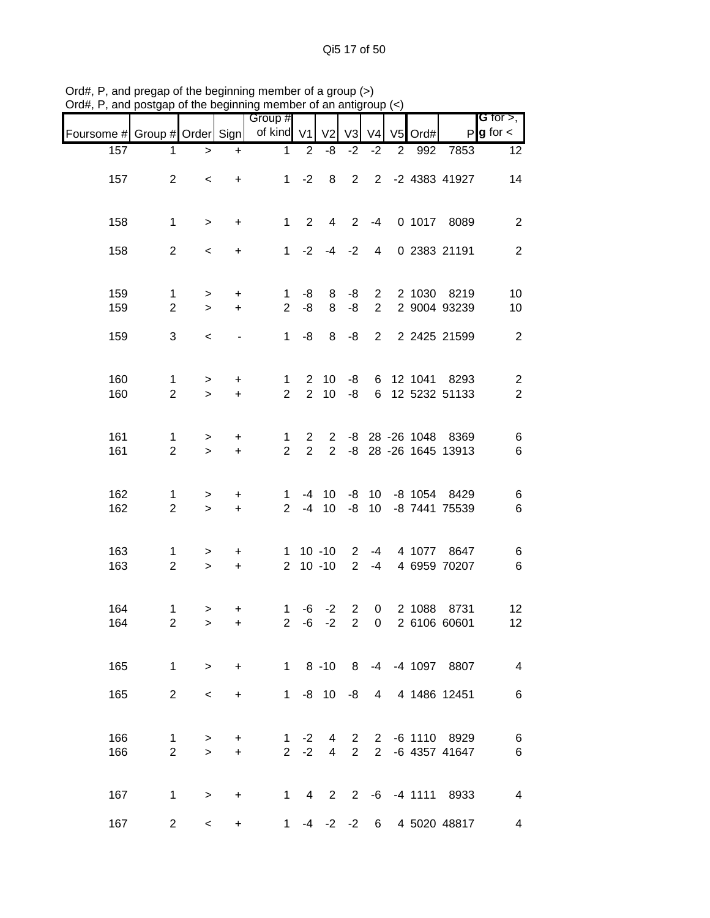|                               |                                |                     |                        | and posigap or the beginning member or an anagroup $(\leq)$ |                                |                                    |                               |                                  |                |           |                                             |                                       |
|-------------------------------|--------------------------------|---------------------|------------------------|-------------------------------------------------------------|--------------------------------|------------------------------------|-------------------------------|----------------------------------|----------------|-----------|---------------------------------------------|---------------------------------------|
| Foursome # Group # Order Sign |                                |                     |                        | Group #<br>of kind V1                                       |                                | V <sub>2</sub>                     | V3                            | V <sub>4</sub>                   |                | V5 Ord#   |                                             | G for $>$ ,<br>$P$ <b>g</b> for $\lt$ |
| 157                           | 1                              | $\geq$              | $\ddot{}$              | $\mathbf 1$                                                 | $\overline{2}$                 | -8                                 | $-2$                          | $-2$                             | $\overline{2}$ | 992       | 7853                                        | 12                                    |
| 157                           | $\overline{2}$                 | $\,<\,$             | $\ddot{}$              | $\mathbf 1$                                                 | $-2$                           | 8                                  | $2^{\circ}$                   |                                  |                |           | 2 -2 4383 41927                             | 14                                    |
| 158                           | $\mathbf 1$                    | $\,>$               | $\ddot{}$              | $\mathbf{1}$                                                | $\overline{2}$                 | 4                                  | $\overline{2}$                | $-4$                             |                |           | 0 1017 8089                                 | $\overline{2}$                        |
| 158                           | $\overline{2}$                 | $\,<$               | $\ddot{}$              | 1                                                           | $-2$                           |                                    | $-4 -2$                       | $\overline{4}$                   |                |           | 0 2383 21191                                | $\overline{2}$                        |
| 159<br>159                    | $\mathbf{1}$<br>$\overline{2}$ | $\, > \,$<br>$\geq$ | $\ddot{}$<br>$+$       | $\mathbf{1}$<br>$\overline{2}$                              | -8<br>-8                       | 8<br>8                             | -8<br>-8                      | $\overline{2}$<br>$\overline{2}$ |                |           | 2 1030 8219<br>2 9004 93239                 | 10<br>10                              |
| 159                           | 3                              | $\,<\,$             |                        | 1                                                           | -8                             | 8                                  | -8                            | $2^{\circ}$                      |                |           | 2 2425 21599                                | $\overline{2}$                        |
| 160<br>160                    | 1<br>$\overline{2}$            | $\, > \,$<br>$\geq$ | $\ddot{}$<br>$\ddot{}$ | 1<br>$\overline{2}$                                         | $2^{\circ}$<br>$2^{\circ}$     | 10 <sup>°</sup><br>10 <sup>1</sup> | -8<br>-8                      |                                  |                | 6 12 1041 | 8293<br>6 12 5232 51133                     | $\overline{c}$<br>$\overline{2}$      |
| 161<br>161                    | 1<br>$\overline{2}$            | $\, > \,$<br>$\,$   | $\ddot{}$<br>$\ddot{}$ | 1<br>$\overline{2}$                                         | $\mathbf{2}$<br>$\overline{2}$ | $2^{\circ}$<br>$2^{\circ}$         |                               |                                  |                |           | -8 28 -26 1048 8369<br>-8 28 -26 1645 13913 | 6<br>6                                |
| 162<br>162                    | 1<br>$\overline{2}$            | $\,>$<br>$\geq$     | $\ddot{}$<br>$\ddot{}$ | $\mathbf 1$<br>$\overline{2}$                               |                                | $-4$ 10<br>$-4$ 10                 | -8                            | 10 <sup>1</sup>                  |                |           | -8 10 -8 1054 8429<br>-8 7441 75539         | 6<br>6                                |
| 163<br>163                    | $\mathbf{1}$<br>$\overline{2}$ | ><br>$\geq$         | +<br>$\ddot{}$         | $\mathbf 1$<br>$\overline{2}$                               |                                | $10 - 10$<br>$10 - 10$             | $\overline{2}$<br>2           | $-4$<br>$-4$                     |                |           | 4 1077 8647<br>4 6959 70207                 | 6<br>6                                |
| 164<br>164                    | $\mathbf 1$<br>$\overline{2}$  | $\, > \,$<br>$\geq$ | +<br>$+$               | 1.<br>$\mathbf{2}^{\prime}$                                 | -6                             | $-6 -2$<br>$-2$                    | $\overline{2}$<br>$2^{\circ}$ | $\overline{0}$<br>$\overline{0}$ |                | 2 1088    | 8731<br>2 6106 60601                        | 12<br>12 <sup>2</sup>                 |
| 165                           | $\mathbf{1}$                   | $\geq$              | $\ddot{}$              |                                                             |                                |                                    | $1 \t 8 \t -10 \t 8$          |                                  |                |           | -4 -4 1097 8807                             | $\overline{4}$                        |
| 165                           | $\overline{2}$                 | $\,<\,$             | $\ddot{}$              | 1                                                           |                                | $-8$ 10                            | -8                            | 4 <sup>1</sup>                   |                |           | 4 1486 12451                                | 6                                     |
| 166<br>166                    | 1<br>$\overline{2}$            | $\, > \,$<br>$\geq$ | $\ddot{}$<br>$\ddot{}$ | 1<br>$\overline{2}$                                         | $-2$<br>$-2$                   | $\overline{4}$                     | $4\quad 2$<br>$\overline{2}$  |                                  |                |           | 2 -6 1110 8929<br>2 -6 4357 41647           | 6<br>6                                |
| 167                           | $\mathbf 1$                    | $\, > \,$           | $\ddot{}$              |                                                             |                                |                                    |                               |                                  |                |           | 1 4 2 2 -6 -4 1111 8933                     | $\overline{\mathbf{4}}$               |
| 167                           | $\overline{c}$                 | $\,<\,$             | +                      | $\mathbf 1$                                                 |                                |                                    |                               |                                  |                |           | -4 -2 -2 6 4 5020 48817                     | 4                                     |

Ord#, P, and pregap of the beginning member of a group (>) Ord#, P, and postgap of the beginning member of an antigroup (<)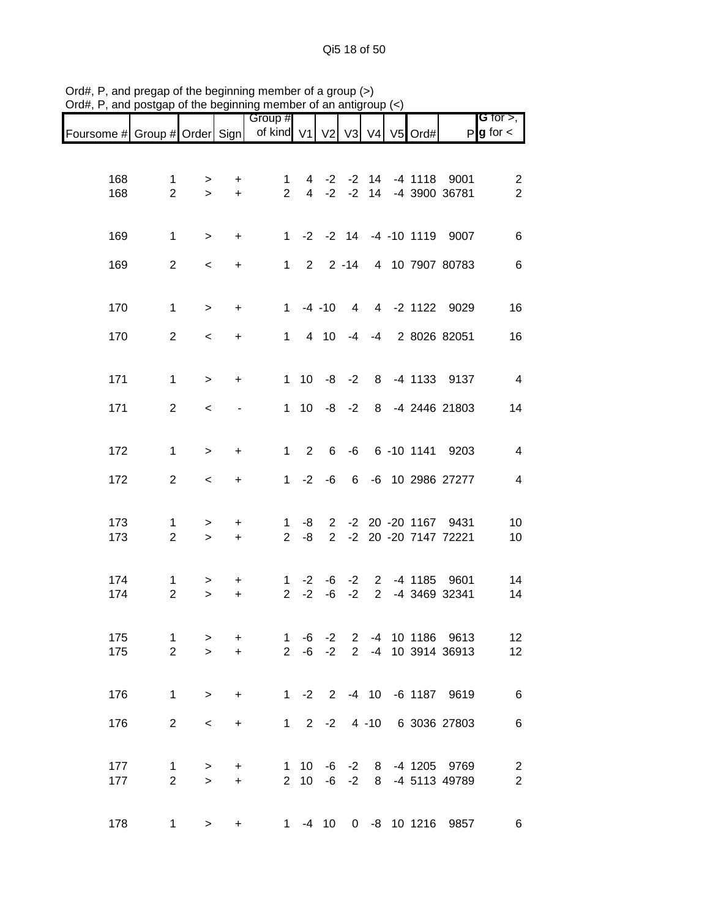Qi5 18 of 50

|                                                                     |                                | ,, ,,, <del>,</del> ,    |                          | $\sim$ gnnmig momoor or an anligrou |                   |      |                      |  |                                                       |                                       |
|---------------------------------------------------------------------|--------------------------------|--------------------------|--------------------------|-------------------------------------|-------------------|------|----------------------|--|-------------------------------------------------------|---------------------------------------|
| Foursome # Group # Order Sign   of kind V1   V2   V3   V4   V5 Ord# |                                |                          |                          | Group #                             |                   |      |                      |  |                                                       | G for $>$ ,<br>$P$ <b>g</b> for $\lt$ |
|                                                                     |                                |                          |                          |                                     |                   |      |                      |  |                                                       |                                       |
| 168<br>168                                                          | $\mathbf 1$<br>$\overline{2}$  | $\geq$<br>$\geq$         | $+$<br>$+$               | 1                                   |                   |      |                      |  | 4 -2 -2 14 -4 1118 9001<br>2 4 -2 -2 14 -4 3900 36781 | 2<br>$\overline{2}$                   |
|                                                                     |                                |                          |                          |                                     |                   |      |                      |  |                                                       |                                       |
| 169                                                                 | $\mathbf{1}$                   | $\geq$                   | $+$                      |                                     |                   |      |                      |  | 1 -2 -2 14 -4 -10 1119 9007                           | 6                                     |
| 169                                                                 | $\overline{2}$                 | $\,<\,$                  | $+$                      |                                     |                   |      |                      |  | 1 2 2 -14 4 10 7907 80783                             | 6                                     |
|                                                                     |                                |                          |                          |                                     |                   |      |                      |  |                                                       |                                       |
| 170                                                                 | $\mathbf{1}$                   | $\geq$                   | $+$                      |                                     |                   |      |                      |  | 1 -4 -10 4 4 -2 1122 9029                             | 16                                    |
| 170                                                                 | $\overline{2}$                 | $\prec$                  | $+$                      |                                     |                   |      |                      |  | 1 4 10 -4 -4 2 8026 82051                             | 16                                    |
| 171                                                                 | $\mathbf{1}$                   | $\geq$                   | $+$                      |                                     |                   |      |                      |  | 1 10 -8 -2 8 -4 1133 9137                             | $\overline{4}$                        |
| 171                                                                 | $\overline{2}$                 | $\overline{\phantom{0}}$ | $\overline{\phantom{a}}$ |                                     |                   |      |                      |  | 1 10 -8 -2 8 -4 2446 21803                            | 14                                    |
|                                                                     |                                |                          |                          |                                     |                   |      |                      |  |                                                       |                                       |
| 172                                                                 | $\mathbf{1}$                   | $\geq$                   | $+$                      |                                     |                   |      |                      |  | 1 2 6 -6 6 -10 1141 9203                              | $\overline{4}$                        |
| 172                                                                 | $\overline{2}$                 | $\,<$                    | $+$                      |                                     |                   |      |                      |  | 1 -2 -6 6 -6 10 2986 27277                            | 4                                     |
|                                                                     |                                |                          |                          |                                     |                   |      |                      |  |                                                       |                                       |
| 173<br>173                                                          | $\mathbf{1}$<br>$\overline{2}$ | $\geq$<br>$\geq$         | $+$<br>$+$               |                                     | $2 - 8$           |      |                      |  | 1 -8 2 -2 20 -20 1167 9431<br>2 -2 20 -20 7147 72221  | 10<br>10                              |
|                                                                     |                                |                          |                          |                                     |                   |      |                      |  |                                                       |                                       |
| 174<br>174                                                          | $\mathbf{1}$<br>$\overline{2}$ | $\geq$<br>$\geq$         | $+$<br>$+$               |                                     |                   |      | $2 -2 -6 -2$         |  | 1 -2 -6 -2 2 -4 1185 9601<br>2 -4 3469 32341          | 14<br>14                              |
|                                                                     |                                |                          |                          |                                     |                   |      |                      |  |                                                       |                                       |
| 175<br>175                                                          | 1<br>$\overline{2}$            | ><br>$\geq$              | $\ddot{}$<br>$+$         |                                     | 1 -6<br>$2 -6 -2$ | $-2$ | $2^{\circ}$          |  | 2 -4 10 1186 9613<br>-4 10 3914 36913                 | 12<br>12                              |
|                                                                     |                                |                          |                          |                                     |                   |      |                      |  |                                                       |                                       |
| 176                                                                 | $\mathbf{1}$                   | $\geq$                   | $+$                      |                                     |                   |      |                      |  | 1 -2 2 -4 10 -6 1187 9619                             | 6                                     |
| 176                                                                 | $\overline{2}$                 | $\,<\,$                  | $\ddot{}$                |                                     | $1 \t2 \t-2$      |      |                      |  | 4 -10 6 3036 27803                                    | 6                                     |
| 177                                                                 |                                |                          |                          |                                     |                   |      |                      |  | 1 10 -6 -2 8 -4 1205 9769                             |                                       |
| 177                                                                 | $\mathbf 1$<br>$\overline{2}$  | $\, > \,$<br>$\geq$      | $\ddot{}$<br>$+$         |                                     |                   |      | $2 \t10 \t -6 \t -2$ |  | 8 -4 5113 49789                                       | $\overline{c}$<br>$\overline{2}$      |
|                                                                     |                                |                          |                          |                                     |                   |      |                      |  |                                                       |                                       |
| 178                                                                 |                                | $1 \quad \Box$<br>$\geq$ |                          | + 1 -4 10 0 -8 10 1216 9857         |                   |      |                      |  |                                                       | 6                                     |

Ord#, P, and pregap of the beginning member of a group (>) Ord#, P, and postgap of the beginning member of an antigroup (<)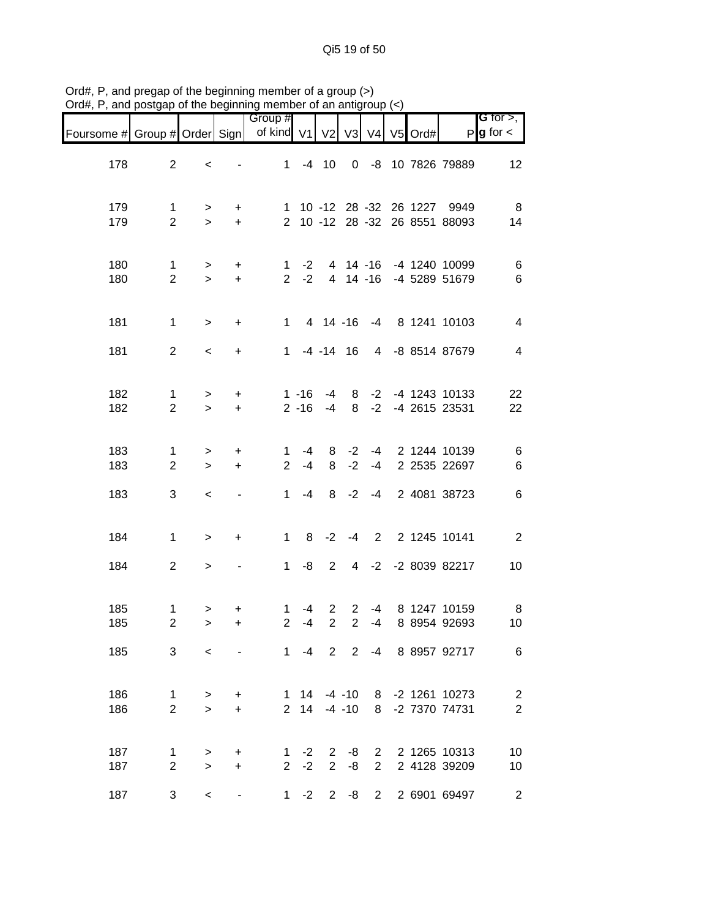Qi5 19 of 50

| Foursome # Group # Order Sign |                                |                          |                          | Group #<br>of kind V1         |                  | V <sub>2</sub>                   | V3                             | $V_4$                      | $V5$ Ord# |                                                               | <b>G</b> for $>$ , $\overline{\phantom{a}}$<br>$P$ <b>g</b> for $\lt$ |
|-------------------------------|--------------------------------|--------------------------|--------------------------|-------------------------------|------------------|----------------------------------|--------------------------------|----------------------------|-----------|---------------------------------------------------------------|-----------------------------------------------------------------------|
| 178                           | $\overline{2}$                 | $\,<\,$                  |                          |                               | $1 - 4 10$       |                                  |                                |                            |           | 0 -8 10 7826 79889                                            | 12                                                                    |
| 179<br>179                    | $\mathbf{1}$<br>$\overline{2}$ | ><br>$\geq$              | $\ddot{}$<br>$+$         |                               |                  |                                  |                                |                            |           | 1 10 -12 28 -32 26 1227 9949<br>2 10 -12 28 -32 26 8551 88093 | 8<br>14                                                               |
| 180<br>180                    | $\mathbf{1}$<br>$\overline{2}$ | ><br>$\geq$              | $\pm$<br>$+$             |                               |                  |                                  |                                |                            |           | 1 -2 4 14 -16 -4 1240 10099<br>2 -2 4 14 -16 -4 5289 51679    | 6<br>$\,6$                                                            |
| 181                           | $\mathbf{1}$                   | $\geq$                   | $+$                      |                               |                  |                                  |                                |                            |           | 1 4 14 -16 -4 8 1241 10103                                    | 4                                                                     |
| 181                           | $\overline{2}$                 | $\overline{\phantom{0}}$ | $\ddot{}$                |                               |                  | 1 -4 -14 16                      |                                |                            |           | 4 -8 8514 87679                                               | 4                                                                     |
| 182<br>182                    | 1<br>$\overline{2}$            | $\geq$<br>$\geq$         | $\ddot{}$<br>$+$         |                               |                  |                                  |                                |                            |           | 1 -16 -4 8 -2 -4 1243 10133<br>2 -16 -4 8 -2 -4 2615 23531    | 22<br>22                                                              |
| 183<br>183                    | $\mathbf{1}$<br>$\overline{2}$ | ><br>$\geq$              | $\ddot{}$<br>$+$         | $\mathbf 1$<br>$\overline{2}$ | -4<br>$-4$       | 8                                | $-2$                           | $-4$                       |           | 8 -2 -4 2 1244 10139<br>2 2535 22697                          | 6<br>$\,6$                                                            |
| 183                           | 3                              | $\prec$                  |                          | $1 \quad$                     | $-4$             |                                  | $8 - 2$                        | $-4$                       |           | 2 4081 38723                                                  | $6\phantom{1}6$                                                       |
| 184                           | $\mathbf 1$                    | $\, > \,$                | $\ddot{}$                |                               |                  |                                  |                                |                            |           | 1 8 -2 -4 2 2 1245 10141                                      | $\overline{2}$                                                        |
| 184                           | $\overline{2}$                 | $\, >$                   | $\overline{\phantom{a}}$ |                               | $1 - 8$          | 2                                |                                |                            |           | 4 -2 -2 8039 82217                                            | 10                                                                    |
| 185<br>185                    | $\mathbf 1$<br>$\overline{2}$  | ><br>$\geq$              | +<br>$\ddot{}$           | 1<br>$\overline{2}$           | -4<br>$-4$       | $\overline{2}$<br>$\overline{2}$ | $\mathbf{2}$<br>$\overline{2}$ | $-4$<br>$-4$               |           | 8 1247 10159<br>8 8954 92693                                  | 8<br>10                                                               |
| 185                           | 3                              | $\prec$                  |                          |                               |                  |                                  |                                |                            |           | 1 -4 2 2 -4 8 8957 92717                                      | 6                                                                     |
| 186<br>186                    | $\mathbf{1}$<br>$\overline{2}$ | $\, > \,$<br>$\geq$      | $+$<br>$\ddot{}$         |                               | 2 14             |                                  | $-4 - 10$                      |                            |           | 1 14 -4 -10 8 -2 1261 10273<br>8 -2 7370 74731                | $\overline{2}$<br>$\overline{2}$                                      |
| 187<br>187                    | 1<br>$\overline{2}$            | ><br>$\geq$              | $\ddot{}$<br>$\ddot{}$   |                               | $1 -2$<br>$2 -2$ | 2<br>$2^{\circ}$                 | -8<br>-8                       | $2^{\circ}$<br>$2^{\circ}$ |           | 2 1265 10313<br>2 4128 39209                                  | 10<br>10                                                              |
| 187                           | 3                              | $\,<\,$                  |                          |                               |                  | $1 -2 2 -8$                      |                                | $2^{\circ}$                |           | 2 6901 69497                                                  | $\overline{2}$                                                        |

Ord#, P, and pregap of the beginning member of a group (>) Ord#, P, and postgap of the beginning member of an antigroup (<)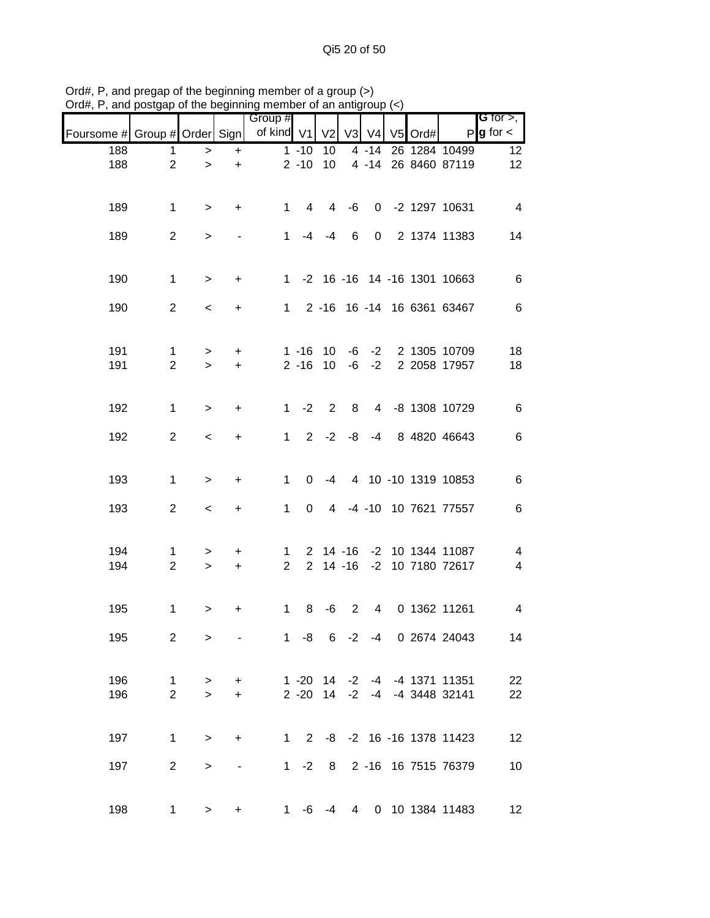|            |                                | טו ווויט טען טווי   |                          | $\overline{a}$                |                            |                 |                |                    |         |                                                              |                                              |
|------------|--------------------------------|---------------------|--------------------------|-------------------------------|----------------------------|-----------------|----------------|--------------------|---------|--------------------------------------------------------------|----------------------------------------------|
| Foursome # | Group # Order Sign             |                     |                          | Group #<br>of kind V1         |                            | V <sub>2</sub>  | V <sub>3</sub> | V <sub>4</sub>     | V5 Ord# |                                                              | <b>G</b> for $>$ ,<br>$P$ <b>g</b> for $\lt$ |
| 188        | 1                              | $\,$                | $\ddot{}$                |                               | $1 - 10$                   | 10              |                | $4 - 14$           |         | 26 1284 10499                                                | 12                                           |
| 188        | $\overline{2}$                 | $\, > \,$           | $\ddot{}$                |                               | $2 - 10$                   | 10 <sup>1</sup> |                |                    |         | 4 -14 26 8460 87119                                          | 12                                           |
| 189        | $\mathbf{1}$                   | $\geq$              | $\ddot{}$                | $\mathbf 1$                   | $\overline{4}$             |                 | $4 - 6$        |                    |         | 0 -2 1297 10631                                              | $\overline{4}$                               |
| 189        | $\overline{2}$                 | $\geq$              |                          | $\mathbf{1}$                  | $-4$                       | $-4$            | 6              |                    |         | 0 2 1374 11383                                               | 14                                           |
| 190        | $\mathbf{1}$                   | $\,>$               | $\ddot{}$                |                               |                            |                 |                |                    |         | 1 -2 16 -16 14 -16 1301 10663                                | $\,6$                                        |
| 190        | $\overline{2}$                 | $\prec$             | +                        |                               |                            |                 |                |                    |         | 1 2 -16 16 -14 16 6361 63467                                 | 6                                            |
| 191<br>191 | $\mathbf{1}$<br>$\overline{2}$ | $\, > \,$<br>$\geq$ | +<br>$\ddot{}$           |                               | $1 - 16$ 10<br>$2 - 16$ 10 |                 |                | $-6 -2$<br>$-6 -2$ |         | 2 1305 10709<br>2 2058 17957                                 | 18<br>18                                     |
| 192        | $\mathbf{1}$                   | $\,>$               | +                        | $1 \quad$                     | $-2$                       | $\overline{2}$  | 8              |                    |         | 4 -8 1308 10729                                              | $\,6\,$                                      |
| 192        | $\overline{2}$                 | $\,<$               | +                        | $\mathbf{1}$                  |                            |                 | $2 -2 -8$      | $-4$               |         | 8 4820 46643                                                 | $\,6$                                        |
| 193        | $\mathbf{1}$                   | $\geq$              | $\ddot{}$                | $\mathbf{1}$                  | $\Omega$                   | $-4$            |                |                    |         | 4 10 -10 1319 10853                                          | $\,6$                                        |
| 193        | $\overline{2}$                 | $\,<$               | $\ddot{}$                | $\mathbf{1}$                  | $\mathbf 0$                |                 |                |                    |         | 4 -4 -10 10 7621 77557                                       | $\,6$                                        |
| 194<br>194 | $\mathbf{1}$<br>$\overline{2}$ | ><br>$\geq$         | +<br>$\ddot{}$           | $\mathbf 1$<br>$\overline{2}$ |                            |                 | $2 \t14 - 16$  |                    |         | 2 14 -16 -2 10 1344 11087<br>-2 10 7180 72617                | 4<br>4                                       |
| 195        | $\mathbf 1$                    | >                   | +                        | $\mathbf{1}$                  | 8                          | -6              | 2              | $\overline{4}$     |         | 0 1362 11261                                                 | 4                                            |
| 195        | $\overline{2}$                 | $\geq$              | $\overline{\phantom{a}}$ |                               |                            |                 |                |                    |         | 1 -8 6 -2 -4 0 2674 24043                                    | 14                                           |
| 196<br>196 | $\mathbf{1}$<br>$\overline{2}$ | $\, > \,$<br>$\geq$ | $\ddot{}$<br>$\ddot{}$   |                               |                            |                 |                |                    |         | 1 -20 14 -2 -4 -4 1371 11351<br>2 -20 14 -2 -4 -4 3448 32141 | 22<br>22                                     |
| 197        | $\mathbf{1}$                   | $\geq$              | $\ddot{}$                |                               |                            |                 |                |                    |         | 1 2 -8 -2 16 -16 1378 11423                                  | 12                                           |
| 197        | $\overline{2}$                 | $\, > \,$           |                          |                               |                            |                 |                |                    |         | 1 -2 8 2 -16 16 7515 76379                                   | 10                                           |
| 198        | $\mathbf{1}$                   | $\, > \,$           | +                        |                               | $1 - 6 - 4$                |                 |                |                    |         | 4 0 10 1384 11483                                            | 12                                           |

Ord#, P, and pregap of the beginning member of a group (>) Ord#, P, and postgap of the beginning member of an antigroup (<)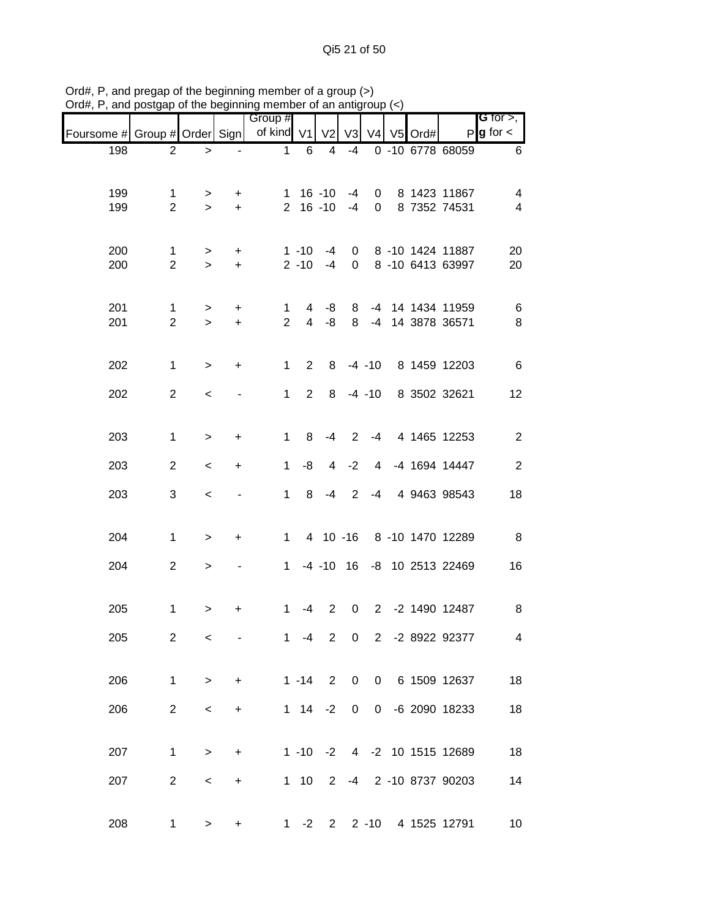| $O(dH, F, dH)$ posigap or the beginning member or an analytoup $(S)$ |                                |                     |                        |                       |                                  |                |                                  |           |       |      |                                      |                                                              |
|----------------------------------------------------------------------|--------------------------------|---------------------|------------------------|-----------------------|----------------------------------|----------------|----------------------------------|-----------|-------|------|--------------------------------------|--------------------------------------------------------------|
| Foursome #                                                           | Group # Order Sign             |                     |                        | Group #<br>of kind V1 |                                  | V <sub>2</sub> | V3                               |           | V4 V5 | Ord# | P                                    | <b>G</b> for $>$ , $\overline{\phantom{a}}$<br>$g$ for $\lt$ |
| 198                                                                  | $\overline{2}$                 | $\geq$              |                        | $\mathbf{1}$          | 6                                | $\overline{4}$ | $-4$                             |           |       |      | $0 - 10 6778 68059$                  | 6                                                            |
| 199<br>199                                                           | $\mathbf{1}$<br>$\overline{2}$ | $\, > \,$<br>$\geq$ | +<br>$\ddot{}$         |                       | $1 \t16 \t-10$<br>$2 \t16 \t-10$ |                | $-4$<br>$-4$                     | 0<br>0    |       |      | 8 1423 11867<br>8 7352 74531         | 4<br>4                                                       |
| 200<br>200                                                           | $\mathbf{1}$<br>$\overline{2}$ | $\, > \,$<br>$\geq$ | $\ddot{}$<br>$\ddot{}$ |                       | $1 - 10$<br>$2 - 10$             | -4<br>$-4$     | $\overline{0}$<br>$\overline{0}$ |           |       |      | 8 -10 1424 11887<br>8 -10 6413 63997 | 20<br>20                                                     |
| 201<br>201                                                           | 1<br>$\overline{2}$            | ><br>$\geq$         | +<br>$\ddot{}$         | 1<br>$\overline{2}$   | 4<br>$\overline{4}$              | -8<br>$-8$     | 8<br>8                           |           |       |      | -4 14 1434 11959<br>-4 14 3878 36571 | 6<br>8                                                       |
| 202                                                                  | $\mathbf 1$                    | >                   | +                      | $\mathbf{1}$          | $\overline{2}$                   | 8              |                                  | $-4 - 10$ |       |      | 8 1459 12203                         | $6\phantom{1}6$                                              |
| 202                                                                  | $\overline{2}$                 | $\,<$               | -                      | $\mathbf 1$           | $\overline{2}$                   | 8              |                                  | $-4 - 10$ |       |      | 8 3502 32621                         | 12                                                           |
| 203                                                                  | $\mathbf{1}$                   | $\, > \,$           | +                      | $\mathbf{1}$          | 8                                | $-4$           | $2^{\circ}$                      | $-4$      |       |      | 4 1465 12253                         | $\overline{2}$                                               |
| 203                                                                  | $\overline{2}$                 | $\,<$               | +                      | $\mathbf{1}$          | -8                               | 4              | $-2$                             |           |       |      | 4 -4 1694 14447                      | $\boldsymbol{2}$                                             |
| 203                                                                  | 3                              | $\,<$               |                        | $\mathbf 1$           | 8                                | $-4$           | $2^{\circ}$                      | $-4$      |       |      | 4 9463 98543                         | 18                                                           |
| 204                                                                  | $\mathbf 1$                    | $\, > \,$           | +                      | $1 \quad$             |                                  |                |                                  |           |       |      | 4 10 -16 8 -10 1470 12289            | 8                                                            |
| 204                                                                  | $\overline{2}$                 | $\geq$              |                        | 1                     |                                  |                |                                  |           |       |      | -4 -10 16 -8 10 2513 22469           | 16                                                           |
| 205                                                                  | 1                              | >                   | +                      | 1                     | -4                               | $\overline{2}$ | $\mathbf 0$                      |           |       |      | 2 -2 1490 12487                      | 8                                                            |
| 205                                                                  | $\overline{2}$                 | $\,<$               |                        |                       | $1 -4 2$                         |                | $\overline{0}$                   |           |       |      | 2 -2 8922 92377                      | 4                                                            |
| 206                                                                  | $\mathbf{1}$                   | $\geq$              | $\ddot{}$              |                       | $1 - 14$ 2                       |                | $\overline{0}$                   |           |       |      | 0 6 1509 12637                       | 18                                                           |
| 206                                                                  | $\overline{2}$                 | $\,<$               | +                      |                       | $1 \t14 \t-2$                    |                | $\overline{0}$                   |           |       |      | 0 -6 2090 18233                      | 18                                                           |
| 207                                                                  | $\mathbf{1}$                   | $\, >$              | $\ddot{}$              |                       |                                  |                |                                  |           |       |      | 1 -10 -2 4 -2 10 1515 12689          | 18                                                           |
| 207                                                                  | $\overline{2}$                 | $\,<\,$             | $+$                    |                       |                                  |                |                                  |           |       |      | 1 10 2 -4 2 -10 8737 90203           | 14                                                           |
| 208                                                                  | 1                              | >                   | +                      |                       |                                  |                |                                  |           |       |      | 1 -2 2 2 -10 4 1525 12791            | 10                                                           |

Ord#, P, and pregap of the beginning member of a group (>) Ord#, P, and postgap of the beginning member of an antigroup (<)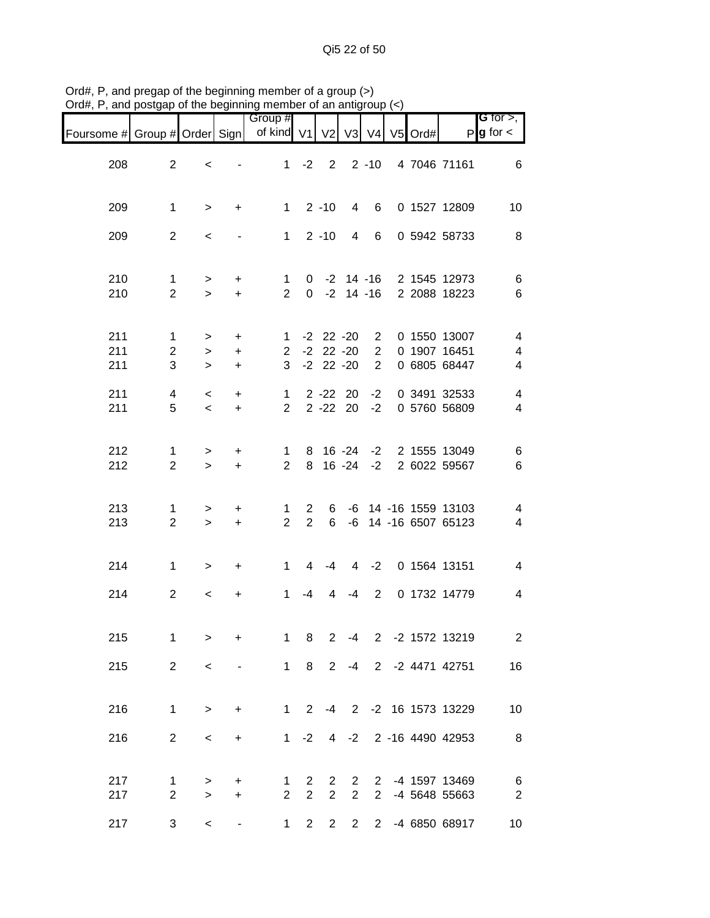Qi5 22 of 50

| ana i                                         | oolyap                              |                       |                                     | or are beginning included or arraingroup $(\leq)$ |                                |                                  |                                |                                                  |         |                                              |                                       |
|-----------------------------------------------|-------------------------------------|-----------------------|-------------------------------------|---------------------------------------------------|--------------------------------|----------------------------------|--------------------------------|--------------------------------------------------|---------|----------------------------------------------|---------------------------------------|
| Foursome # Group # Order Sign   of kind V1 V2 |                                     |                       |                                     | Group #                                           |                                |                                  |                                | V3 V4                                            | V5 Ord# |                                              | G for $>$ ,<br>$P$ <b>g</b> for $\lt$ |
| 208                                           | $\overline{2}$                      | $\,<$                 |                                     | 1                                                 | $-2$                           | 2                                |                                | $2 - 10$                                         |         | 4 7046 71161                                 | 6                                     |
| 209                                           | $\mathbf 1$                         | $\, > \,$             | $\ddot{}$                           | $\mathbf{1}$                                      |                                | $2 - 10$                         | $\overline{4}$                 | 6                                                |         | 0 1527 12809                                 | 10                                    |
| 209                                           | $\overline{2}$                      | $\,<\,$               |                                     | $1 \quad$                                         |                                | $2 - 10$                         | 4                              | 6                                                |         | 0 5942 58733                                 | 8                                     |
| 210<br>210                                    | $\mathbf{1}$<br>$\overline{2}$      | $\, >$<br>$\geq$      | $\ddot{}$<br>$\ddot{}$              | $\mathbf{1}$<br>$\overline{2}$                    |                                |                                  |                                | $0 -2 14 -16$<br>$0 -2 14 -16$                   |         | 2 1545 12973<br>2 2088 18223                 | 6<br>$\,6\,$                          |
| 211<br>211<br>211                             | $\mathbf{1}$<br>$\overline{2}$<br>3 | ><br>$\, >$<br>$\geq$ | $\ddot{}$<br>$\ddot{}$<br>$\ddot{}$ | $\mathbf 1$<br>$\overline{2}$<br>3                |                                | $-2$ 22 $-20$<br>$-2$ 22 $-20$   | $-2$ 22 $-20$                  | $\mathbf{2}$<br>2 <sup>7</sup><br>$\overline{2}$ |         | 0 1550 13007<br>0 1907 16451<br>0 6805 68447 | $\overline{\mathcal{A}}$<br>4<br>4    |
| 211<br>211                                    | 4<br>5                              | $\,<$<br>$\prec$      | $\ddot{}$<br>$\ddot{}$              | $\mathbf{1}$<br>$\overline{2}$                    |                                | $2 - 22$ 20                      | $2 - 22$ 20                    | $-2$<br>$-2$                                     |         | 0 3491 32533<br>0 5760 56809                 | $\overline{\mathcal{A}}$<br>4         |
| 212<br>212                                    | 1<br>$\overline{2}$                 | $\, > \,$<br>$\geq$   | $\ddot{}$<br>$\ddot{}$              | 1<br>$\overline{2}$                               | 8                              |                                  | $16 - 24$                      | $-2$                                             |         | 8 16 -24 -2 2 1555 13049<br>2 6022 59567     | 6<br>6                                |
| 213<br>213                                    | 1<br>$\overline{2}$                 | $\, > \,$<br>$\geq$   | $\ddot{}$<br>$\ddot{}$              | $\mathbf 1$<br>$\overline{2}$                     | $\mathbf{2}$<br>$\overline{2}$ | 6                                | -6                             |                                                  |         | 6 -6 14 -16 1559 13103<br>14 -16 6507 65123  | 4<br>$\overline{\mathcal{A}}$         |
| 214                                           | $\mathbf 1$                         | $\, > \,$             | $\ddot{}$                           | $\mathbf{1}$                                      | $\overline{4}$                 | -4                               |                                | $4 -2$                                           |         | 0 1564 13151                                 | $\overline{\mathcal{A}}$              |
| 214                                           | $\overline{2}$                      | $\,<\,$               | +                                   | $\mathbf{1}$                                      | $-4$                           | 4                                | $-4$                           | $\overline{2}$                                   |         | 0 1732 14779                                 | $\overline{\mathcal{A}}$              |
| 215                                           | 1                                   | $\geq$                | $\ddot{}$                           | 1                                                 | 8                              |                                  |                                |                                                  |         | 2 -4 2 -2 1572 13219                         | $\overline{c}$                        |
| 215                                           | $\overline{2}$                      | $\,<$                 |                                     | $\mathbf{1}$                                      | 8                              |                                  | $2 - 4$                        |                                                  |         | 2 -2 4471 42751                              | 16                                    |
| 216                                           | $\mathbf 1$                         | $\,>$                 | $\ddot{}$                           | $\mathbf{1}$                                      |                                |                                  |                                |                                                  |         | 2 -4 2 -2 16 1573 13229                      | 10                                    |
| 216                                           | $\overline{2}$                      | $\,<\,$               | $\ddot{}$                           | 1                                                 | $-2$                           |                                  | $4 -2$                         |                                                  |         | 2 -16 4490 42953                             | 8                                     |
| 217<br>217                                    | 1<br>$\overline{2}$                 | $\, > \,$<br>$\geq$   | +<br>$\ddot{}$                      | $\mathbf 1$<br>$\overline{2}$                     | $\overline{2}$<br>2            | $\overline{2}$<br>$\overline{2}$ | $\mathbf{2}$<br>$\overline{2}$ | $2^{\circ}$                                      |         | 2 -4 1597 13469<br>-4 5648 55663             | 6<br>$\overline{2}$                   |
| 217                                           | 3                                   | $\,<$                 |                                     | $\mathbf{1}$                                      | $\overline{2}$                 | $\overline{2}$                   | $\overline{2}$                 |                                                  |         | 2 -4 6850 68917                              | 10                                    |

Ord#, P, and pregap of the beginning member of a group (>) Ord#, P, and postgap of the beginning member of an antigroup (<)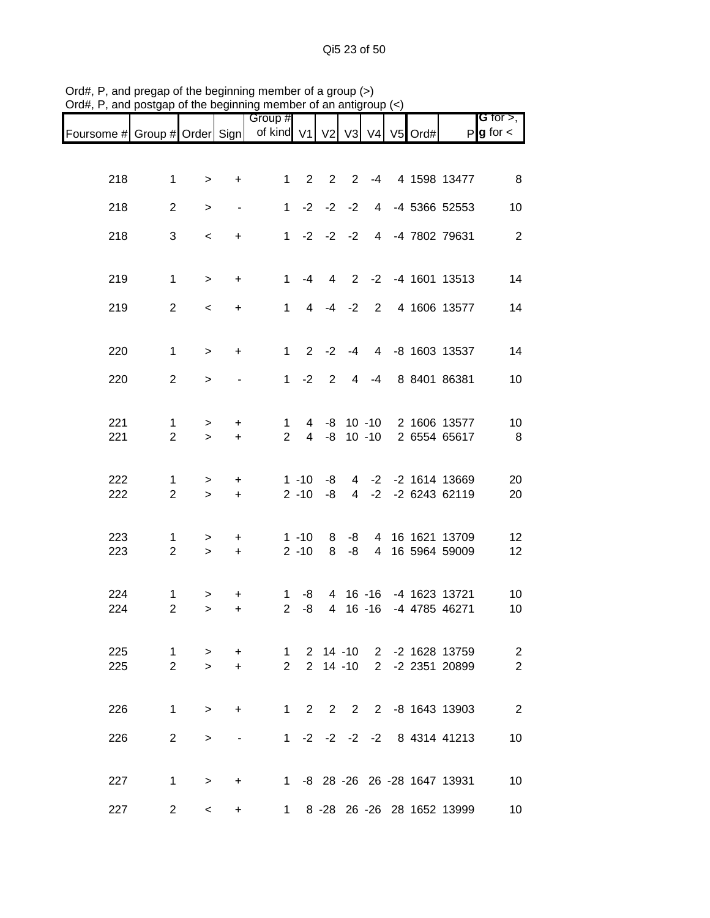|                                                                       |                                |                          |                          | Group #                        |                      |                |                           |                 |  |                                                | G for $>$ ,                      |
|-----------------------------------------------------------------------|--------------------------------|--------------------------|--------------------------|--------------------------------|----------------------|----------------|---------------------------|-----------------|--|------------------------------------------------|----------------------------------|
| Foursome # Group # Order Sign   of kind V1   V2   V3   V4   V5   Ord# |                                |                          |                          |                                |                      |                |                           |                 |  |                                                | $P$ <b>g</b> for $\lt$           |
|                                                                       |                                |                          |                          |                                |                      |                |                           |                 |  |                                                |                                  |
| 218                                                                   | $\mathbf{1}$                   | >                        | +                        | $1 \quad$                      |                      |                | $2\quad 2\quad 2$         | $-4$            |  | 4 1598 13477                                   | 8                                |
| 218                                                                   | $\overline{2}$                 | >                        | $\overline{\phantom{0}}$ | 1                              |                      |                | $-2$ $-2$ $-2$            | $\overline{4}$  |  | -4 5366 52553                                  | 10                               |
| 218                                                                   | 3                              | $\,<$                    | $\ddot{}$                |                                |                      |                | $1 -2 -2 -2$              |                 |  | 4 -4 7802 79631                                | $\overline{2}$                   |
| 219                                                                   | $\mathbf{1}$                   | $\,$                     | $\ddot{}$                | $\mathbf{1}$                   | -4                   |                |                           |                 |  | 4 2 -2 -4 1601 13513                           | 14                               |
| 219                                                                   | $\overline{2}$                 | $\overline{\phantom{a}}$ | $\ddot{}$                | 1                              |                      |                | $4 -4 -2$                 | $\overline{2}$  |  | 4 1606 13577                                   | 14                               |
| 220                                                                   | $\mathbf{1}$                   | $\geq$                   | $\ddot{}$                | 1                              |                      |                | $2 -2 -4$                 |                 |  | 4 -8 1603 13537                                | 14                               |
| 220                                                                   | $\overline{2}$                 | $\, > \,$                |                          | 1                              | $-2$                 | $\overline{2}$ |                           | $4 - 4$         |  | 8 8401 86381                                   | 10                               |
| 221<br>221                                                            | $\mathbf{1}$<br>$\overline{2}$ | $\, >$<br>$\geq$         | +<br>$\ddot{}$           | $\mathbf{1}$<br>$\overline{2}$ |                      |                |                           | 4 -8 10 -10     |  | 4 -8 10 -10 2 1606 13577<br>2 6554 65617       | 10<br>8                          |
| 222<br>222                                                            | 1<br>$\overline{2}$            | ><br>$\geq$              | $\ddot{}$<br>$\ddot{}$   |                                | $1 - 10$<br>$2 - 10$ | -8<br>-8       |                           |                 |  | 4 -2 -2 1614 13669<br>4 -2 -2 6243 62119       | 20<br>20                         |
| 223<br>223                                                            | $\mathbf 1$<br>$\overline{2}$  | ><br>$\, >$              | +<br>$\ddot{}$           |                                | 1 -10<br>$2 - 10$    | 8<br>8         | -8<br>-8                  |                 |  | 4 16 1621 13709<br>4 16 5964 59009             | 12<br>12                         |
| 224<br>224                                                            | $\mathbf{1}$<br>$\overline{2}$ | ><br>$\geq$              | +<br>$\ddot{}$           | 1<br>$\overline{2}$            | -8<br>-8             | $\overline{4}$ |                           |                 |  | 4 16 -16 -4 1623 13721<br>16 -16 -4 4785 46271 | 10<br>10                         |
| 225<br>225                                                            | 1<br>$\overline{2}$            | ><br>$\geq$              | +<br>$\ddot{}$           | 1<br>$\overline{2}$            |                      |                | 2 14 -10<br>$2 \t14 - 10$ | $2^{\circ}$     |  | 2 -2 1628 13759<br>-2 2351 20899               | $\overline{c}$<br>$\overline{2}$ |
| 226                                                                   | $\mathbf{1}$                   | $\geq$                   | $\ddot{}$                |                                |                      |                |                           |                 |  | 1 2 2 2 2 -8 1643 13903                        | $\overline{2}$                   |
| 226                                                                   | $\overline{2}$                 | $\geq$                   |                          |                                |                      |                |                           | $1 -2 -2 -2 -2$ |  | 8 4314 41213                                   | 10                               |
| 227                                                                   | $\mathbf{1}$                   | $\, > \,$                | +                        |                                |                      |                |                           |                 |  | 1 -8 28 -26 26 -28 1647 13931                  | 10                               |
| 227                                                                   | $\overline{2}$                 | $\overline{\phantom{a}}$ | +                        |                                |                      |                |                           |                 |  | 1 8 -28 26 -26 28 1652 13999                   | 10                               |

Ord#, P, and pregap of the beginning member of a group (>) Ord#, P, and postgap of the beginning member of an antigroup (<)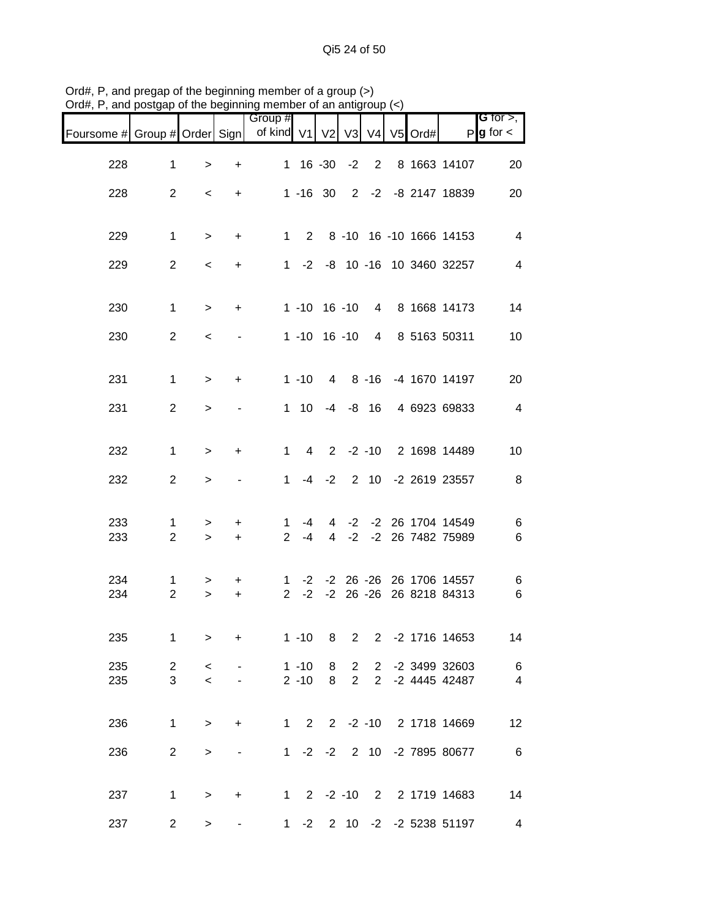|                               |                                  |                          |                              | , and posigap or the beginning inember or an amigroup $(5)$ |                      |                |                                  |                            |         |                                              |                                       |
|-------------------------------|----------------------------------|--------------------------|------------------------------|-------------------------------------------------------------|----------------------|----------------|----------------------------------|----------------------------|---------|----------------------------------------------|---------------------------------------|
| Foursome # Group # Order Sign |                                  |                          |                              | Group #<br>of kind V1                                       |                      | V2             | V3 V4                            |                            | V5 Ord# |                                              | G for $>$ ,<br>$P$ <b>g</b> for $\lt$ |
| 228                           | 1                                | $\, > \,$                | $\ddot{}$                    |                                                             | $1 \t16 - 30 - 2$    |                |                                  | $\overline{2}$             |         | 8 1663 14107                                 | 20                                    |
| 228                           | $\overline{2}$                   | $\,<\,$                  | +                            |                                                             | $1 - 16$ 30          |                |                                  |                            |         | 2 -2 -8 2147 18839                           | 20                                    |
| 229                           | $\mathbf{1}$                     | $\,>$                    | $\ddot{}$                    | $\mathbf 1$                                                 |                      |                |                                  |                            |         | 2 8 -10 16 -10 1666 14153                    | $\overline{4}$                        |
| 229                           | $\overline{2}$                   | $\overline{\phantom{a}}$ | +                            |                                                             |                      |                |                                  |                            |         | 1 -2 -8 10 -16 10 3460 32257                 | $\overline{4}$                        |
|                               |                                  |                          |                              |                                                             |                      |                |                                  |                            |         |                                              |                                       |
| 230                           | $\mathbf{1}$                     | $\, >$                   | +                            |                                                             | $1 - 10$ 16 -10      |                |                                  | $\overline{4}$             |         | 8 1668 14173                                 | 14                                    |
| 230                           | $\overline{2}$                   | $\,<$                    | $\overline{\phantom{0}}$     |                                                             | $1 - 10$ 16 $-10$    |                |                                  | $\overline{4}$             |         | 8 5163 50311                                 | 10                                    |
| 231                           | $\mathbf{1}$                     | $\, >$                   | +                            |                                                             | $1 - 10$             |                |                                  |                            |         | 4 8 -16 -4 1670 14197                        | 20                                    |
| 231                           | $\overline{2}$                   | $\, > \,$                | $\qquad \qquad \blacksquare$ |                                                             | $1 \quad 10$         |                |                                  | $-4$ $-8$ 16               |         | 4 6923 69833                                 | $\overline{\mathbf{4}}$               |
| 232                           | $\mathbf{1}$                     | $\geq$                   | +                            | $\mathbf{1}$                                                |                      |                |                                  |                            |         | 4 2 -2 -10 2 1698 14489                      | 10                                    |
| 232                           | $\overline{2}$                   | $\, > \,$                |                              | $\mathbf{1}$                                                | $-4$                 | $-2$           |                                  |                            |         | 2 10 -2 2619 23557                           | 8                                     |
|                               |                                  |                          |                              |                                                             |                      |                |                                  |                            |         |                                              |                                       |
| 233<br>233                    | $\mathbf{1}$<br>$\overline{2}$   | ><br>$\geq$              | +<br>$+$                     | 1<br>$\overline{2}$                                         | -4<br>$-4$           | $\overline{4}$ |                                  |                            |         | 4 -2 -2 26 1704 14549<br>-2 -2 26 7482 75989 | 6<br>6                                |
| 234                           | 1                                | >                        | +                            | 1                                                           | $-2$                 |                |                                  |                            |         | -2 26 -26 26 1706 14557                      | 6                                     |
| 234                           | $\overline{2}$                   | $\geq$                   | $\ddot{}$                    | $\overline{2}$                                              | $-2$                 |                |                                  |                            |         | -2 26 -26 26 8218 84313                      | 6                                     |
| 235                           | $\mathbf 1$                      | $\,>$                    | +                            |                                                             | $1 - 10$             | 8              |                                  |                            |         | 2 2 -2 1716 14653                            | 14                                    |
| 235<br>235                    | $\overline{2}$<br>$\mathfrak{S}$ | $\,<$                    |                              |                                                             | $1 - 10$<br>$2 - 10$ | 8<br>8         | $\overline{2}$<br>$\overline{2}$ | $2^{\circ}$<br>$2^{\circ}$ |         | -2 3499 32603                                | 6<br>$\overline{\mathbf{4}}$          |
|                               |                                  | $\,<$                    |                              |                                                             |                      |                |                                  |                            |         | -2 4445 42487                                |                                       |
| 236                           | $\mathbf 1$                      | $\,$                     | +                            |                                                             |                      |                |                                  |                            |         | 1 2 2 -2 -10 2 1718 14669                    | 12                                    |
| 236                           | $\overline{2}$                   | >                        |                              |                                                             |                      |                |                                  |                            |         | 1 -2 -2 2 10 -2 7895 80677                   | $\,6\,$                               |
| 237                           | $\mathbf{1}$                     | $\, >$                   | +                            |                                                             |                      |                |                                  |                            |         | 1 2 -2 -10 2 2 1719 14683                    | 14                                    |
| 237                           | $\overline{c}$                   | $\, >$                   | $\qquad \qquad \blacksquare$ | 1                                                           |                      | $-2$ 2 10      |                                  |                            |         | -2 -2 5238 51197                             | 4                                     |

Ord#, P, and pregap of the beginning member of a group (>) Ord#, P, and postgap of the beginning member of an antigroup (<)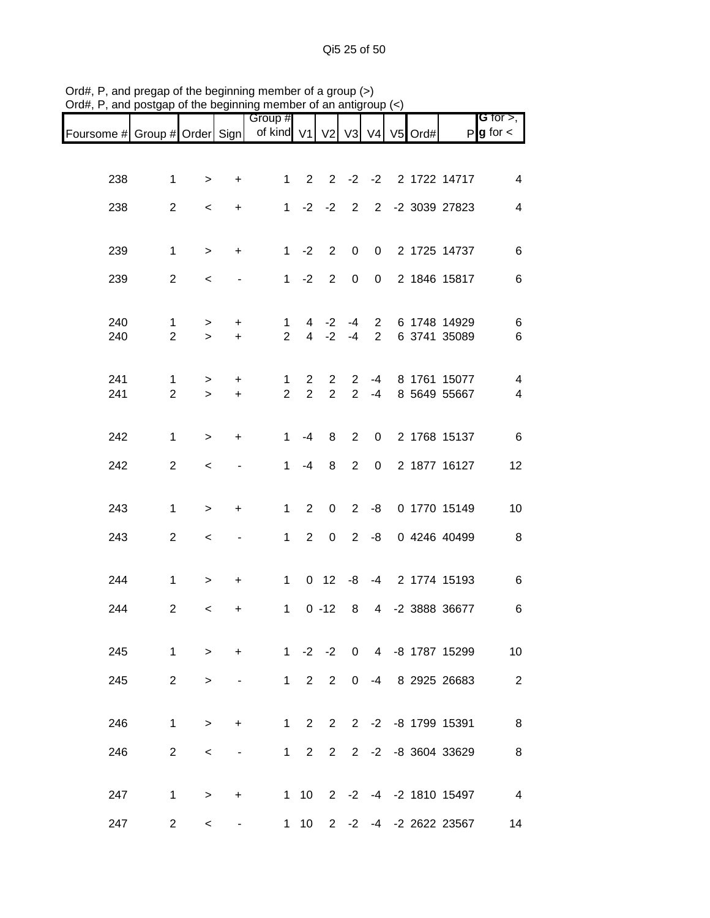| Foursome # Group # Order Sign |                                |                  |                                  | Group #<br>of kind V1          |                     |                     |                                  |                            | V2 V3 V4 V5 Ord# |                              | <b>G</b> for $>$ ,<br>$P$ <b>g</b> for $\lt$ |
|-------------------------------|--------------------------------|------------------|----------------------------------|--------------------------------|---------------------|---------------------|----------------------------------|----------------------------|------------------|------------------------------|----------------------------------------------|
|                               |                                |                  |                                  |                                |                     |                     |                                  |                            |                  |                              |                                              |
| 238                           | $\mathbf{1}$                   | $\geq$           | $\ddot{}$                        |                                |                     |                     | $1 \t2 \t2 \t-2 \t-2$            |                            |                  | 2 1722 14717                 | $\overline{4}$                               |
| 238                           | $\overline{2}$                 | $\,<\,$          | $\ddot{}$                        |                                |                     |                     | $1 -2 -2 2$                      |                            |                  | 2 -2 3039 27823              | $\overline{4}$                               |
|                               |                                |                  |                                  |                                |                     |                     |                                  |                            |                  |                              |                                              |
| 239                           | $\mathbf{1}$                   | $\,$             | $\ddot{}$                        |                                | $1 -2$              |                     | $2 \quad 0$                      | $\overline{0}$             |                  | 2 1725 14737                 | 6                                            |
| 239                           | $\overline{2}$                 | $\,<$            | $\overline{\phantom{a}}$         |                                | $1 -2$              | $\overline{2}$      | $\mathbf 0$                      | $\overline{0}$             |                  | 2 1846 15817                 | 6                                            |
|                               |                                |                  |                                  |                                |                     |                     |                                  |                            |                  |                              |                                              |
| 240<br>240                    | $\mathbf{1}$<br>$\overline{2}$ | $\geq$<br>$\geq$ | $\ddot{}$<br>$\ddot{}$           | $\mathbf{1}$<br>$\overline{2}$ |                     |                     | 4 -2 -4<br>$4 -2 -4$             | $2^{\circ}$<br>$2^{\circ}$ |                  | 6 1748 14929<br>6 3741 35089 | 6<br>$\,6$                                   |
|                               |                                |                  |                                  |                                |                     |                     |                                  |                            |                  |                              |                                              |
| 241<br>241                    | $\mathbf{1}$<br>$\overline{2}$ | ><br>$\geq$      | $\ddot{}$<br>$\ddot{}$           | $\mathbf{1}$<br>$\overline{2}$ | $\overline{2}$<br>2 | $\overline{2}$<br>2 | $\overline{2}$<br>$\overline{2}$ | $-4$<br>$-4$               |                  | 8 1761 15077<br>8 5649 55667 | 4<br>$\overline{\mathbf{4}}$                 |
|                               |                                |                  |                                  |                                |                     |                     |                                  |                            |                  |                              |                                              |
| 242                           | $\mathbf{1}$                   | $\geq$           | $\ddot{}$                        | 1                              | $-4$                | 8                   | $\overline{\phantom{0}}$         | $\overline{0}$             |                  | 2 1768 15137                 | $6\phantom{1}6$                              |
| 242                           | $\overline{2}$                 | $\,<\,$          |                                  | $1 \quad$                      | $-4$                | 8                   | $\overline{2}$                   | $\overline{0}$             |                  | 2 1877 16127                 | 12                                           |
|                               |                                |                  |                                  |                                |                     |                     |                                  |                            |                  |                              |                                              |
| 243                           | $\mathbf{1}$                   | $\,$             | $\boldsymbol{+}$                 | 1                              | $2^{\circ}$         | $\mathbf 0$         | $\overline{2}$                   | $-8$                       |                  | 0 1770 15149                 | 10                                           |
| 243                           | $\overline{2}$                 | $\,<$            | $\qquad \qquad \blacksquare$     | 1                              | $2^{\circ}$         | $\overline{0}$      | $\overline{2}$                   | $-8$                       |                  | 0 4246 40499                 | 8                                            |
|                               |                                |                  |                                  |                                |                     |                     |                                  |                            |                  |                              |                                              |
| 244                           | $\mathbf{1}$                   | $\, > \,$        | $\ddot{}$                        |                                |                     |                     |                                  |                            |                  | 1 0 12 -8 -4 2 1774 15193    | $\,6$                                        |
| 244                           | $\overline{2}$                 | $\,<$            | $\begin{array}{c} + \end{array}$ | $\mathbf 1$                    |                     | $0 - 12$            | 8 <sup>8</sup>                   |                            |                  | 4 -2 3888 36677              | 6                                            |
| 245                           | $\mathbf{1}$                   | $\geq$           | $\ddot{}$                        |                                |                     | $1 -2 -2$           |                                  |                            |                  | 0 4 -8 1787 15299            | 10                                           |
|                               |                                |                  |                                  |                                |                     |                     |                                  |                            |                  |                              |                                              |
| 245                           | $\overline{2}$                 | $\geq$           |                                  |                                | $1\quad 2$          | $2^{\circ}$         | $\mathbf 0$                      | -4                         |                  | 8 2925 26683                 | $\overline{2}$                               |
| 246                           | $\mathbf{1}$                   | $\geq$           | $\ddot{}$                        |                                | $1\quad 2$          |                     |                                  |                            |                  | 2 2 -2 -8 1799 15391         | 8                                            |
| 246                           | $\overline{2}$                 | $\,<\,$          |                                  | $1 \quad$                      | $\overline{2}$      | $2^{\circ}$         |                                  |                            |                  | 2 -2 -8 3604 33629           | 8                                            |
|                               |                                |                  |                                  |                                |                     |                     |                                  |                            |                  |                              |                                              |
| 247                           | $\mathbf{1}$                   | $\geq$           | $\ddot{}$                        |                                |                     |                     |                                  |                            |                  | 1 10 2 -2 -4 -2 1810 15497   | $\overline{\mathbf{4}}$                      |
| 247                           | $\overline{2}$                 | $\,<\,$          |                                  |                                |                     |                     |                                  |                            |                  | 1 10 2 -2 -4 -2 2622 23567   | 14                                           |

Ord#, P, and pregap of the beginning member of a group (>) Ord#, P, and postgap of the beginning member of an antigroup (<)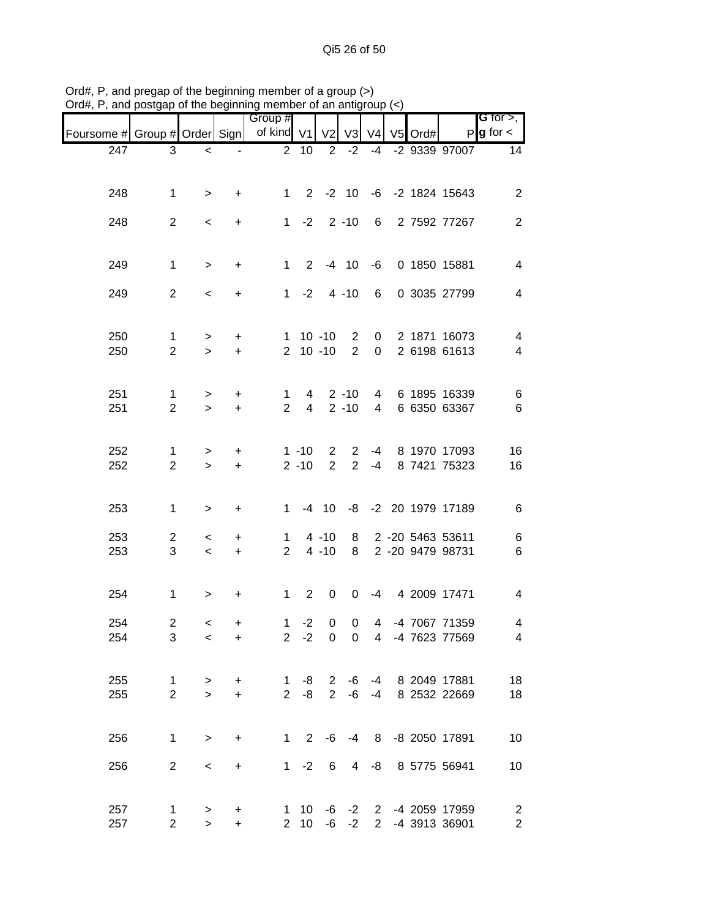| $U$ iu#, r , and postyap or the beginning member or an antigroup $(\leq)$ |                                |                          |                |                       |              |                |                      |                                  |               |                                                          |                                                                |
|---------------------------------------------------------------------------|--------------------------------|--------------------------|----------------|-----------------------|--------------|----------------|----------------------|----------------------------------|---------------|----------------------------------------------------------|----------------------------------------------------------------|
| Foursome # Group # Order Sign                                             |                                |                          |                | Group #<br>of kind V1 |              | V <sub>2</sub> |                      |                                  | V3 V4 V5 Ord# |                                                          | <b>G</b> for $>$ , $\overline{\phantom{a}}$<br>$P g$ for $\lt$ |
| 247                                                                       | 3                              | $\,<\,$                  |                |                       | $2 \quad 10$ |                | $2 -2$               |                                  |               | -4 -2 9339 97007                                         | 14                                                             |
|                                                                           |                                |                          |                |                       |              |                |                      |                                  |               |                                                          |                                                                |
| 248                                                                       | $\mathbf{1}$                   | $\geq$                   | $\ddot{}$      |                       |              |                | $1 \t2 \t-2 \t10$    |                                  |               | $-6$ $-2$ 1824 15643                                     | $\overline{2}$                                                 |
| 248                                                                       | $\overline{2}$                 | $\,<\,$                  | +              |                       | $1 -2$       |                | $2 - 10$             | 6                                |               | 2 7592 77267                                             | $\overline{2}$                                                 |
|                                                                           |                                |                          |                |                       |              |                |                      |                                  |               |                                                          |                                                                |
| 249                                                                       | $\mathbf{1}$                   | $\,>$                    | $\ddot{}$      | $1 \quad$             |              |                | $2 - 4 10$           | -6                               |               | 0 1850 15881                                             | 4                                                              |
| 249                                                                       | $\overline{2}$                 | $\,<\,$                  | $\ddot{}$      | $1 \quad$             | $-2$         |                | $4 - 10$             | 6                                |               | 0 3035 27799                                             | $\overline{4}$                                                 |
|                                                                           |                                |                          |                |                       |              |                |                      |                                  |               |                                                          |                                                                |
| 250                                                                       | $\mathbf{1}$                   | >                        | +              |                       | $1 10 - 10$  |                | 2                    | $\overline{0}$                   |               | 2 1871 16073                                             | 4                                                              |
| 250                                                                       | $\overline{2}$                 | $\geq$                   | $\ddot{}$      |                       | $2 10 - 10$  |                | $\overline{2}$       | $\overline{0}$                   |               | 2 6198 61613                                             | 4                                                              |
|                                                                           |                                |                          |                |                       |              |                |                      |                                  |               |                                                          |                                                                |
| 251<br>251                                                                | $\mathbf{1}$<br>$\overline{2}$ | ><br>$\geq$              | +<br>$\ddot{}$ | 1<br>$\overline{2}$   | 4<br>4       |                | $2 - 10$<br>$2 - 10$ | $\overline{4}$<br>$\overline{4}$ |               | 6 1895 16339<br>6 6350 63367                             | 6<br>$\,6$                                                     |
|                                                                           |                                |                          |                |                       |              |                |                      |                                  |               |                                                          |                                                                |
| 252                                                                       | $\mathbf{1}$                   | $\, > \,$                | +              |                       | $1 - 10$     | $2^{\circ}$    | $\overline{2}$       | -4                               |               | 8 1970 17093                                             | 16                                                             |
| 252                                                                       | $\overline{2}$                 | $\geq$                   | $\ddot{}$      |                       | $2 - 10$     | $\overline{2}$ | 2                    | $-4$                             |               | 8 7421 75323                                             | 16                                                             |
|                                                                           |                                |                          |                |                       |              |                |                      |                                  |               |                                                          |                                                                |
| 253                                                                       | $\mathbf{1}$                   | $\, > \,$                | +              | $\mathbf{1}$          |              |                |                      |                                  |               | -4 10 -8 -2 20 1979 17189                                | 6                                                              |
| 253                                                                       | $\overline{c}$                 | $\,<\,$                  | +              | $\mathbf{1}$          |              | 4 - 10         | 8                    |                                  |               | 2 -20 5463 53611                                         | 6                                                              |
| 253                                                                       | 3                              | $\overline{\phantom{a}}$ | $+$            | $\overline{2}$        |              | $4 - 10$       | 8                    |                                  |               | 2 -20 9479 98731                                         | $6\phantom{1}6$                                                |
| 254                                                                       | $\mathbf{1}$                   | $\, > \,$                | $\ddot{}$      | 1                     | 2            | $\mathbf 0$    | $\mathsf{O}$         | $-4$                             |               | 4 2009 17471                                             | $\overline{4}$                                                 |
|                                                                           |                                |                          |                |                       |              |                |                      |                                  |               |                                                          |                                                                |
| 254<br>254                                                                | $\overline{2}$<br>3            | $\lt$<br>$\,<\,$         | $\pm$<br>$+$   |                       |              |                |                      |                                  |               | 1 -2 0 0 4 -4 7067 71359<br>2 -2 0 0 4 -4 7623 77569     | 4<br>$\overline{4}$                                            |
|                                                                           |                                |                          |                |                       |              |                |                      |                                  |               |                                                          |                                                                |
| 255                                                                       | $\mathbf{1}$                   | $\geq$                   | +              |                       |              |                |                      |                                  |               | 1 -8 2 -6 -4 8 2049 17881                                | 18                                                             |
| 255                                                                       | $\overline{2}$                 | $\geq$                   | $+$            |                       |              |                |                      |                                  |               | 2 -8 2 -6 -4 8 2532 22669                                | 18                                                             |
|                                                                           |                                |                          |                |                       |              |                |                      |                                  |               |                                                          |                                                                |
| 256                                                                       | $\mathbf{1}$                   | $\, > \,$                | $+$            |                       |              |                |                      |                                  |               | 1 2 -6 -4 8 -8 2050 17891                                | 10                                                             |
| 256                                                                       | $\overline{2}$                 | $\overline{\phantom{0}}$ | $+$            |                       |              |                |                      |                                  |               | 1 -2 6 4 -8 8 5775 56941                                 | 10                                                             |
|                                                                           |                                |                          |                |                       |              |                |                      |                                  |               |                                                          |                                                                |
| 257<br>257                                                                | $\mathbf{1}$<br>$\overline{2}$ | ><br>$\geq$              | +<br>$\ddot{}$ |                       |              |                |                      |                                  |               | 1 10 -6 -2 2 -4 2059 17959<br>2 10 -6 -2 2 -4 3913 36901 | $\overline{\mathbf{2}}$<br>$\overline{2}$                      |

Ord#, P, and pregap of the beginning member of a group (>) Ord#, P, and postgap of the beginning member of an antigroup (<)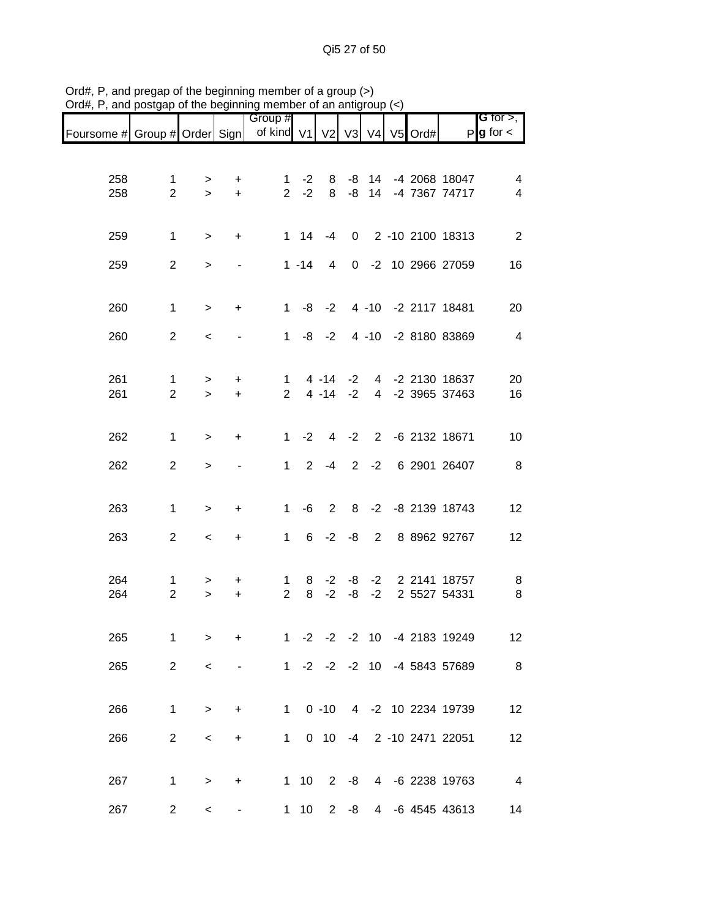Qi5 27 of 50

| <b>G</b> for $>$ ,                    |
|---------------------------------------|
| $P$ <b>g</b> for $\lt$                |
|                                       |
| -8 14 -4 2068 18047<br>4              |
| 14 -4 7367 74717<br>4                 |
|                                       |
| 0 2 -10 2100 18313<br>$\overline{2}$  |
|                                       |
| 0 -2 10 2966 27059<br>16              |
|                                       |
| 4 -10 -2 2117 18481<br>20             |
|                                       |
| 4 -10 -2 8180 83869<br>$\overline{4}$ |
|                                       |
| 4 -2 2130 18637<br>20                 |
| 4 -2 3965 37463<br>16                 |
|                                       |
| 2 -6 2132 18671<br>10                 |
|                                       |
| 6 2901 26407<br>8                     |
|                                       |
| 8 -2 -8 2139 18743<br>12              |
|                                       |
| 8 8962 92767<br>12                    |
|                                       |
| 2 2141 18757<br>8                     |
| 8<br>2 5527 54331                     |
|                                       |
| 1 -2 -2 -2 10 -4 2183 19249<br>12     |
|                                       |
| 1 -2 -2 -2 10 -4 5843 57689<br>8      |
|                                       |
| 1 0 -10 4 -2 10 2234 19739<br>12      |
| 1 0 10 -4 2 -10 2471 22051<br>12      |
|                                       |
|                                       |
| 4 -6 2238 19763<br>$\overline{4}$     |
| 4 -6 4545 43613<br>14                 |
|                                       |

Ord#, P, and pregap of the beginning member of a group (>) Ord#, P, and postgap of the beginning member of an antigroup (<)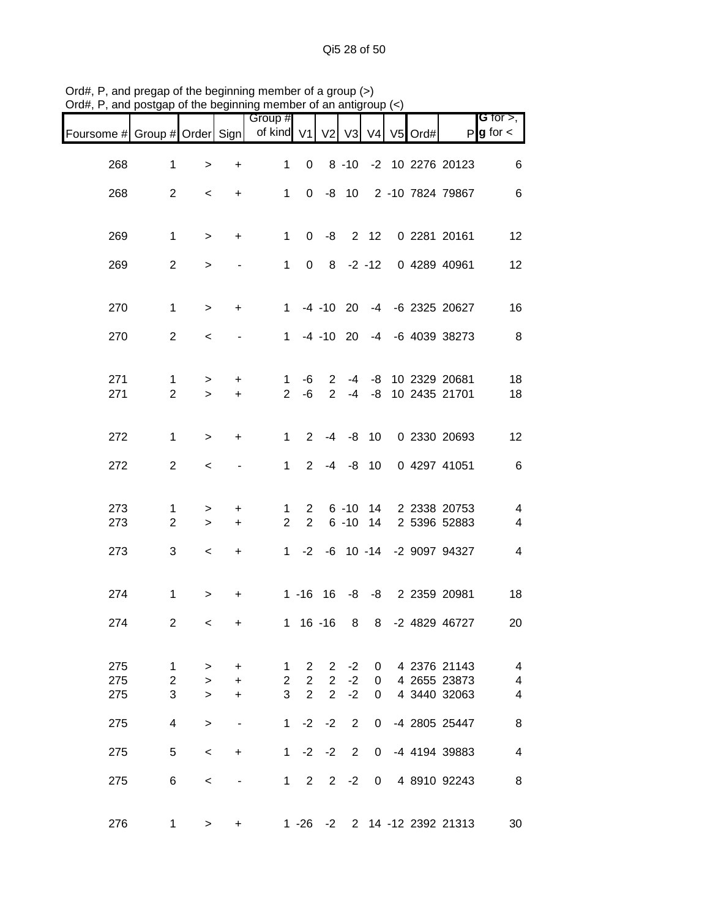| $D$ iu#, r, and postyap or the beginning member or an antigroup $(\leq)$ |                   |                  |                          |                                        |                                  |                               |                       |                              |  |                              |                                                    |
|--------------------------------------------------------------------------|-------------------|------------------|--------------------------|----------------------------------------|----------------------------------|-------------------------------|-----------------------|------------------------------|--|------------------------------|----------------------------------------------------|
| Foursome # Group # Order Sign                                            |                   |                  |                          | Group #<br>of kind V1 V2 V3 V4 V5 Ord# |                                  |                               |                       |                              |  |                              | <b>G</b> for $>$ ,<br>$P$ <b>g</b> for $\lt$       |
| 268                                                                      | $\mathbf{1}$      | $\,>$            | $\ddot{}$                | $\mathbf{1}$                           | $\mathbf 0$                      |                               | $8 - 10$              |                              |  | -2 10 2276 20123             | 6                                                  |
| 268                                                                      | $\overline{2}$    | $\,<\,$          | $\ddot{}$                | $\mathbf 1$                            |                                  |                               | $0 -8 10$             |                              |  | 2 -10 7824 79867             | 6                                                  |
| 269                                                                      | $\mathbf{1}$      | $\,$             | $\ddot{}$                | $\mathbf{1}$                           |                                  |                               | $0 -8$ 2 12           |                              |  | 0 2281 20161                 | 12                                                 |
| 269                                                                      | $\overline{2}$    | $\, >$           |                          | $\mathbf 1$                            |                                  |                               | $0 \t 8 \t -2 \t -12$ |                              |  | 0 4289 40961                 | 12 <sub>2</sub>                                    |
| 270                                                                      | $\mathbf{1}$      | $\, >$           | $\ddot{}$                | $\mathbf{1}$                           |                                  |                               |                       |                              |  | -4 -10 20 -4 -6 2325 20627   | 16                                                 |
| 270                                                                      | $\overline{2}$    | $\,<\,$          |                          | $\mathbf{1}$                           |                                  |                               | -4 -10 20             |                              |  | -4 -6 4039 38273             | 8                                                  |
| 271                                                                      | $\mathbf 1$       |                  |                          | 1                                      | -6                               | $\mathbf{2}$                  | $-4$                  |                              |  | -8 10 2329 20681             | 18                                                 |
| 271                                                                      | $\overline{2}$    | ><br>$\geq$      | $\ddot{}$<br>$\ddot{}$   | $\overline{2}$                         | -6                               | $2^{\circ}$                   | -4                    | -8                           |  | 10 2435 21701                | 18                                                 |
| 272                                                                      | $\mathbf 1$       | $\, >$           | $\ddot{}$                | $\mathbf{1}$                           |                                  |                               | $2 -4 -8 10$          |                              |  | 0 2330 20693                 | 12                                                 |
| 272                                                                      | $\overline{2}$    | $\,<\,$          | $\overline{\phantom{a}}$ | $\mathbf{1}$                           |                                  |                               | $2 -4 -8 10$          |                              |  | 0 4297 41051                 | 6                                                  |
| 273                                                                      | $\mathbf 1$       | $\, > \,$        | $\ddot{}$                | 1                                      | $2^{\circ}$                      |                               | 6 -10 14              |                              |  | 2 2338 20753                 | $\overline{4}$                                     |
| 273                                                                      | $\overline{2}$    | $\geq$           | $\ddot{}$                | $\overline{2}$                         | $\overline{2}$                   |                               | 6 -10 14              |                              |  | 2 5396 52883                 | $\overline{4}$                                     |
| 273                                                                      | 3                 | $\,<\,$          | $\ddot{}$                |                                        |                                  |                               |                       |                              |  | 1 -2 -6 10 -14 -2 9097 94327 | 4                                                  |
| 274                                                                      | $\mathbf{1}$      | $\, > \,$        | $\ddot{}$                |                                        |                                  |                               |                       |                              |  | 1 -16 16 -8 -8 2 2359 20981  | 18                                                 |
| 274                                                                      | $\overline{2}$    | $\leq$           | $\pm$                    |                                        |                                  |                               |                       |                              |  | 1 16 -16 8 8 -2 4829 46727   | 20                                                 |
| 275                                                                      | $\mathbf{1}$      | $\, > \,$        | $\ddot{}$                | 1                                      | $\overline{2}$                   | 2                             | $-2$                  | $\overline{0}$               |  | 4 2376 21143                 | 4                                                  |
| 275<br>275                                                               | 2<br>$\mathbf{3}$ | $\geq$<br>$\geq$ | $\ddot{}$<br>$\ddot{}$   | $\overline{2}$<br>3                    | $\overline{2}$<br>$\overline{2}$ | $\overline{2}$<br>$2^{\circ}$ | $-2$<br>$-2$          | $\mathbf{0}$<br>$\mathbf{0}$ |  | 4 2655 23873<br>4 3440 32063 | $\overline{\mathbf{4}}$<br>$\overline{\mathbf{4}}$ |
| 275                                                                      | 4                 |                  |                          |                                        | $1 -2 -2$                        |                               | $\overline{2}$        |                              |  | 0 -4 2805 25447              | 8                                                  |
|                                                                          |                   | $\, >$           |                          |                                        |                                  |                               |                       |                              |  |                              |                                                    |
| 275                                                                      | 5                 | $\,<$            | $\ddot{}$                | $\mathbf 1$                            |                                  |                               | $-2$ $-2$ 2           |                              |  | 0 -4 4194 39883              | $\overline{\mathcal{A}}$                           |
| 275                                                                      | 6                 | $\,<\,$          |                          |                                        | $1 \t2 \t2 \t-2$                 |                               |                       | $\overline{0}$               |  | 4 8910 92243                 | 8                                                  |
| 276                                                                      | 1                 | >                | +                        |                                        |                                  |                               |                       |                              |  | 1 -26 -2 2 14 -12 2392 21313 | 30                                                 |

Ord#, P, and pregap of the beginning member of a group (>) Ord#, P, and postgap of the beginning member of an antigroup (<)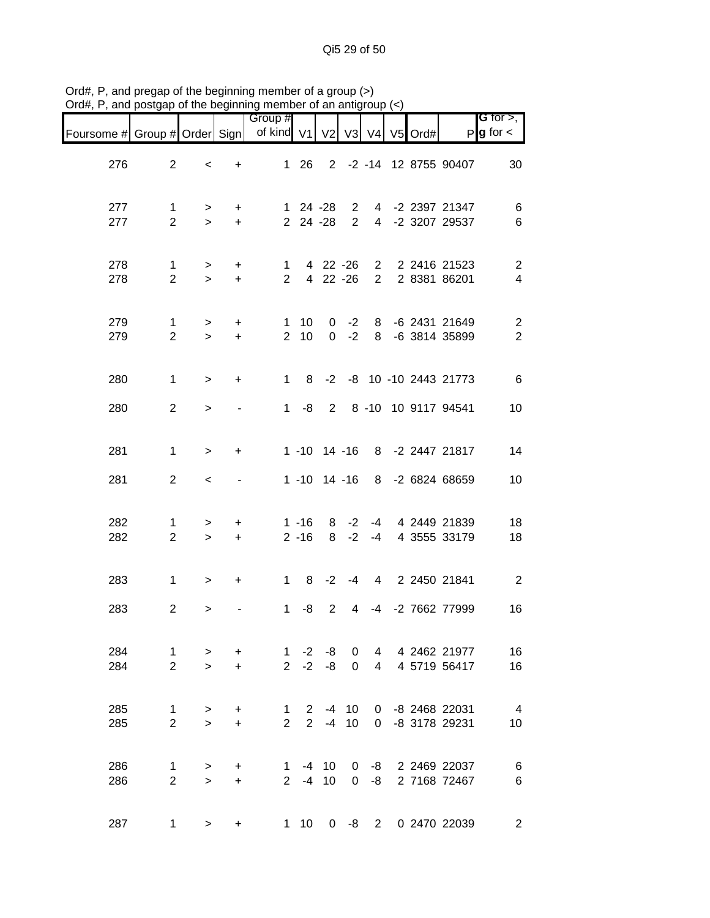Qi5 29 of 50

|                               |                                |                     |                        | Group #                        |                          |                          |                                |                                   |            |                                    | <b>G</b> for $>$ ,               |
|-------------------------------|--------------------------------|---------------------|------------------------|--------------------------------|--------------------------|--------------------------|--------------------------------|-----------------------------------|------------|------------------------------------|----------------------------------|
| Foursome # Group # Order Sign |                                |                     |                        | of kind V1                     |                          | V <sub>2</sub>           | V3                             |                                   | V4 V5 Ord# |                                    | $P$ <b>g</b> for $\lt$           |
| 276                           | $\overline{2}$                 | $\,<\,$             | +                      |                                | 1 26                     |                          |                                |                                   |            | 2 -2 -14 12 8755 90407             | 30                               |
| 277<br>277                    | $\mathbf 1$<br>$\overline{2}$  | ><br>$\geq$         | +<br>$+$               |                                | $124 - 28$<br>2 24 -28   |                          | $\mathbf{2}$<br>$\overline{2}$ |                                   |            | 4 -2 2397 21347<br>4 -2 3207 29537 | 6<br>6                           |
| 278<br>278                    | $\mathbf{1}$<br>$\overline{2}$ | ><br>$\geq$         | +<br>$+$               | 1<br>2 <sup>1</sup>            |                          | 4 22 -26<br>4 22 -26     |                                | $2^{\circ}$<br>$2^{\circ}$        |            | 2 2416 21523<br>2 8381 86201       | $\overline{c}$<br>4              |
| 279<br>279                    | $\mathbf{1}$<br>$\overline{2}$ | $\, > \,$<br>$\geq$ | +<br>$\ddot{}$         | $\mathbf{1}$<br>$\overline{2}$ | 10<br>10                 |                          | $0 -2$<br>$0 -2$               |                                   |            | 8 -6 2431 21649<br>8 -6 3814 35899 | $\overline{c}$<br>$\overline{2}$ |
| 280                           | $\mathbf{1}$                   | $\geq$              | +                      | 1                              | 8                        |                          |                                |                                   |            | -2 -8 10 -10 2443 21773            | 6                                |
| 280                           | $\overline{2}$                 | $\geq$              |                        | 1                              | -8                       |                          |                                |                                   |            | 2 8 -10 10 9117 94541              | 10                               |
| 281                           | $\mathbf{1}$                   | $\geq$              | +                      |                                | 1 -10 14 -16             |                          |                                |                                   |            | 8 -2 2447 21817                    | 14                               |
| 281                           | $\overline{2}$                 | $\,<\,$             |                        |                                | $1 - 10$ $14 - 16$       |                          |                                |                                   |            | 8 -2 6824 68659                    | 10                               |
| 282<br>282                    | 1<br>$\overline{2}$            | ><br>$\geq$         | +<br>$\ddot{}$         |                                | $1 - 16$<br>$2 - 16$     | 8<br>8                   | $-2$<br>$-2$                   | -4<br>$-4$                        |            | 4 2449 21839<br>4 3555 33179       | 18<br>18                         |
| 283                           | $\mathbf{1}$                   | >                   | +                      | 1                              | 8                        | $-2$                     | -4                             | $4\overline{ }$                   |            | 2 2450 21841                       | $\overline{2}$                   |
| 283                           | $\overline{2}$                 | >                   |                        | $\mathbf{1}$                   | -8                       | $\overline{2}$           | 4                              | $-4$                              |            | -2 7662 77999                      | 16                               |
| 284<br>284                    | $\mathbf{1}$<br>$\overline{2}$ | $\, > \,$<br>$\geq$ | +<br>$+$               | $\mathbf{1}$                   | $2 -2 -8$                | $-2 -8$                  | $\overline{0}$<br>$\Omega$     | $4\overline{ }$<br>$\overline{4}$ |            | 4 2462 21977<br>4 5719 56417       | 16<br>16                         |
| 285<br>285                    | $\mathbf{1}$<br>$\overline{2}$ | $\, > \,$<br>$\geq$ | $\ddot{}$<br>$\ddot{}$ | $\mathbf{1}$<br>$\overline{2}$ |                          | $2 - 4 10$<br>$2 - 4 10$ |                                |                                   |            | 0 -8 2468 22031<br>0 -8 3178 29231 | $\overline{4}$<br>10             |
| 286<br>286                    | $\mathbf{1}$<br>$\overline{2}$ | ><br>$\geq$         | +<br>$\ddot{}$         |                                | $1 - 4 10$<br>$2 - 4 10$ |                          | $\Omega$                       | $0 - 8$<br>-8                     |            | 2 2469 22037<br>2 7168 72467       | 6<br>6                           |
| 287                           | $\mathbf 1$                    | $\geq$              | $\ddot{}$              |                                | $1\quad10$               |                          | $0 -8$                         | $2^{\circ}$                       |            | 0 2470 22039                       | $\overline{c}$                   |

Ord#, P, and pregap of the beginning member of a group (>) Ord#, P, and postgap of the beginning member of an antigroup (<)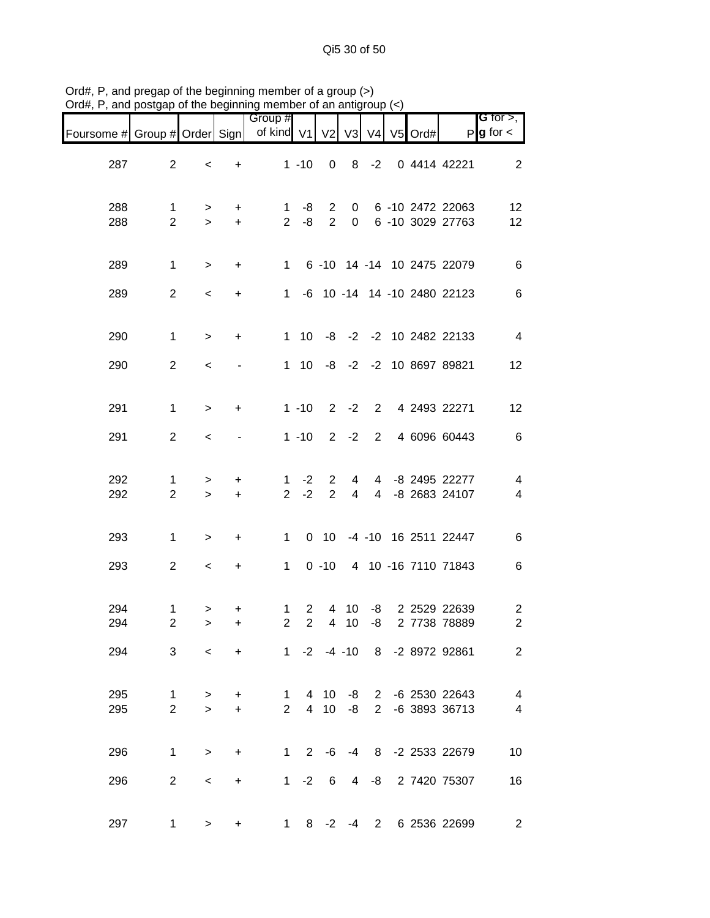| Foursome # Group # Order Sign |                                |                          |                        | Group #<br>of kind V1 V2      |                                  |                                  |                     |                | V3 V4 V5 Ord# |                                      | G for $>$ ,<br>$P$ <b>g</b> for $\lt$     |
|-------------------------------|--------------------------------|--------------------------|------------------------|-------------------------------|----------------------------------|----------------------------------|---------------------|----------------|---------------|--------------------------------------|-------------------------------------------|
| 287                           | $\overline{2}$                 | $\,<$                    | $\ddot{}$              |                               | $1 - 10$                         | $\mathbf 0$                      |                     | $8 - 2$        |               | 0 4414 42221                         | $\overline{2}$                            |
| 288<br>288                    | $\mathbf{1}$<br>$\overline{2}$ | ><br>$\geq$              | +<br>$+$               | 1<br>2                        | -8<br>-8                         | $\overline{2}$<br>$\overline{2}$ | 0<br>$\overline{0}$ |                |               | 6 -10 2472 22063<br>6 -10 3029 27763 | 12<br>12                                  |
| 289                           | $\mathbf{1}$                   | $\,>$                    | $\ddot{}$              | $1 \quad$                     |                                  |                                  |                     |                |               | 6 -10 14 -14 10 2475 22079           | 6                                         |
| 289                           | $\overline{2}$                 | $\,<$                    | $\ddot{}$              | 1                             |                                  |                                  |                     |                |               | -6 10 -14 14 -10 2480 22123          | $\,6$                                     |
| 290                           | $\mathbf{1}$                   | $\geq$                   | $\ddot{}$              |                               |                                  |                                  |                     |                |               | 1 10 -8 -2 -2 10 2482 22133          | $\overline{4}$                            |
| 290                           | $\overline{2}$                 | $\,<$                    |                        |                               |                                  |                                  |                     |                |               | 1 10 -8 -2 -2 10 8697 89821          | 12                                        |
| 291                           | $\mathbf{1}$                   | $\,$                     | $\ddot{}$              |                               | $1 - 10$                         |                                  | $2 -2$              | $2^{\circ}$    |               | 4 2493 22271                         | 12                                        |
| 291                           | $\overline{2}$                 | $\,<\,$                  |                        |                               | $1 - 10$                         |                                  | $2 -2$              | $2^{\circ}$    |               | 4 6096 60443                         | 6                                         |
| 292<br>292                    | $\mathbf{1}$<br>$\overline{2}$ | ><br>$\geq$              | $\ddot{}$<br>$\ddot{}$ | 1<br>$\overline{2}$           | $-2$<br>$-2$                     | $\mathbf{2}$<br>$\overline{2}$   | 4<br>$\overline{4}$ | $\overline{4}$ |               | 4 -8 2495 22277<br>-8 2683 24107     | $\overline{\mathbf{4}}$<br>$\overline{4}$ |
| 293                           | $\mathbf{1}$                   | $\,$                     | $\ddot{}$              | $\mathbf{1}$                  |                                  | $0$ 10                           |                     |                |               | -4 -10 16 2511 22447                 | $\,6\,$                                   |
| 293                           | $\overline{2}$                 | $\,<$                    | $\ddot{}$              | $\mathbf 1$                   |                                  | $0 - 10$                         |                     |                |               | 4 10 -16 7110 71843                  | 6                                         |
| 294<br>294                    | $\mathbf{1}$<br>$\overline{2}$ | $\, > \,$<br>$\geq$      | +<br>$\ddot{}$         | 1<br>$\overline{2}$           | $\overline{2}$<br>$\overline{2}$ | 4                                | 10<br>4 10          | -8<br>-8       |               | 2 2529 22639<br>2 7738 78889         | $\overline{c}$<br>$\boldsymbol{2}$        |
| 294                           | 3                              | $\overline{\phantom{0}}$ | $+$                    | 1 -2 -4 -10 8 -2 8972 92861   |                                  |                                  |                     |                |               |                                      | $\overline{2}$                            |
| 295<br>295                    | $\mathbf{1}$<br>$\overline{2}$ | ><br>$\geq$              | $\ddot{}$<br>$\ddot{}$ | $\mathbf 1$<br>$\overline{2}$ |                                  | 4 10<br>4 10                     | -8<br>-8            |                |               | 2 -6 2530 22643<br>2 -6 3893 36713   | $\overline{4}$<br>4                       |
| 296                           | $\mathbf 1$                    | $\geq$                   | $\ddot{}$              |                               |                                  |                                  |                     |                |               | 1 2 -6 -4 8 -2 2533 22679            | 10                                        |
| 296                           | $\overline{2}$                 | $\,<\,$                  | +                      |                               | $1 -2$                           | -6                               | 4                   | -8             |               | 2 7420 75307                         | 16                                        |
| 297                           | $\mathbf 1$                    | $\geq$                   | +                      |                               | $1 \t 8 \t -2 \t -4 \t 2$        |                                  |                     |                |               | 6 2536 22699                         | $\overline{2}$                            |

Ord#, P, and pregap of the beginning member of a group (>) Ord#, P, and postgap of the beginning member of an antigroup (<)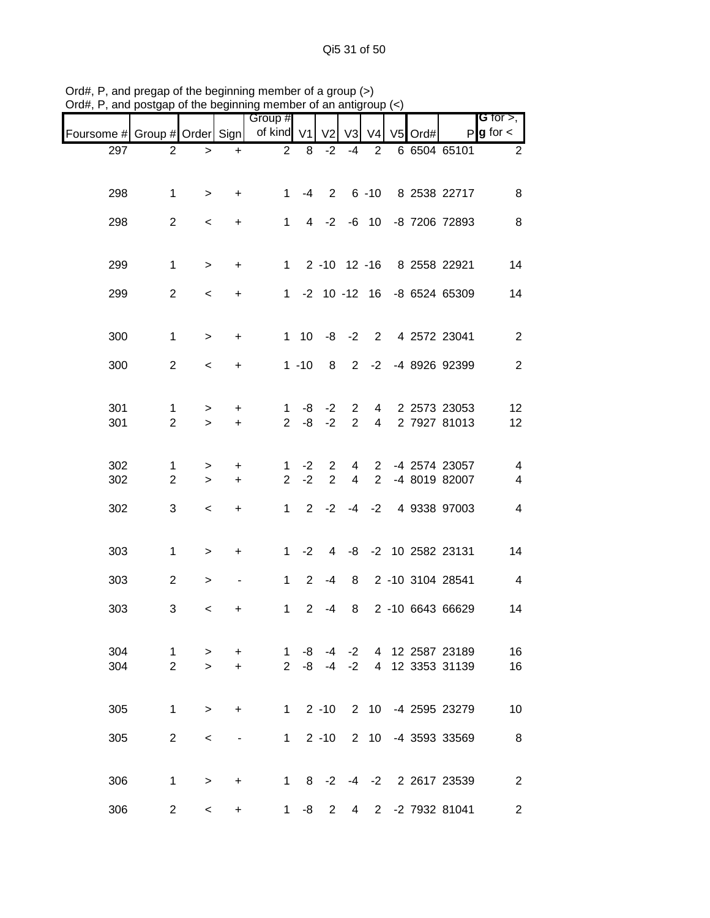| ana                           | ootgap                          |                     |                          | or the beginning member or an antign |                |                                  |                          |                |         |                                  |                                       |
|-------------------------------|---------------------------------|---------------------|--------------------------|--------------------------------------|----------------|----------------------------------|--------------------------|----------------|---------|----------------------------------|---------------------------------------|
| Foursome # Group # Order Sign |                                 |                     |                          | Group #<br>of kind V1                |                | V <sub>2</sub>                   | V <sub>3</sub>           | V <sub>4</sub> | V5 Ord# |                                  | G for $>$ ,<br>$P$ <b>g</b> for $\lt$ |
| 297                           | $\overline{2}$                  | $\, > \,$           | $\ddot{}$                | $\overline{2}$                       | 8              | $-2$                             | $-4$                     | 2              |         | 6 6504 65101                     | $\overline{2}$                        |
|                               |                                 |                     |                          |                                      |                |                                  |                          |                |         |                                  |                                       |
| 298                           | $\mathbf 1$                     | $\, > \,$           | $\ddot{}$                | $\mathbf{1}$                         |                |                                  |                          |                |         | -4 2 6 -10 8 2538 22717          | 8                                     |
| 298                           | $\overline{2}$                  | $\,<$               | $\ddot{}$                | $\mathbf{1}$                         |                |                                  |                          |                |         | 4 -2 -6 10 -8 7206 72893         | 8                                     |
|                               |                                 |                     |                          |                                      |                |                                  |                          |                |         |                                  |                                       |
| 299                           | $\mathbf{1}$                    | $\mathbf{L}$        | $\ddot{}$                |                                      |                |                                  |                          |                |         | 1 2 -10 12 -16 8 2558 22921      | 14                                    |
| 299                           | $\overline{2}$                  | $\,<$               | +                        |                                      |                |                                  |                          |                |         | 1 -2 10 -12 16 -8 6524 65309     | 14                                    |
|                               |                                 |                     |                          |                                      |                |                                  |                          |                |         |                                  |                                       |
| 300                           | $\mathbf{1}$                    | $\, > \,$           | $\ddot{}$                |                                      |                | $1 10 -8 -2$                     |                          |                |         | 2 4 2572 23041                   | $\overline{2}$                        |
| 300                           | $\overline{2}$                  | $\,<$               | +                        |                                      | $1 - 10$       | 8                                | $\overline{\phantom{a}}$ | $-2$           |         | -4 8926 92399                    | $\overline{2}$                        |
|                               |                                 |                     |                          |                                      |                |                                  |                          |                |         |                                  |                                       |
| 301                           | 1                               | >                   | $\ddot{}$                | 1                                    | -8             | $-2$                             | $\overline{2}$           | $\overline{4}$ |         | 2 2573 23053                     | 12                                    |
| 301                           | $\overline{2}$                  | $\geq$              | $\ddot{}$                | $\overline{2}$                       | -8             | $-2$                             | $\overline{2}$           | $\overline{4}$ |         | 2 7927 81013                     | 12                                    |
|                               |                                 |                     |                          |                                      |                |                                  |                          |                |         |                                  |                                       |
| 302<br>302                    | $\mathbf 1$<br>$\boldsymbol{2}$ | $\, > \,$<br>$\, >$ | +<br>$\ddot{}$           | 1<br>$\overline{2}$                  | $-2$<br>$-2$   | $\overline{2}$<br>$\overline{2}$ | 4<br>$\overline{4}$      | $2^{\circ}$    |         | 2 -4 2574 23057<br>-4 8019 82007 | 4<br>$\overline{\mathbf{4}}$          |
|                               |                                 |                     |                          |                                      |                |                                  |                          |                |         |                                  |                                       |
| 302                           | 3                               | $\,<$               | $\ddot{}$                | $\mathbf{1}$                         |                | $2 -2$                           | $-4$                     | $-2$           |         | 4 9338 97003                     | $\overline{\mathbf{4}}$               |
|                               |                                 |                     |                          |                                      |                |                                  |                          |                |         |                                  |                                       |
| 303                           | $\mathbf{1}$                    | $\,>$               | $\ddot{}$                | $\mathbf{1}$                         | $-2$           |                                  |                          |                |         | 4 -8 -2 10 2582 23131            | 14                                    |
| 303                           | $\overline{2}$                  | $\, > \,$           | $\overline{\phantom{a}}$ | $\mathbf{1}$                         | $2^{\circ}$    | $-4$                             | 8                        |                |         | 2 -10 3104 28541                 | $\overline{4}$                        |
| 303                           | 3                               | $\,<\,$             | +                        | $\mathbf{1}$                         | $\overline{2}$ | $-4$                             | 8                        |                |         | 2 -10 6643 66629                 | 14                                    |
|                               |                                 |                     |                          |                                      |                |                                  |                          |                |         |                                  |                                       |
| 304                           | 1                               | >                   | +                        | 1                                    | -8             | -4                               | $-2$                     |                |         | 4 12 2587 23189                  | 16                                    |
| 304                           | $\overline{2}$                  | $\geq$              | $\ddot{}$                | $\overline{2}$                       |                | $-8 - 4$                         | $-2$                     |                |         | 4 12 3353 31139                  | 16                                    |
|                               |                                 |                     |                          |                                      |                |                                  |                          |                |         |                                  |                                       |
| 305                           | $\mathbf{1}$                    | $\, >$              | +                        | $\mathbf{1}$                         |                | $2 - 10$                         |                          |                |         | 2 10 -4 2595 23279               | 10                                    |
| 305                           | $\overline{2}$                  | $\,<\,$             |                          | $1 \quad$                            |                | $2 - 10$                         |                          |                |         | 2 10 -4 3593 33569               | 8                                     |
|                               |                                 |                     |                          |                                      |                |                                  |                          |                |         |                                  |                                       |
| 306                           | $\mathbf 1$                     | >                   | +                        |                                      |                |                                  |                          |                |         | 1 8 -2 -4 -2 2 2617 23539        | $\overline{2}$                        |
| 306                           | $\overline{2}$                  | $\,<\,$             | $\ddot{}$                | 1                                    | $-8$           | $2^{\circ}$                      | $\overline{4}$           |                |         | 2 -2 7932 81041                  | $\overline{2}$                        |

Ord#, P, and pregap of the beginning member of a group (>) Ord#, P, and postgap of the beginning member of an antigroup (<)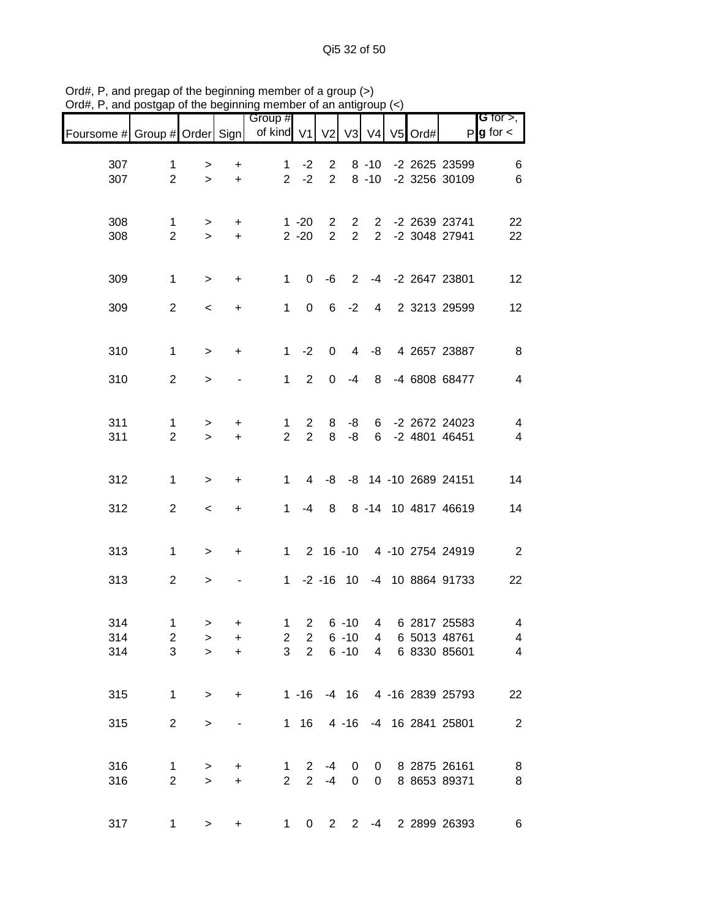| Foursome # Group # Order Sign |                     |                                  |                | Group #<br>of kind V1 |                                  | V <sub>2</sub> |                      |                                   | V3 V4 V5 Ord# |                              | <b>G</b> for $>$ , $\overline{\phantom{a}}$<br>$P$ <b>g</b> for $\lt$ |
|-------------------------------|---------------------|----------------------------------|----------------|-----------------------|----------------------------------|----------------|----------------------|-----------------------------------|---------------|------------------------------|-----------------------------------------------------------------------|
| 307                           | $\mathbf{1}$        | $\, >$                           | +              | $\mathbf{1}$          | $-2$                             | $\overline{2}$ |                      | $8 - 10$                          |               | -2 2625 23599                | 6                                                                     |
| 307                           | $\overline{2}$      | $\geq$                           | $\ddot{}$      | $\overline{2}$        | $-2$                             | $\overline{2}$ |                      | $8 - 10$                          |               | -2 3256 30109                | $\,6$                                                                 |
| 308                           | $\mathbf{1}$        | >                                | $\pm$          |                       | $1 - 20$                         | $2^{\circ}$    | $\overline{2}$       |                                   |               | 2 -2 2639 23741              | 22                                                                    |
| 308                           | $\overline{2}$      | $\geq$                           | $+$            |                       | $2 - 20$                         | $2^{\circ}$    | $2^{\circ}$          |                                   |               | 2 -2 3048 27941              | 22                                                                    |
| 309                           | $\mathbf{1}$        | $\,$                             | $+$            | 1                     |                                  |                |                      |                                   |               | 0 -6 2 -4 -2 2647 23801      | 12                                                                    |
| 309                           | $\overline{2}$      | $\,<$                            | +              | 1                     | $\mathbf 0$                      |                | $6 -2$               | $4\overline{ }$                   |               | 2 3213 29599                 | 12                                                                    |
|                               |                     |                                  |                |                       |                                  |                |                      |                                   |               |                              |                                                                       |
| 310                           | $\mathbf{1}$        | $\geq$                           | $+$            | $\mathbf{1}$          | $-2$                             | $\mathbf 0$    | $\overline{4}$       | -8                                |               | 4 2657 23887                 | 8                                                                     |
| 310                           | $\overline{2}$      | $\,>$                            |                | 1                     | 2                                |                | $0 -4$               | 8                                 |               | -4 6808 68477                | $\overline{4}$                                                        |
| 311                           | $\mathbf{1}$        | $\, > \,$                        | +              | $\mathbf{1}$          | $2^{\circ}$                      |                | $8 - 8$              |                                   |               | 6 -2 2672 24023              | $\overline{4}$                                                        |
| 311                           | $\overline{2}$      | $\geq$                           | $\ddot{}$      | $\overline{2}$        | $\overline{2}$                   | 8              | -8                   |                                   |               | 6 -2 4801 46451              | $\overline{\mathbf{4}}$                                               |
| 312                           | $\mathbf{1}$        | $\, >$                           | $\pm$          | 1                     |                                  |                |                      |                                   |               | 4 -8 -8 14 -10 2689 24151    | 14                                                                    |
| 312                           | $\overline{2}$      | $\,<$                            | $+$            | 1                     | $-4$                             |                |                      |                                   |               | 8 8 -14 10 4817 46619        | 14                                                                    |
| 313                           | $\mathbf{1}$        | $\, >$                           | $+$            |                       |                                  |                |                      |                                   |               | 1 2 16 -10 4 -10 2754 24919  | $\overline{2}$                                                        |
| 313                           | $\overline{2}$      |                                  |                |                       |                                  |                |                      |                                   |               | 1 -2 -16 10 -4 10 8864 91733 | 22                                                                    |
|                               |                     | $\, > \,$                        |                |                       |                                  |                |                      |                                   |               |                              |                                                                       |
| 314                           | $\mathbf{1}$        | $\geq$                           | $\ddot{}$      | $\mathbf 1$           |                                  |                | $2 \t 6 \t -10$      | $4\overline{ }$                   |               | 6 2817 25583                 | 4                                                                     |
| 314<br>314                    | $\overline{c}$<br>3 | $\, >$<br>$\geq$                 | +<br>$\ddot{}$ | $\overline{2}$        | $\overline{2}$<br>3 <sub>2</sub> |                | $6 - 10$<br>$6 - 10$ | $4\overline{ }$<br>4 <sup>1</sup> |               | 6 5013 48761<br>6 8330 85601 | $\overline{\mathcal{A}}$<br>$\overline{4}$                            |
|                               |                     |                                  |                |                       |                                  |                |                      |                                   |               |                              |                                                                       |
| 315                           | $\mathbf{1}$        | $\geq$                           | $\ddot{}$      |                       |                                  |                |                      |                                   |               | 1 -16 -4 16 4 -16 2839 25793 | 22                                                                    |
| 315                           | $\overline{a}$      | $\, >$                           | $\blacksquare$ |                       |                                  |                |                      |                                   |               | 1 16 4 -16 -4 16 2841 25801  | $\mathbf{2}$                                                          |
| 316                           | $\mathbf{1}$        | $\, > \,$                        | +              |                       | $1 \t2 \t-4$                     |                | $\mathbf{0}$         | $\mathbf{0}$                      |               | 8 2875 26161                 | 8                                                                     |
| 316                           | $\overline{2}$      | $\geq$                           | $\ddot{}$      | $\overline{2}$        |                                  | $2 - 4$        | $\mathsf{O}$         | $\overline{0}$                    |               | 8 8653 89371                 | 8                                                                     |
| 317                           |                     | $1 \quad \blacksquare$<br>$\geq$ | $\ddot{}$      |                       | $1 \quad 0 \quad 2 \quad 2$      |                |                      | $-4$                              |               | 2 2899 26393                 | 6                                                                     |

Ord#, P, and pregap of the beginning member of a group (>) Ord#, P, and postgap of the beginning member of an antigroup (<)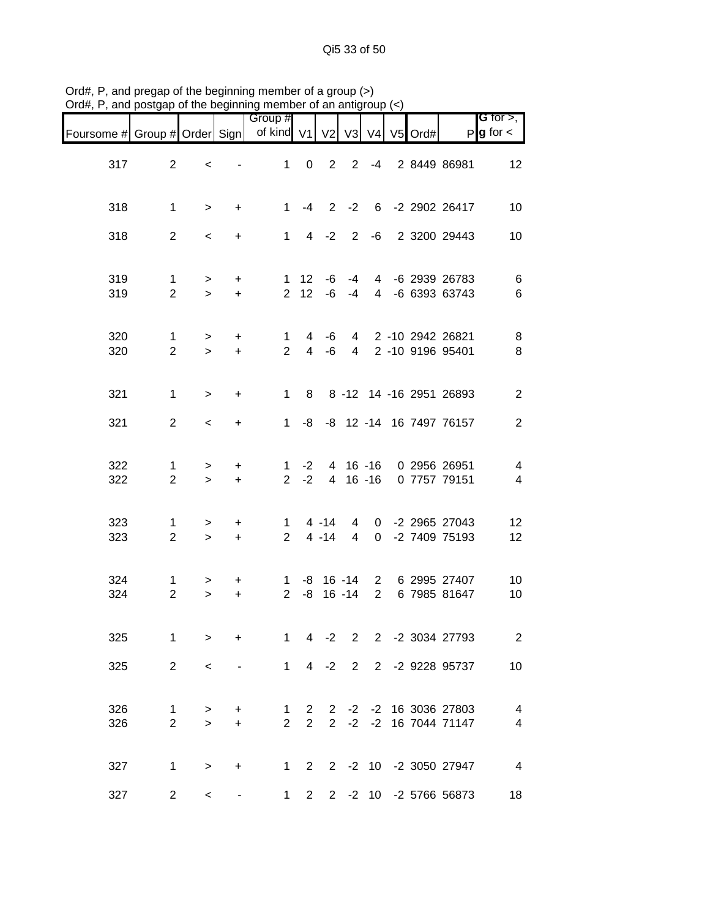Qi5 33 of 50

| , and                         | posiyap                        |                          |                        | or are beginning member or an anagroup |                                    |                    |                     |                             |         |                                           |                                       |
|-------------------------------|--------------------------------|--------------------------|------------------------|----------------------------------------|------------------------------------|--------------------|---------------------|-----------------------------|---------|-------------------------------------------|---------------------------------------|
| Foursome # Group # Order Sign |                                |                          |                        | Group #<br>of kind V1                  |                                    | V <sub>2</sub>     |                     | $V3$ $V4$                   | V5 Ord# |                                           | G for $>$ ,<br>$P$ <b>g</b> for $\lt$ |
| 317                           | $\overline{2}$                 | $\,<$                    |                        | $\mathbf{1}$                           | $\mathsf{O}$                       | $2^{\circ}$        | $2^{\circ}$         | $-4$                        |         | 2 8449 86981                              | 12                                    |
| 318                           | $\mathbf{1}$                   | $\,$                     | $\ddot{}$              | $\mathbf{1}$                           |                                    |                    |                     |                             |         | -4 2 -2 6 -2 2902 26417                   | 10                                    |
| 318                           | $\overline{2}$                 | $\,<$                    | +                      |                                        | $1 \t 4 \t -2 \t 2$                |                    |                     | -6                          |         | 2 3200 29443                              | 10                                    |
| 319<br>319                    | $\mathbf{1}$<br>$\overline{2}$ | $\, > \,$<br>$\geq$      | $\ddot{}$<br>$+$       |                                        | $1 \quad 12$<br>$2 \t12 \t-6 \t-4$ | -6                 | $-4$                |                             |         | 4 -6 2939 26783<br>4 -6 6393 63743        | 6<br>$6\phantom{1}6$                  |
| 320<br>320                    | $\mathbf{1}$<br>$\overline{2}$ | $\, > \,$<br>$\geq$      | $\ddot{}$<br>$\ddot{}$ | $\mathbf 1$<br>$\overline{2}$          |                                    | $4 - 6$<br>$4 - 6$ | $\overline{4}$      |                             |         | 4 2 -10 2942 26821<br>2 -10 9196 95401    | 8<br>8                                |
| 321                           | $\mathbf 1$                    | $\,$                     | $\ddot{}$              |                                        |                                    |                    |                     |                             |         | 1 8 8 -12 14 -16 2951 26893               | $\overline{c}$                        |
| 321                           | $\overline{2}$                 | $\,<\,$                  | $\ddot{}$              | $\mathbf 1$                            |                                    |                    |                     |                             |         | -8 -8 12 -14 16 7497 76157                | $\mathbf{2}$                          |
| 322<br>322                    | $\mathbf 1$<br>$\overline{2}$  | ><br>$\geq$              | $\ddot{}$<br>$\ddot{}$ | $1 \quad$<br>$\overline{2}$            | $-2$                               |                    |                     | $-2$ 4 16 $-16$<br>4 16 -16 |         | 0 2956 26951<br>0 7757 79151              | 4<br>$\overline{\mathbf{4}}$          |
| 323<br>323                    | $\mathbf{1}$<br>$\overline{2}$ | ><br>$\geq$              | $\ddot{}$<br>$\ddot{}$ | $2^{\circ}$                            | $1 \quad 4 \quad -14$              | $4 - 14$           | 4<br>$\overline{4}$ |                             |         | 0 -2 2965 27043<br>0 -2 7409 75193        | 12<br>12                              |
| 324<br>324                    | $\mathbf{1}$<br>$\overline{2}$ | ><br>$\geq$              | $\ddot{}$<br>$\pm$     | $\mathbf 1$<br>$\overline{2}$          | -8                                 | $-8$ 16 $-14$      | $16 - 14$           | $2^{\circ}$<br>$2^{\circ}$  |         | 6 2995 27407<br>6 7985 81647              | 10<br>10                              |
| 325                           | $\mathbf 1$                    | $\geq$                   | $\ddot{}$              | $\mathbf{1}$                           |                                    |                    |                     |                             |         | 4 -2 2 2 -2 3034 27793                    | $\overline{2}$                        |
| 325                           | $\overline{2}$                 | $\,<\,$                  |                        | $\mathbf{1}$                           |                                    | $4 -2$             | $2^{\circ}$         |                             |         | 2 -2 9228 95737                           | 10                                    |
| 326<br>326                    | $\mathbf 1$<br>$\overline{2}$  | $\, > \,$<br>$\geq$      | +<br>$\ddot{}$         | $\mathbf{1}$<br>$\overline{2}$         | $2^{\circ}$<br>$\overline{2}$      | $2^{\circ}$        | $-2$                |                             |         | 2 -2 -2 16 3036 27803<br>-2 16 7044 71147 | $\overline{4}$<br>$\overline{4}$      |
| 327                           | $\mathbf 1$                    | >                        | $\ddot{}$              |                                        |                                    |                    |                     |                             |         | 1 2 2 -2 10 -2 3050 27947                 | $\overline{4}$                        |
| 327                           | $\overline{c}$                 | $\overline{\phantom{0}}$ |                        | 1                                      | $2^{\circ}$                        |                    |                     |                             |         | 2 -2 10 -2 5766 56873                     | 18                                    |

Ord#, P, and pregap of the beginning member of a group (>) Ord#, P, and postgap of the beginning member of an antigroup (<)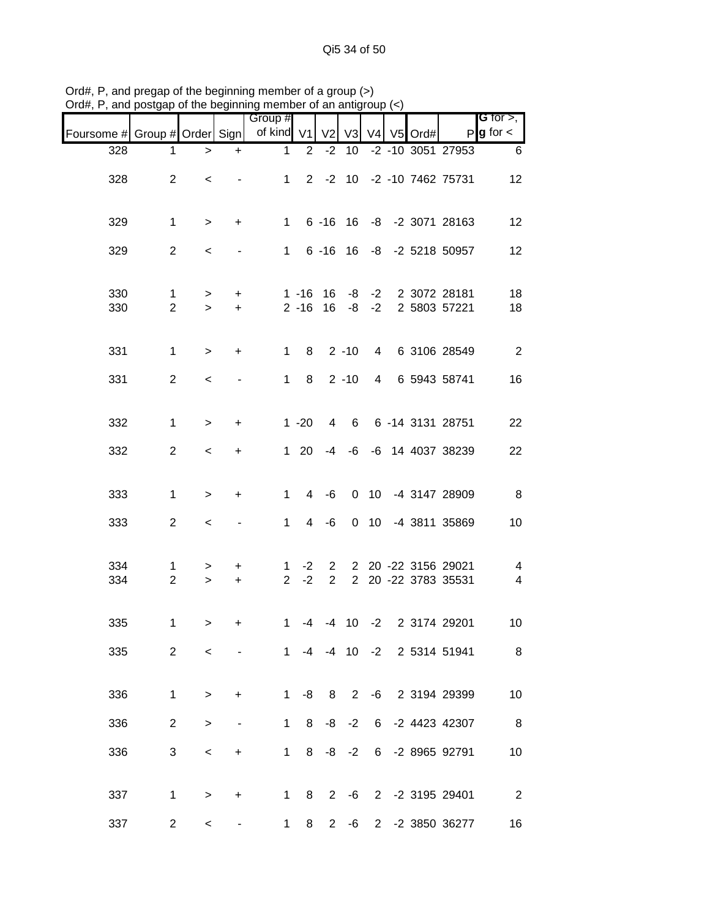|            | souau                          |                          |                          | or the beginning member or an antig |                      |                               |                            |                |         |                                            |                                               |
|------------|--------------------------------|--------------------------|--------------------------|-------------------------------------|----------------------|-------------------------------|----------------------------|----------------|---------|--------------------------------------------|-----------------------------------------------|
| Foursome # | Group # Order Sign             |                          |                          | Group #<br>of kind V1               |                      | V <sub>2</sub>                | V <sub>3</sub>             | V <sub>4</sub> | V5 Ord# |                                            | <b>G</b> for $>$ , $\vert$<br>$P g$ for $\lt$ |
| 328        | $\mathbf 1$                    | $\, > \,$                | $\ddot{}$                | 1                                   | $\overline{2}$       | $-2$                          | 10                         |                |         | -2 -10 3051 27953                          | 6                                             |
| 328        | $\overline{2}$                 | $\,<\,$                  |                          | $\mathbf{1}$                        |                      |                               |                            |                |         | 2 -2 10 -2 -10 7462 75731                  | 12                                            |
| 329        | $\mathbf{1}$                   | $\,>$                    | $\ddot{}$                | $\mathbf 1$                         |                      |                               |                            |                |         | 6 -16 16 -8 -2 3071 28163                  | 12                                            |
| 329        | $\overline{2}$                 | $\,<\,$                  | $\overline{\phantom{a}}$ |                                     |                      |                               |                            |                |         | 1 6 -16 16 -8 -2 5218 50957                | 12                                            |
| 330<br>330 | $\mathbf{1}$<br>$\overline{2}$ | $\geq$<br>$\geq$         | +<br>$\ddot{}$           |                                     | $1 - 16$<br>$2 - 16$ | 16<br>16                      | -8<br>-8                   | $-2$<br>$-2$   |         | 2 3072 28181<br>2 5803 57221               | 18<br>18                                      |
| 331        | $\mathbf{1}$                   | $\geq$                   | +                        | $\mathbf{1}$                        | 8                    |                               | $2 - 10$                   | 4 <sup>1</sup> |         | 6 3106 28549                               | $\overline{2}$                                |
| 331        | $\overline{2}$                 | $\,<$                    |                          | $\mathbf{1}$                        | 8                    |                               | $2 - 10$                   | $\overline{4}$ |         | 6 5943 58741                               | 16                                            |
| 332        | $\mathbf{1}$                   | $\geq$                   | +                        |                                     | $1 - 20$             | 4                             | 6                          |                |         | 6 -14 3131 28751                           | 22                                            |
| 332        | $\overline{2}$                 | $\,<\,$                  | +                        |                                     | 1 20                 |                               | $-4$ $-6$                  |                |         | -6 14 4037 38239                           | 22                                            |
| 333        | $\mathbf{1}$                   | $\geq$                   | $\ddot{}$                | $\mathbf{1}$                        |                      | $4 - 6$                       |                            |                |         | 0 10 -4 3147 28909                         | 8                                             |
| 333        | $\overline{2}$                 | $\,<$                    |                          | $\mathbf{1}$                        |                      | $4 - 6$                       |                            |                |         | 0 10 -4 3811 35869                         | 10                                            |
| 334<br>334 | $\mathbf{1}$<br>$\overline{2}$ | ><br>$\geq$              | +<br>$\ddot{}$           | $\mathbf 1$<br>$\overline{2}$       | $-2$<br>$-2$         | $2^{\circ}$<br>$\overline{2}$ |                            |                |         | 2 20 -22 3156 29021<br>2 20 -22 3783 35531 | 4<br>4                                        |
| 335        | 1                              | $\geq$                   | ٠.                       | 1                                   | -4                   |                               |                            |                |         | -4 10 -2 2 3174 29201                      | 10                                            |
| 335        | $\overline{2}$                 | $\,<\,$                  |                          |                                     |                      |                               |                            |                |         | 1 -4 -4 10 -2 2 5314 51941                 | 8                                             |
| 336        | $\mathbf 1$                    | $\, > \,$                | +                        | $\mathbf{1}$                        |                      | $-8$ 8                        | $\overline{\phantom{a}}$ 2 |                |         | -6 2 3194 29399                            | 10                                            |
| 336        | 2                              | >                        |                          | $\mathbf 1$                         |                      |                               | $8 - 8 - 2$                |                |         | 6 -2 4423 42307                            | 8                                             |
| 336        | 3                              | $\,<\,$                  | $\ddot{}$                | 1                                   |                      |                               | $8 - 8 - 2$                |                |         | 6 -2 8965 92791                            | 10                                            |
| 337        | $\mathbf{1}$                   | >                        | +                        | 1                                   |                      |                               |                            |                |         | 8 2 -6 2 -2 3195 29401                     | 2                                             |
| 337        | $\overline{c}$                 | $\overline{\phantom{0}}$ |                          | $\mathbf 1$                         | 8                    |                               |                            |                |         | 2 -6 2 -2 3850 36277                       | $16\,$                                        |

Ord#, P, and pregap of the beginning member of a group (>) Ord#, P, and postgap of the beginning member of an antigroup (<)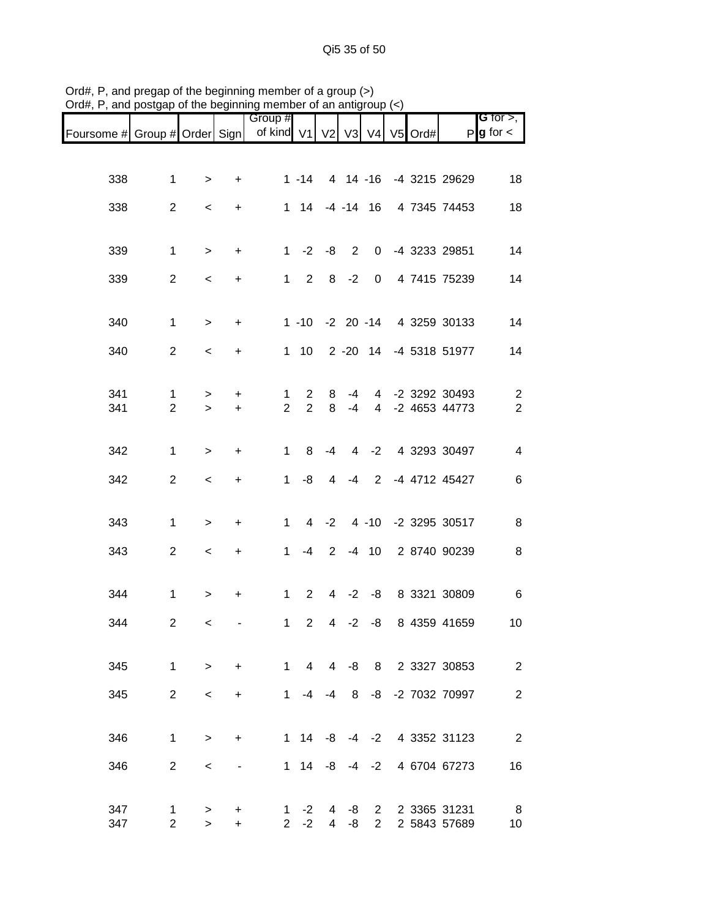|                               |                |           |                          | Group #        |                         |                |         |                 |               |                              | <b>G</b> for $>$ ,     |
|-------------------------------|----------------|-----------|--------------------------|----------------|-------------------------|----------------|---------|-----------------|---------------|------------------------------|------------------------|
| Foursome # Group # Order Sign |                |           |                          | of kind V1     |                         | V <sub>2</sub> |         |                 | V3 V4 V5 Ord# |                              | $P$ <b>g</b> for $\lt$ |
|                               |                |           |                          |                |                         |                |         |                 |               |                              |                        |
|                               | $\mathbf 1$    |           |                          |                | $1 - 14$                |                |         |                 |               | 4 14 -16 -4 3215 29629       |                        |
| 338                           |                | $\, > \,$ | $\ddot{}$                |                |                         |                |         |                 |               |                              | 18                     |
| 338                           | $\overline{2}$ | $\,<\,$   | +                        |                | 1 14                    |                |         | $-4$ $-14$ 16   |               | 4 7345 74453                 | 18                     |
|                               |                |           |                          |                |                         |                |         |                 |               |                              |                        |
| 339                           | $\mathbf 1$    | $\,>$     | $\ddot{}$                |                | $1 -2 -8 2$             |                |         | $\mathbf{0}$    |               | -4 3233 29851                | 14                     |
| 339                           | $\overline{2}$ |           |                          |                | $1 \quad 2$             |                | $8 - 2$ | $\overline{0}$  |               | 4 7415 75239                 | 14                     |
|                               |                | $\,<\,$   | +                        |                |                         |                |         |                 |               |                              |                        |
|                               |                |           |                          |                |                         |                |         |                 |               |                              |                        |
| 340                           | $\mathbf{1}$   | $\,$      | $\ddot{}$                |                |                         |                |         |                 |               | 1 -10 -2 20 -14 4 3259 30133 | 14                     |
| 340                           | $\overline{2}$ | $\,<\,$   | +                        |                | $1 10$                  |                |         |                 |               | 2 -20 14 -4 5318 51977       | 14                     |
|                               |                |           |                          |                |                         |                |         |                 |               |                              |                        |
| 341                           | $\mathbf{1}$   | >         | +                        | 1              | $\overline{2}$          | 8              | -4      | $\overline{4}$  |               | -2 3292 30493                | $\overline{2}$         |
| 341                           | $\overline{2}$ | $\geq$    | $\ddot{}$                | $\overline{2}$ | $\overline{2}$          | 8              | $-4$    | $4\overline{ }$ |               | -2 4653 44773                | $\overline{2}$         |
|                               |                |           |                          |                |                         |                |         |                 |               |                              |                        |
| 342                           | $\mathbf{1}$   | $\,>$     | +                        | $\mathbf{1}$   | 8                       | $-4$           | 4       | $-2$            |               | 4 3293 30497                 | 4                      |
|                               |                |           |                          |                |                         |                |         |                 |               |                              |                        |
| 342                           | $\overline{2}$ | $\,<$     | +                        | $\mathbf 1$    | -8                      | $\overline{4}$ | $-4$    | $2^{\circ}$     |               | -4 4712 45427                | 6                      |
|                               |                |           |                          |                |                         |                |         |                 |               |                              |                        |
| 343                           | $\mathbf 1$    | $\, > \,$ | $\ddot{}$                | $\mathbf 1$    |                         | $4 -2$         |         |                 |               | 4 -10 -2 3295 30517          | 8                      |
| 343                           | $\overline{2}$ | $\,<\,$   | $\ddot{}$                | 1              | $-4$                    | $2^{\circ}$    |         | $-4$ 10         |               | 2 8740 90239                 | 8                      |
|                               |                |           |                          |                |                         |                |         |                 |               |                              |                        |
| 344                           | $\mathbf{1}$   | $\,$      | +                        | $\mathbf{1}$   | $\overline{2}$          |                | $4 -2$  | -8              |               | 8 3321 30809                 | $\,6$                  |
|                               |                |           |                          |                |                         |                |         |                 |               |                              |                        |
| 344                           | $\overline{2}$ | $\,<\,$   |                          | 1              | $\mathbf{2}$            | 4              | $-2$    | -8              |               | 8 4359 41659                 | 10                     |
|                               |                |           |                          |                |                         |                |         |                 |               |                              |                        |
| 345                           | $\mathbf{1}$   | $\geq$    | $\ddot{}$                | 1              | $\overline{4}$          |                |         |                 |               | 4 -8 8 2 3327 30853          | $\overline{2}$         |
| 345                           | $\overline{2}$ |           |                          | $\mathbf{1}$   | -4                      | $-4$           | 8       |                 |               | -8 -2 7032 70997             | $\overline{2}$         |
|                               |                | $\,<$     | +                        |                |                         |                |         |                 |               |                              |                        |
|                               |                |           |                          |                |                         |                |         |                 |               |                              |                        |
| 346                           | 1              | $\geq$    | +                        |                | $1 \t14 \t-8 \t-4 \t-2$ |                |         |                 |               | 4 3352 31123                 | $\overline{2}$         |
| 346                           | $\overline{2}$ | $\,<\,$   | $\overline{\phantom{a}}$ |                | $1 \t14 \t-8$           |                |         | $-4$ $-2$       |               | 4 6704 67273                 | 16                     |
|                               |                |           |                          |                |                         |                |         |                 |               |                              |                        |
| 347                           | 1              | >         | +                        | 1.             | $-2$                    | 4              | -8      | $2^{\circ}$     |               | 2 3365 31231                 | 8                      |
| 347                           | $\overline{2}$ | $\geq$    | +                        | $\overline{2}$ | $-2$                    | $\overline{4}$ | -8      | $\overline{2}$  |               | 2 5843 57689                 | 10                     |

Ord#, P, and pregap of the beginning member of a group (>) Ord#, P, and postgap of the beginning member of an antigroup (<)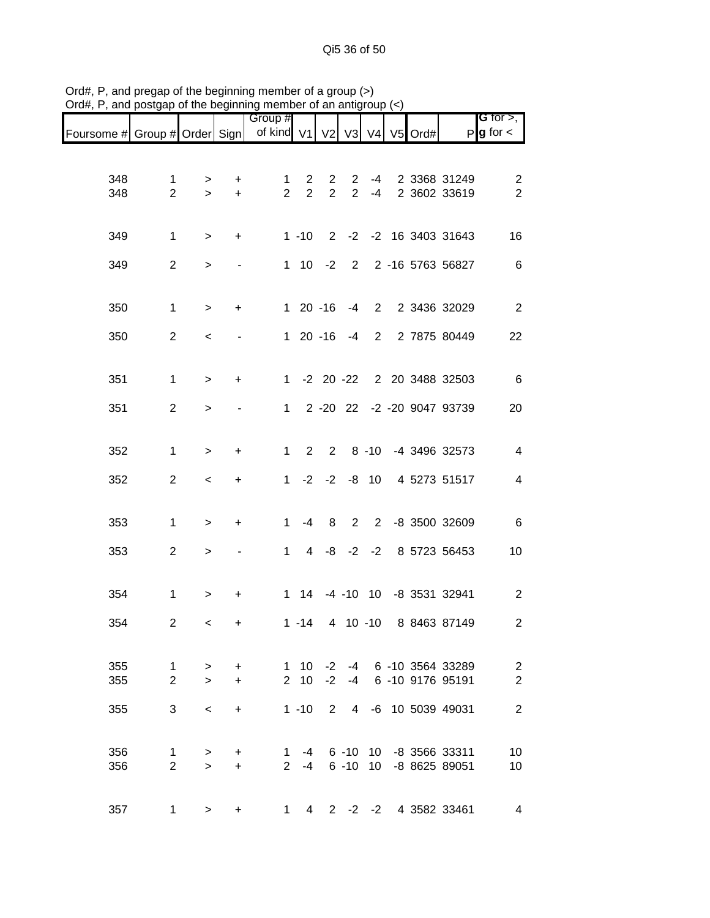Qi5 36 of 50

|                               |                                |                     |                              | Group #                        |                               |                     |                     |              |         |                                                            | G for $>$ ,                        |
|-------------------------------|--------------------------------|---------------------|------------------------------|--------------------------------|-------------------------------|---------------------|---------------------|--------------|---------|------------------------------------------------------------|------------------------------------|
| Foursome # Group # Order Sign |                                |                     |                              | of kind V1                     |                               | V <sub>2</sub>      |                     | V3 V4        | V5 Ord# |                                                            | $P$ <b>g</b> for $\lt$             |
| 348<br>348                    | $\mathbf{1}$<br>$\overline{2}$ | ><br>$\geq$         | $\ddot{}$<br>$+$             | $\mathbf{1}$<br>$\overline{2}$ | $2^{\circ}$<br>$\overline{2}$ | $\overline{2}$<br>2 | 2<br>$\overline{2}$ | $-4$<br>$-4$ |         | 2 3368 31249<br>2 3602 33619                               | $\overline{c}$<br>$\sqrt{2}$       |
| 349                           | $\mathbf{1}$                   | $\, > \,$           | $+$                          |                                |                               |                     |                     |              |         | 1 -10 2 -2 -2 16 3403 31643                                | 16                                 |
| 349                           | $\overline{2}$                 | $\, > \,$           | $\qquad \qquad \blacksquare$ |                                |                               |                     |                     |              |         | 1 10 -2 2 2 -16 5763 56827                                 | 6                                  |
| 350                           | $\mathbf{1}$                   | $\,>$               | $+$                          |                                |                               |                     | 1 20 -16 -4         | $2^{\circ}$  |         | 2 3436 32029                                               | $\overline{2}$                     |
| 350                           | $\overline{2}$                 | $\,<$               |                              |                                |                               |                     | 1 20 -16 -4         | $2^{\circ}$  |         | 2 7875 80449                                               | 22                                 |
| 351                           | $\mathbf{1}$                   | $\geq$              | $+$                          |                                |                               |                     |                     |              |         | 1 -2 20 -22 2 20 3488 32503                                | $6\overline{6}$                    |
| 351                           | $\overline{2}$                 | $\,>$               |                              | $1 \quad$                      |                               |                     |                     |              |         | 2 -20 22 -2 -20 9047 93739                                 | 20                                 |
| 352                           | $\mathbf{1}$                   | $\geq$              | $\ddot{}$                    | $1 \quad$                      | $2^{\circ}$                   |                     |                     |              |         | 2 8 -10 -4 3496 32573                                      | $\overline{4}$                     |
| 352                           | $\overline{2}$                 | $\,<\,$             | $\ddot{}$                    |                                |                               |                     | $1 -2 -2 -8 10$     |              |         | 4 5273 51517                                               | $\overline{\mathcal{A}}$           |
| 353                           | $\mathbf{1}$                   | $\,>$               | $\ddot{}$                    | $1 \quad$                      | $-4$                          | 8                   |                     |              |         | 2 2 -8 3500 32609                                          | $\,6$                              |
| 353                           | $\overline{2}$                 | $\,$                |                              | 1                              |                               |                     | $4 -8 -2 -2$        |              |         | 8 5723 56453                                               | 10                                 |
| 354                           | $\mathbf{1}$                   | $\, > \,$           | $\ddot{}$                    |                                |                               |                     |                     |              |         | 1 14 -4 -10 10 -8 3531 32941                               | $\overline{c}$                     |
| 354                           | $\overline{c}$                 | $\,<\,$             | $\ddot{}$                    |                                | $1 - 14$                      |                     | 4 10 -10            |              |         | 8 8463 87149                                               | $\overline{\mathbf{c}}$            |
| 355<br>355                    | $\mathbf{1}$<br>$\overline{2}$ | $\, > \,$<br>$\geq$ | $+$<br>$\ddot{}$             |                                | $1 \quad 10$<br>$2 \quad 10$  | $-2$                |                     |              |         | $-2$ $-4$ 6 $-10$ 3564 33289<br>-4 6 -10 9176 95191        | $\boldsymbol{2}$<br>$\overline{2}$ |
| 355                           | 3                              | $\prec$             | $\ddot{}$                    |                                | $1 - 10$                      |                     | $2 \quad 4$         |              |         | -6 10 5039 49031                                           | $\overline{2}$                     |
| 356<br>356                    | $\mathbf 1$<br>$\overline{2}$  | $\, > \,$<br>$\geq$ | $\ddot{}$<br>$\ddot{}$       |                                |                               |                     |                     |              |         | 1 -4 6 -10 10 -8 3566 33311<br>2 -4 6 -10 10 -8 8625 89051 | 10<br>10                           |
| 357                           | $\mathbf{1}$                   | $\geq$              | $\ddot{}$                    |                                |                               |                     |                     |              |         | 1 4 2 -2 -2 4 3582 33461                                   | 4                                  |

Ord#, P, and pregap of the beginning member of a group (>) Ord#, P, and postgap of the beginning member of an antigroup (<)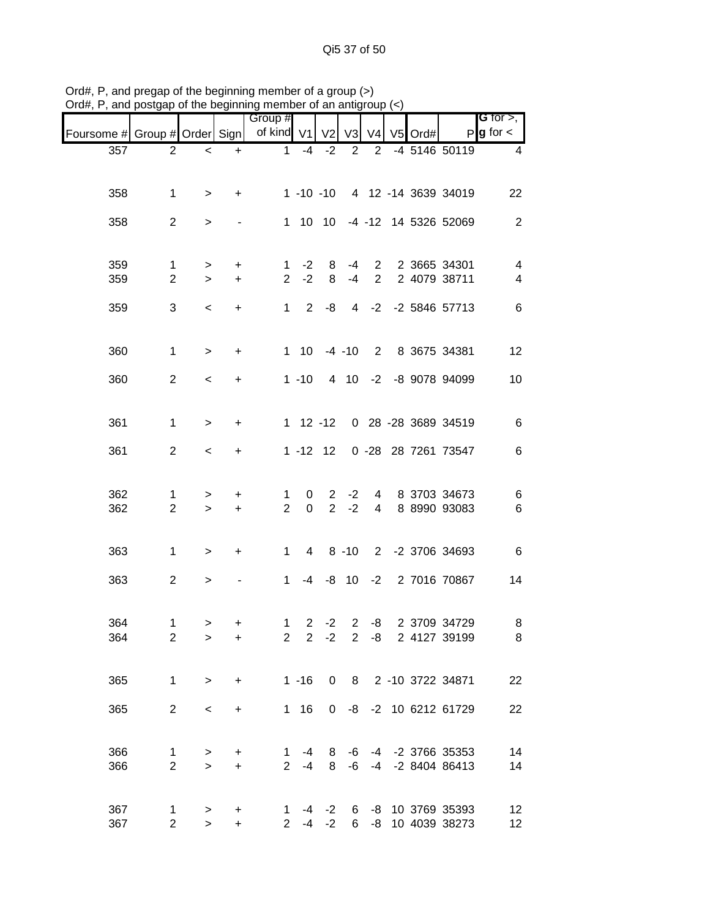| ana                           | posiyap                        |                  |                        | or the beginning member or an antign |                  |                               |                |                                  |                |      |                                          |                                            |
|-------------------------------|--------------------------------|------------------|------------------------|--------------------------------------|------------------|-------------------------------|----------------|----------------------------------|----------------|------|------------------------------------------|--------------------------------------------|
| Foursome # Group # Order Sign |                                |                  |                        | Group #<br>of kind V1                |                  | V <sub>2</sub>                | V <sub>3</sub> | V <sub>4</sub>                   | V <sub>5</sub> | Ord# |                                          | G for $>$ ,<br>$P$ <b>g</b> for $\lt$      |
| 357                           | $\overline{2}$                 | $\,<$            | $\ddot{}$              | $\mathbf{1}$                         | -4               | $-2$                          | 2              | $\overline{2}$                   |                |      | -4 5146 50119                            | 4                                          |
| 358                           | $\mathbf{1}$                   | $\,>$            | $+$                    |                                      |                  |                               |                |                                  |                |      | 1 -10 -10 4 12 -14 3639 34019            | 22                                         |
| 358                           | $\overline{2}$                 | $\,>$            |                        |                                      | 1 10 10          |                               |                |                                  |                |      | -4 -12 14 5326 52069                     | $\overline{2}$                             |
| 359<br>359                    | $\mathbf{1}$<br>$\overline{2}$ | $\geq$<br>$\geq$ | $\ddot{}$<br>$\ddot{}$ | $\mathbf{1}$<br>$\overline{2}$       | $-2$<br>$-2$     | 8<br>8                        | -4<br>$-4$     | $2^{\circ}$<br>2 <sup>7</sup>    |                |      | 2 3665 34301<br>2 4079 38711             | $\overline{4}$<br>$\overline{\mathcal{A}}$ |
| 359                           | 3                              | $\,<\,$          | $\ddot{}$              | $\mathbf 1$                          | $\overline{2}$   | -8                            | $\overline{4}$ |                                  |                |      | $-2$ $-2$ 5846 57713                     | $\,6$                                      |
| 360                           | $\mathbf{1}$                   | $\, > \,$        | $\ddot{}$              |                                      | $1 \quad 10$     |                               | $-4 - 10$      |                                  |                |      | 2 8 3675 34381                           | 12                                         |
| 360                           | $\overline{2}$                 | $\,<\,$          | $\ddot{}$              |                                      | $1 - 10$         |                               |                |                                  |                |      | 4 10 -2 -8 9078 94099                    | 10                                         |
| 361                           | $\mathbf{1}$                   | $\,>$            | $\ddot{}$              |                                      |                  |                               |                |                                  |                |      | 1 12 -12 0 28 -28 3689 34519             | $\,6\,$                                    |
| 361                           | $\overline{2}$                 | $\,<\,$          | $\ddot{}$              |                                      | $1 - 12$ 12      |                               |                |                                  |                |      | 0 -28 28 7261 73547                      | 6                                          |
| 362<br>362                    | $\mathbf{1}$<br>$\overline{2}$ | ><br>$\geq$      | $\ddot{}$<br>$\ddot{}$ | 1<br>$\overline{2}$                  | 0<br>$\mathbf 0$ | $2^{\circ}$<br>$\overline{2}$ | $-2$<br>$-2$   | $\overline{4}$<br>$\overline{4}$ |                |      | 8 3703 34673<br>8 8990 93083             | 6<br>$\,6$                                 |
| 363                           | $\mathbf{1}$                   | >                | $+$                    | $\mathbf 1$                          |                  |                               |                |                                  |                |      | 4 8 -10 2 -2 3706 34693                  | $6\phantom{1}6$                            |
| 363                           | $\overline{2}$                 | $\, > \,$        |                        | $\mathbf 1$                          |                  |                               |                |                                  |                |      | -4 -8 10 -2 2 7016 70867                 | 14                                         |
| 364<br>364                    | 1<br>$\overline{2}$            | ><br>$\, > \,$   | $+$<br>$\ddot{}$       | $2^{\circ}$                          |                  | $2 -2$                        | $2^{\circ}$    | -8                               |                |      | 1 2 -2 2 -8 2 3709 34729<br>2 4127 39199 | 8<br>8                                     |
| 365                           | 1                              | $\, > \,$        | $\ddot{}$              |                                      | $1 - 16$         | 0                             |                |                                  |                |      | 8 2 -10 3722 34871                       | 22                                         |
| 365                           | $\overline{2}$                 | $\,<\,$          | +                      |                                      | 1 16             | 0                             |                |                                  |                |      | -8 -2 10 6212 61729                      | 22                                         |
| 366<br>366                    | $\mathbf 1$<br>$\overline{2}$  | ><br>$\geq$      | +<br>$\ddot{}$         | $\mathbf 1$<br>$\overline{2}$        | -4<br>-4         | 8<br>8                        | -6<br>-6       |                                  |                |      | -4 -2 3766 35353<br>-4 -2 8404 86413     | 14<br>14                                   |
| 367<br>367                    | $\mathbf 1$<br>$\overline{2}$  | ><br>$\geq$      | +<br>$\ddot{}$         | 1<br>$\overline{2}$                  | $-4$             | $-4 -2$<br>$-2$               | 6<br>$6 -$     |                                  |                |      | -8 10 3769 35393<br>-8 10 4039 38273     | 12<br>12                                   |

Ord#, P, and pregap of the beginning member of a group (>) Ord#, P, and postgap of the beginning member of an antigroup (<)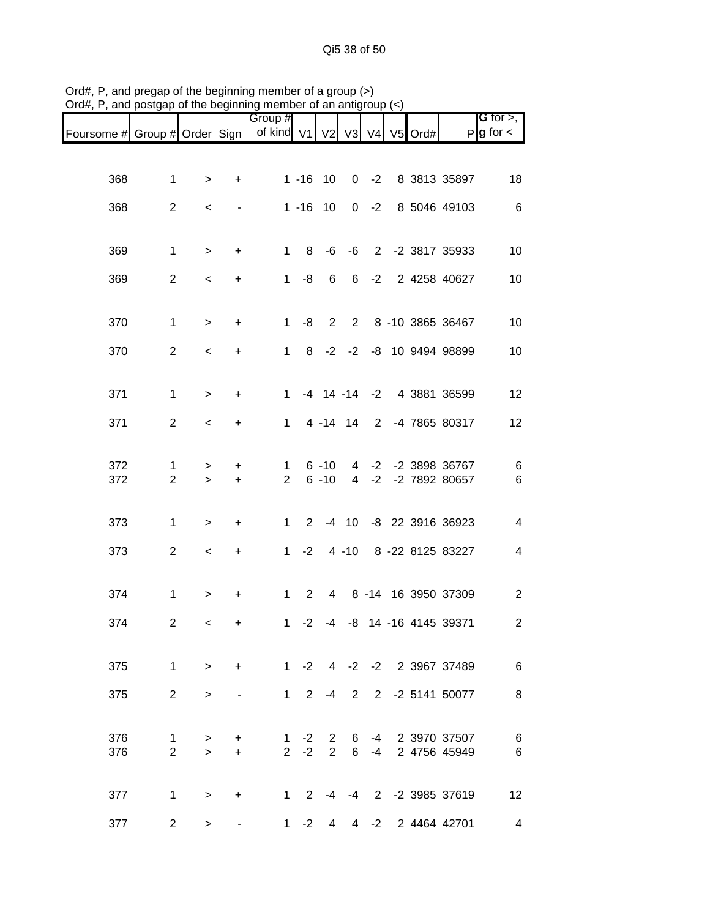|                               |                     |             |                | Group #          |              |                               |                    |            |               |                              | <b>G</b> for $>$ ,     |
|-------------------------------|---------------------|-------------|----------------|------------------|--------------|-------------------------------|--------------------|------------|---------------|------------------------------|------------------------|
| Foursome # Group # Order Sign |                     |             |                | of kind V1       |              | V2                            |                    |            | V3 V4 V5 Ord# |                              | $P$ <b>g</b> for $\lt$ |
|                               |                     |             |                |                  |              |                               |                    |            |               |                              |                        |
| 368                           | $\mathbf 1$         | >           | +              |                  | $1 - 16$     | 10                            |                    | $0 -2$     |               | 8 3813 35897                 | 18                     |
| 368                           | $\overline{2}$      | $\,<$       |                |                  | $1 - 16$     | 10                            | $\mathbf{0}$       | $-2$       |               | 8 5046 49103                 | 6                      |
|                               |                     |             |                |                  |              |                               |                    |            |               |                              |                        |
| 369                           | $\mathbf 1$         | $\, >$      | +              | $\mathbf{1}$     | 8            |                               | -6 -6              |            |               | 2 -2 3817 35933              | 10                     |
| 369                           | $\overline{c}$      | $\,<$       | +              | $\mathbf 1$      | -8           | 6                             | 6                  | $-2$       |               | 2 4258 40627                 | 10                     |
|                               |                     |             |                |                  |              |                               |                    |            |               |                              |                        |
| 370                           | $\mathbf 1$         | $\geq$      | +              | $\mathbf{1}$     | -8           | $\overline{2}$                | $\overline{2}$     |            |               | 8 -10 3865 36467             | 10                     |
| 370                           | $\overline{2}$      | $\,<$       | +              | $\mathbf{1}$     | 8            |                               |                    |            |               | -2 -2 -8 10 9494 98899       | 10                     |
| 371                           | $\mathbf{1}$        | $\geq$      | +              | $\mathbf{1}$     |              |                               | $-4$ 14 $-14$ $-2$ |            |               | 4 3881 36599                 | 12                     |
|                               |                     |             |                |                  |              |                               |                    |            |               |                              |                        |
| 371                           | $\overline{2}$      | $\,<$       | $\ddot{}$      | $\mathbf{1}$     |              |                               | 4 -14 14           |            |               | 2 -4 7865 80317              | 12                     |
| 372                           | $\mathbf{1}$        | >           | +              | 1                |              | $6 - 10$                      | 4                  | $-2$       |               | -2 3898 36767                | 6                      |
| 372                           | $\overline{2}$      | $\geq$      | $\ddot{}$      | 2                |              | $6 - 10$                      | $\overline{4}$     | $-2$       |               | -2 7892 80657                | 6                      |
| 373                           | $\mathbf 1$         | $\, > \,$   | +              | $\mathbf 1$      |              |                               | $2 - 4 10$         |            |               | -8 22 3916 36923             | 4                      |
| 373                           | $\overline{c}$      | $\,<$       | $\ddot{}$      | $\mathbf{1}$     | $-2$         |                               | $4 - 10$           |            |               | 8 -22 8125 83227             | 4                      |
|                               |                     |             |                |                  |              |                               |                    |            |               |                              |                        |
| 374                           | $\mathbf{1}$        | $\, >$      | +              | $\mathbf 1$      | 2            |                               |                    |            |               | 4 8 -14 16 3950 37309        | $\boldsymbol{2}$       |
| 374                           | $\overline{c}$      | $\,<$       | +              | 1                | $-2$         | $-4$                          |                    |            |               | -8 14 -16 4145 39371         | $\overline{c}$         |
|                               |                     |             |                |                  |              |                               |                    |            |               |                              |                        |
| 375                           | $\mathbf{1}$        | $\geq$      | $+$            |                  |              |                               |                    |            |               | 1 -2 4 -2 -2 2 3967 37489    | 6                      |
| 375                           | 2                   | $\,>$       |                |                  | $1\quad 2$   |                               |                    |            |               | -4 2 2 -2 5141 50077         | 8                      |
|                               |                     |             |                |                  |              |                               |                    |            |               |                              |                        |
| 376<br>376                    | 1<br>$\overline{2}$ | ><br>$\geq$ | +<br>$\ddot{}$ | 1<br>$2^{\circ}$ | $-2$<br>$-2$ | $2^{\circ}$<br>$\overline{2}$ | 6<br>6             | $-4$<br>-4 |               | 2 3970 37507<br>2 4756 45949 | 6<br>6                 |
|                               |                     |             |                |                  |              |                               |                    |            |               |                              |                        |
| 377                           | $\mathbf 1$         | $\geq$      | $\ddot{}$      |                  |              |                               |                    |            |               | 1 2 -4 -4 2 -2 3985 37619    | 12                     |
| 377                           | $\overline{2}$      | >           |                | $1 \quad$        |              |                               |                    |            |               | -2 4 4 -2 2 4464 42701       | $\overline{4}$         |

Ord#, P, and pregap of the beginning member of a group (>) Ord#, P, and postgap of the beginning member of an antigroup (<)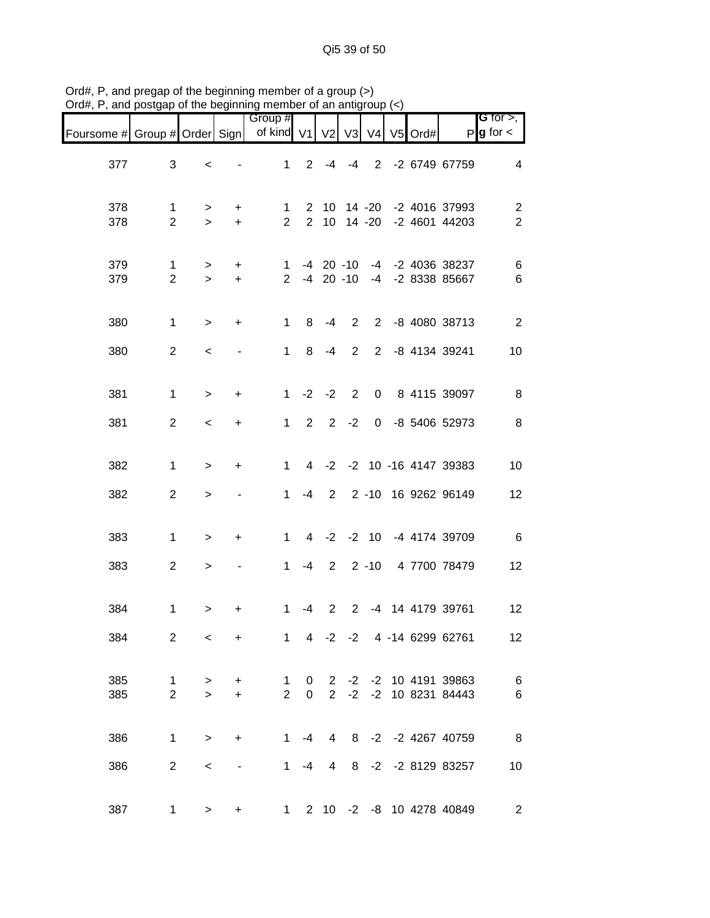Qi5 39 of 50

|                               |                                |                          |                  | Group #                        |                             |                |                                |                |               |                                            | <b>G</b> for $>$ ,               |
|-------------------------------|--------------------------------|--------------------------|------------------|--------------------------------|-----------------------------|----------------|--------------------------------|----------------|---------------|--------------------------------------------|----------------------------------|
| Foursome # Group # Order Sign |                                |                          |                  | of kind V1 V2                  |                             |                |                                |                | V3 V4 V5 Ord# |                                            | $P$ <b>g</b> for $\lt$           |
| 377                           | 3                              | $\,<\,$                  |                  | $\mathbf 1$                    |                             |                | $2 -4 -4$                      |                |               | 2 -2 6749 67759                            | 4                                |
| 378<br>378                    | $\mathbf{1}$<br>$\overline{2}$ | ><br>$\geq$              | $\ddot{}$<br>$+$ | 1<br>$\overline{2}$            |                             |                |                                | 2 10 14 -20    |               | 2 10 14 -20 -2 4016 37993<br>-2 4601 44203 | $\overline{c}$<br>$\overline{2}$ |
| 379<br>379                    | $\mathbf{1}$<br>$\overline{2}$ | ><br>$\geq$              | $\ddot{}$<br>$+$ | $\mathbf{1}$<br>$\overline{2}$ |                             |                | $-4$ 20 $-10$<br>$-4$ 20 $-10$ |                |               | -4 -2 4036 38237<br>-4 -2 8338 85667       | 6<br>6                           |
| 380                           | $\mathbf{1}$                   | $\,$                     | $+$              | 1                              |                             | $8 - 4$        | $\overline{2}$                 |                |               | 2 -8 4080 38713                            | $\overline{2}$                   |
| 380                           | $\overline{2}$                 | $\,<\,$                  |                  | 1                              |                             | 8 -4           | $\overline{2}$                 |                |               | 2 -8 4134 39241                            | 10                               |
| 381                           | $\mathbf{1}$                   | $\geq$                   | $\ddot{}$        |                                | $1 -2 -2$                   |                | 2                              | $\overline{0}$ |               | 8 4115 39097                               | 8                                |
| 381                           | $\overline{2}$                 | $\,<\,$                  | $\ddot{}$        | 1                              | $2^{\circ}$                 |                | $2 -2$                         |                |               | 0 -8 5406 52973                            | 8                                |
| 382                           | $\mathbf{1}$                   | $\, > \,$                | $\ddot{}$        | 1                              |                             |                |                                |                |               | 4 -2 -2 10 -16 4147 39383                  | 10                               |
| 382                           | $\overline{2}$                 | $\geq$                   |                  | $\mathbf 1$                    | $-4$                        |                |                                |                |               | 2 2 -10 16 9262 96149                      | 12                               |
| 383                           | $\mathbf{1}$                   | $\, > \,$                | $\ddot{}$        | $\mathbf{1}$                   |                             |                |                                |                |               | 4 -2 -2 10 -4 4174 39709                   | $-6$                             |
| 383                           | $\overline{2}$                 | $\,$                     |                  | 1                              |                             |                |                                | $-4$ 2 2 $-10$ |               | 4 7700 78479                               | 12                               |
| 384                           | $\mathbf{1}$                   | >                        | +                | $\mathbf{1}$                   | -4                          | $\overline{2}$ | 2                              |                |               | -4 14 4179 39761                           | 12                               |
| 384                           | $\overline{2}$                 | $\overline{\phantom{a}}$ | $\ddot{}$        | 1                              |                             |                |                                |                |               | 4 -2 -2 4 -14 6299 62761                   | 12 <sup>2</sup>                  |
| 385<br>385                    | $\mathbf{1}$<br>$\overline{2}$ | $\, > \,$<br>$\geq$      | $\ddot{}$<br>$+$ | $\mathbf 1$<br>$\overline{2}$  | $\mathbf 0$<br>$\mathbf{0}$ |                | $2 -2$                         |                |               | 2 -2 -2 10 4191 39863<br>-2 10 8231 84443  | $\,6$<br>$\,6$                   |
| 386                           | $\mathbf{1}$                   | $\mathbf{I}$             | $\ddot{}$        | $1 \quad$                      | $-4$                        |                |                                |                |               | 4 8 -2 -2 4267 40759                       | $_{\rm 8}$                       |
| 386                           | $\overline{2}$                 | $\,<\,$                  |                  | $\mathbf{1}$                   | $-4$                        | 4              |                                |                |               | 8 -2 -2 8129 83257                         | 10                               |
| 387                           | $\mathbf{1}$                   | $\mathbf{I}$             | +                |                                | $1 \t2 \t10 \t-2$           |                |                                |                |               | -8 10 4278 40849                           | 2                                |

Ord#, P, and pregap of the beginning member of a group (>) Ord#, P, and postgap of the beginning member of an antigroup (<)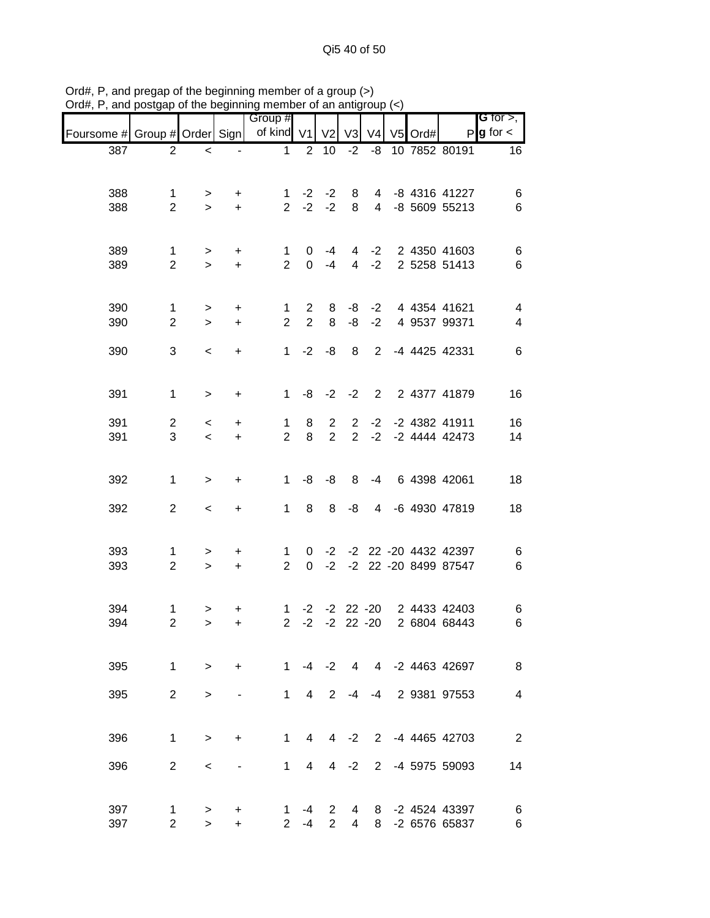| $O(n\pi)$ , i., and postgap or the beginning member or an antigroup $(\leq)$ |                                |                          |                        |                                |                                |                                  |                                  |                |         |                                                        |                                       |
|------------------------------------------------------------------------------|--------------------------------|--------------------------|------------------------|--------------------------------|--------------------------------|----------------------------------|----------------------------------|----------------|---------|--------------------------------------------------------|---------------------------------------|
| Foursome # Group # Order Sign                                                |                                |                          |                        | Group #<br>of kind V1          |                                | V2                               | V3                               | V <sub>4</sub> | V5 Ord# |                                                        | G for $>$ ,<br>$P$ <b>g</b> for $\lt$ |
| 387                                                                          | $\overline{2}$                 | $\,<$                    |                        | $\mathbf{1}$                   | 2                              | 10                               | $-2$                             | $-8$           |         | 10 7852 80191                                          | 16                                    |
| 388<br>388                                                                   | 1<br>$\overline{2}$            | ><br>$\geq$              | $\ddot{}$<br>$+$       |                                | $1 -2 -2$<br>$2 -2 -2$         |                                  | 8<br>8                           |                |         | 4 -8 4316 41227<br>4 -8 5609 55213                     | 6<br>6                                |
| 389<br>389                                                                   | $\mathbf{1}$<br>$\overline{2}$ | $\geq$<br>$\geq$         | $\ddot{}$<br>$\ddot{}$ | $\mathbf{1}$<br>$\overline{2}$ | $\overline{0}$                 | $-4$<br>$0 -4$                   | $\overline{4}$                   | $-2$           |         | 4 -2 2 4350 41603<br>2 5258 51413                      | 6<br>6                                |
| 390<br>390                                                                   | $\mathbf{1}$<br>$\overline{2}$ | ><br>$\geq$              | $\ddot{}$<br>$\ddot{}$ | $\mathbf{1}$<br>$\overline{2}$ | $\mathbf{2}$<br>$\overline{2}$ | 8<br>8                           | -8                               | $-2$           |         | -8 -2 4 4354 41621<br>4 9537 99371                     | $\overline{\mathbf{4}}$<br>4          |
| 390                                                                          | 3                              | $\,<\,$                  | $\ddot{}$              | $\mathbf{1}$                   | $-2$                           | -8                               | 8                                | $2^{\circ}$    |         | -4 4425 42331                                          | $\,6$                                 |
| 391                                                                          | $\mathbf{1}$                   | $\, > \,$                | $\ddot{}$              | 1                              |                                | $-8$ $-2$ $-2$                   |                                  | $2^{\circ}$    |         | 2 4377 41879                                           | 16                                    |
| 391<br>391                                                                   | $\overline{c}$<br>3            | $\,<\,$<br>$\prec$       | $\ddot{}$<br>$\ddot{}$ | $\mathbf 1$<br>$\overline{2}$  | 8<br>8                         | $\overline{2}$<br>$\overline{2}$ | $2^{\circ}$<br>$2^{\circ}$       |                |         | -2 -2 4382 41911<br>$-2$ $-2$ 4444 42473               | 16<br>14                              |
| 392                                                                          | $\mathbf{1}$                   | $\,>$                    | $\ddot{}$              | 1                              |                                | $-8 - 8$                         | 8                                | $-4$           |         | 6 4398 42061                                           | 18                                    |
| 392                                                                          | $\overline{2}$                 | $\overline{\phantom{a}}$ | $\ddot{}$              | $\mathbf{1}$                   | 8                              | 8                                | -8                               |                |         | 4 -6 4930 47819                                        | 18                                    |
| 393<br>393                                                                   | 1<br>$\overline{2}$            | ><br>$\geq$              | $\ddot{}$<br>$+$       | $\mathbf 1$<br>$\overline{2}$  |                                |                                  |                                  |                |         | 0 -2 -2 22 -20 4432 42397<br>0 -2 -2 22 -20 8499 87547 | 6<br>$\,6$                            |
| 394<br>394                                                                   | 1<br>$\overline{2}$            | ><br>$\geq$              | $\ddot{}$<br>$+$       | $\overline{2}$                 | $-2$                           |                                  |                                  | -2 22 -20      |         | 1 -2 -2 22 -20 2 4433 42403<br>2 6804 68443            | 6<br>6                                |
| 395                                                                          | 1                              | $\geq$                   | $\ddot{}$              | $1 \quad$                      |                                | $-4 -2$                          | $4\overline{ }$                  |                |         | 4 -2 4463 42697                                        | 8                                     |
| 395                                                                          | $\overline{2}$                 | >                        |                        | $\mathbf{1}$                   | $\overline{4}$                 | 2                                | -4                               | $-4$           |         | 2 9381 97553                                           | 4                                     |
| 396                                                                          | 1                              | $\geq$                   | $\ddot{}$              | $\mathbf{1}$                   | $\overline{4}$                 | $\overline{4}$                   | $-2$                             |                |         | 2 -4 4465 42703                                        | $\overline{2}$                        |
| 396                                                                          | $\overline{2}$                 | $\,<\,$                  |                        | $\mathbf{1}$                   | 4                              | $\overline{4}$                   | $-2$                             |                |         | 2 -4 5975 59093                                        | 14                                    |
| 397<br>397                                                                   | 1<br>$\overline{2}$            | ><br>$\mathbf{I}$        | +<br>$\ddot{}$         | $\mathbf{1}$<br>$\overline{2}$ | -4<br>$-4$                     | $\overline{2}$<br>$\overline{2}$ | $\overline{4}$<br>$\overline{4}$ |                |         | 8 -2 4524 43397<br>8 -2 6576 65837                     | 6<br>6                                |

Ord#, P, and pregap of the beginning member of a group (>) Ord#, P, and postgap of the beginning member of an antigroup (<)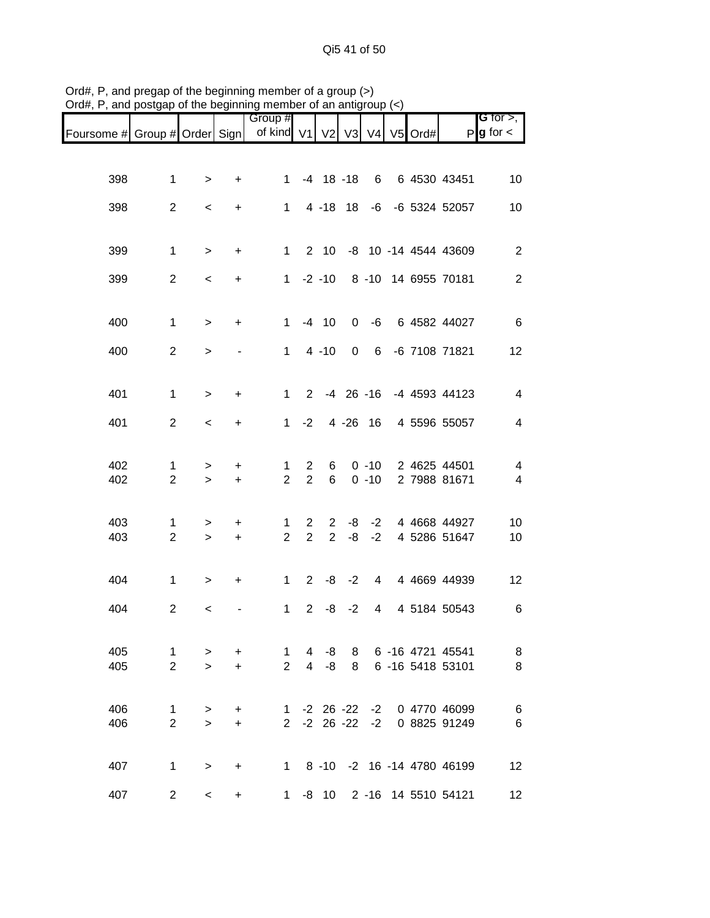|                               |                                |                     |                  | Group #                        |                     |                |               |                |                  |                                      | G for $>$ ,            |
|-------------------------------|--------------------------------|---------------------|------------------|--------------------------------|---------------------|----------------|---------------|----------------|------------------|--------------------------------------|------------------------|
| Foursome # Group # Order Sign |                                |                     |                  | of kind V1                     |                     |                |               |                | V2 V3 V4 V5 Ord# |                                      | $P$ <b>g</b> for $\lt$ |
|                               |                                |                     |                  |                                |                     |                |               |                |                  |                                      |                        |
| 398                           | $\mathbf{1}$                   | $\, > \,$           | +                | $\mathbf{1}$                   |                     |                | $-4$ 18 $-18$ | $6\degree$     |                  | 6 4530 43451                         | 10                     |
|                               |                                |                     |                  |                                |                     |                |               |                |                  |                                      |                        |
| 398                           | $\overline{2}$                 | $\,<\,$             | +                | $\mathbf 1$                    |                     |                | 4 - 18 18     |                |                  | -6 -6 5324 52057                     | 10                     |
|                               |                                |                     |                  |                                |                     |                |               |                |                  |                                      |                        |
| 399                           | $\mathbf{1}$                   | $\, > \,$           | $\ddot{}$        | $\mathbf{1}$                   |                     |                |               |                |                  | 2 10 -8 10 -14 4544 43609            | $\overline{2}$         |
| 399                           | $\overline{2}$                 | $\,<\,$             | $\ddot{}$        |                                | $1 -2 -10$          |                |               |                |                  | 8 -10 14 6955 70181                  | $\overline{2}$         |
|                               |                                |                     |                  |                                |                     |                |               |                |                  |                                      |                        |
|                               |                                |                     |                  |                                |                     |                |               |                |                  |                                      |                        |
| 400                           | $\mathbf{1}$                   | $\, > \,$           | $\ddot{}$        | $\mathbf{1}$                   |                     | $-4$ 10        | $\mathbf{0}$  | -6             |                  | 6 4582 44027                         | 6                      |
| 400                           | $\overline{2}$                 | $\, > \,$           |                  | $\mathbf{1}$                   |                     | $4 - 10$       | $\mathbf 0$   |                |                  | 6 -6 7108 71821                      | 12                     |
|                               |                                |                     |                  |                                |                     |                |               |                |                  |                                      |                        |
| 401                           | $\mathbf{1}$                   | $\,$                | $\ddot{}$        | $\mathbf{1}$                   |                     |                |               |                |                  | 2 -4 26 -16 -4 4593 44123            | $\overline{4}$         |
|                               |                                |                     |                  |                                |                     |                |               |                |                  |                                      |                        |
| 401                           | $\overline{2}$                 | $\prec$             | +                | $\mathbf{1}$                   | $-2$                |                | $4 - 26$ 16   |                |                  | 4 5596 55057                         | $\overline{4}$         |
|                               |                                |                     |                  |                                |                     |                |               |                |                  |                                      |                        |
| 402                           | $\mathbf{1}$                   | >                   | $\ddot{}$        | $\mathbf{1}$                   | $\overline{2}$      | 6              |               | $0 - 10$       |                  | 2 4625 44501                         | $\overline{4}$         |
| 402                           | $\overline{2}$                 | $\geq$              | $\ddot{}$        | $\overline{2}$                 | $\overline{2}$      | 6              |               | $0 - 10$       |                  | 2 7988 81671                         | 4                      |
|                               |                                |                     |                  |                                |                     |                |               |                |                  |                                      |                        |
| 403                           | $\mathbf{1}$                   | >                   | $\ddot{}$        | 1                              | $\overline{2}$      | $\overline{2}$ | -8            | $-2$           |                  | 4 4668 44927                         | 10                     |
| 403                           | $\overline{2}$                 | $\geq$              | $\ddot{}$        | $\overline{2}$                 | $\overline{2}$      | $\overline{2}$ | -8            | $-2$           |                  | 4 5286 51647                         | 10                     |
|                               |                                |                     |                  |                                |                     |                |               |                |                  |                                      |                        |
| 404                           | $\mathbf{1}$                   | $\,$                | $\ddot{}$        | $\mathbf{1}$                   |                     |                | $2 -8 -2$     | $\overline{4}$ |                  | 4 4669 44939                         | 12                     |
| 404                           |                                |                     |                  |                                |                     |                |               |                |                  |                                      |                        |
|                               | $\overline{2}$                 | $\,<$               |                  | $\mathbf{1}$                   | $\overline{2}$      | -8             | $-2$          | 4              |                  | 4 5184 50543                         | 6                      |
|                               |                                |                     |                  |                                |                     |                |               |                |                  |                                      |                        |
| 405                           | $\mathbf{1}$<br>$\overline{2}$ | $\, > \,$<br>$\geq$ | $\ddot{}$<br>$+$ | $\mathbf{1}$<br>$\overline{2}$ |                     | -4.5-8         | 8<br>$4 -8 8$ |                |                  | 6 -16 4721 45541<br>6 -16 5418 53101 | 8                      |
| 405                           |                                |                     |                  |                                |                     |                |               |                |                  |                                      | 8                      |
|                               |                                |                     |                  |                                |                     |                |               |                |                  |                                      |                        |
| 406                           | $\mathbf{1}$<br>$\overline{2}$ | $\, > \,$<br>$\geq$ | $\ddot{}$        |                                |                     |                |               |                |                  | 1 -2 26 -22 -2 0 4770 46099          | 6                      |
| 406                           |                                |                     | $+$              |                                | $2 - 2 26 - 22 - 2$ |                |               |                |                  | 0 8825 91249                         | 6                      |
|                               |                                |                     |                  |                                |                     |                |               |                |                  |                                      |                        |
| 407                           | $\mathbf{1}$                   | $\geq$              | $\ddot{}$        |                                |                     |                |               |                |                  | 1 8 -10 -2 16 -14 4780 46199         | 12                     |
| 407                           | $\overline{2}$                 | $\,<\,$             | +                |                                |                     |                |               |                |                  | 1 -8 10 2 -16 14 5510 54121          | 12                     |

Ord#, P, and pregap of the beginning member of a group (>) Ord#, P, and postgap of the beginning member of an antigroup (<)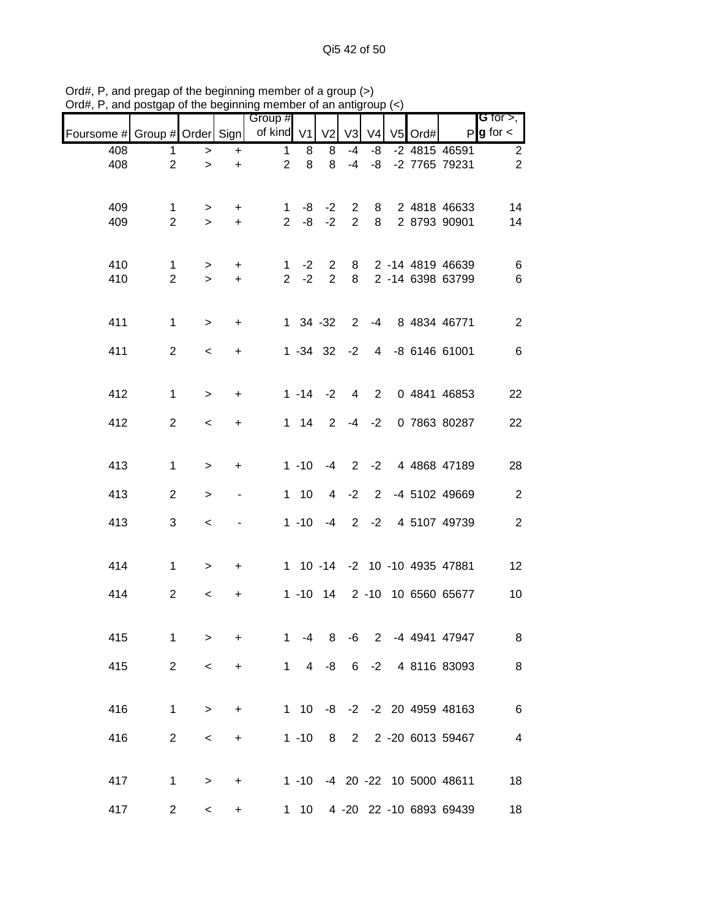|                               |                |              |                          | Group #        |                  |                |                |                |         |                               | <b>G</b> for $>$ , $\blacksquare$ |
|-------------------------------|----------------|--------------|--------------------------|----------------|------------------|----------------|----------------|----------------|---------|-------------------------------|-----------------------------------|
| Foursome # Group # Order Sign |                |              |                          | of kind V1     |                  | V <sub>2</sub> | V3             | V <sub>4</sub> | V5 Ord# |                               | $P$ <b>g</b> for $\lt$            |
| 408                           | $\mathbf{1}$   | $\geq$       | +                        | $\mathbf{1}$   | 8                | 8              | $-4$           | -8             |         | -2 4815 46591                 | $\overline{c}$                    |
| 408                           | $\overline{2}$ | $\geq$       | $\ddot{}$                | $\overline{2}$ | 8                | 8              | $-4$           | -8             |         | -2 7765 79231                 | $\overline{2}$                    |
|                               |                |              |                          |                |                  |                |                |                |         |                               |                                   |
| 409                           | $\mathbf{1}$   | >            | $\ddot{}$                | 1.             | -8               | $-2$           | 2              | 8              |         | 2 4818 46633                  | 14                                |
| 409                           | $\overline{2}$ | $\geq$       | $+$                      | $\overline{2}$ | -8               | $-2$           | 2              | 8              |         | 2 8793 90901                  | 14                                |
|                               |                |              |                          |                |                  |                |                |                |         |                               |                                   |
| 410                           | $\mathbf{1}$   | >            | $\ddot{}$                | 1              | $-2$             | $\overline{2}$ |                |                |         | 8 2 -14 4819 46639            | 6                                 |
| 410                           | $\overline{2}$ | $\geq$       | $+$                      | $2^{\circ}$    | $-2$             | $2^{\circ}$    | 8              |                |         | 2 -14 6398 63799              | 6                                 |
|                               |                |              |                          |                |                  |                |                |                |         |                               |                                   |
| 411                           | $\mathbf{1}$   | $\,>$        | $\ddot{}$                |                | $1 \t34 - 32$    |                | $2^{\circ}$    | $-4$           |         | 8 4834 46771                  | $\overline{2}$                    |
| 411                           | $\overline{2}$ |              |                          |                | $1 - 34$ 32 $-2$ |                |                |                |         | 4 -8 6146 61001               | 6                                 |
|                               |                | $\prec$      | $\ddot{}$                |                |                  |                |                |                |         |                               |                                   |
|                               |                |              |                          |                |                  |                |                |                |         |                               |                                   |
| 412                           | $\mathbf{1}$   | $\mathbf{I}$ | $\ddot{}$                |                | $1 - 14 - 2$     |                | $\overline{4}$ | $2^{\circ}$    |         | 0 4841 46853                  | 22                                |
| 412                           | $\overline{2}$ | $\prec$      | $\ddot{}$                |                | $1 \quad 14$     |                | $2 - 4 - 2$    |                |         | 0 7863 80287                  | 22                                |
|                               |                |              |                          |                |                  |                |                |                |         |                               |                                   |
|                               |                |              |                          |                |                  |                |                |                |         |                               |                                   |
| 413                           | $\mathbf{1}$   | $\, > \,$    | $\ddot{}$                |                | $1 - 10$         | $-4$           | $\overline{2}$ | $-2$           |         | 4 4868 47189                  | 28                                |
| 413                           | $\overline{2}$ | $\, > \,$    | $\overline{\phantom{0}}$ |                | $1 \quad 10$     |                | $4 -2$         | $2^{\circ}$    |         | -4 5102 49669                 | $\sqrt{2}$                        |
|                               |                |              |                          |                |                  |                |                |                |         |                               |                                   |
| 413                           | 3              | $\,<\,$      |                          |                | $1 - 10$         | $-4$           |                | $2 -2$         |         | 4 5107 49739                  | $\overline{2}$                    |
|                               |                |              |                          |                |                  |                |                |                |         |                               |                                   |
| 414                           | $\mathbf{1}$   | $\,>$        | $\ddot{}$                |                |                  |                |                |                |         | 1 10 -14 -2 10 -10 4935 47881 | 12                                |
|                               | $\overline{2}$ |              |                          |                |                  |                |                |                |         | 1 -10 14 2 -10 10 6560 65677  |                                   |
| 414                           |                | $\,<$        | $\ddot{}$                |                |                  |                |                |                |         |                               | 10                                |
|                               |                |              |                          |                |                  |                |                |                |         |                               |                                   |
| 415                           | $\mathbf{1}$   | $\geq$       | $\ddot{}$                | $\mathbf 1$    | $-4$             | 8              | -6             |                |         | 2 -4 4941 47947               | 8                                 |
| 415                           | $\overline{2}$ | $\,<\,$      | $\ddot{}$                |                |                  |                |                |                |         | 1 4 -8 6 -2 4 8116 83093      | 8                                 |
|                               |                |              |                          |                |                  |                |                |                |         |                               |                                   |
|                               |                |              |                          |                |                  |                |                |                |         |                               |                                   |
| 416                           | $\mathbf{1}$   | $\mathbf{I}$ | $\ddot{}$                |                |                  |                |                |                |         | 1 10 -8 -2 -2 20 4959 48163   | $6\phantom{1}6$                   |
| 416                           | $\overline{c}$ | $\,<\,$      | $\ddot{}$                |                |                  |                |                |                |         | 1 -10 8 2 2 -20 6013 59467    | 4                                 |
|                               |                |              |                          |                |                  |                |                |                |         |                               |                                   |
| 417                           | $\mathbf{1}$   | $\mathbf{I}$ | $\ddot{}$                |                |                  |                |                |                |         | 1 -10 -4 20 -22 10 5000 48611 | $18$                              |
|                               |                |              |                          |                |                  |                |                |                |         |                               |                                   |
| 417                           | $\overline{2}$ | $\lt$        | +                        |                |                  |                |                |                |         | 1 10 4 -20 22 -10 6893 69439  | 18                                |

Ord#, P, and pregap of the beginning member of a group (>) Ord#, P, and postgap of the beginning member of an antigroup (<)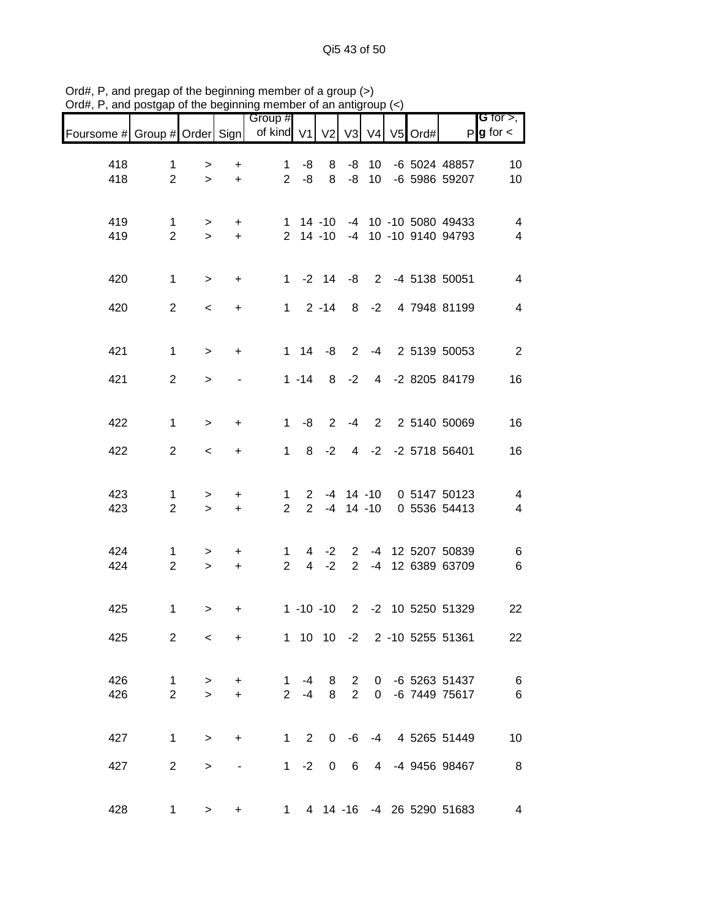| Foursome # Group # Order Sign |                                |                          |                        | Group #<br>of kind V1          |                | V <sub>2</sub>             | V3                            | V <sub>4</sub>             | V5 Ord# |                                              | G for $>$ ,<br>$P g$ for $\lt$            |
|-------------------------------|--------------------------------|--------------------------|------------------------|--------------------------------|----------------|----------------------------|-------------------------------|----------------------------|---------|----------------------------------------------|-------------------------------------------|
|                               |                                |                          |                        |                                |                |                            |                               |                            |         |                                              |                                           |
| 418<br>418                    | 1<br>$\overline{2}$            | ><br>$\geq$              | +<br>$\ddot{}$         | $\mathbf 1$<br>$2^{\circ}$     | -8<br>-8       | 8<br>8                     | -8                            | 10                         |         | -8 10 -6 5024 48857<br>-6 5986 59207         | 10<br>10                                  |
| 419<br>419                    | $\mathbf{1}$<br>$\overline{2}$ | ><br>$\geq$              | $\ddot{}$<br>$+$       |                                |                | 1 14 -10<br>$2 \t14 \t-10$ |                               |                            |         | -4 10 -10 5080 49433<br>-4 10 -10 9140 94793 | $\overline{\mathbf{4}}$<br>$\overline{4}$ |
| 420                           | $\mathbf{1}$                   | $\,>$                    | $\ddot{}$              |                                |                |                            |                               |                            |         | 1 -2 14 -8 2 -4 5138 50051                   | $\overline{\mathbf{4}}$                   |
| 420                           | $\overline{2}$                 | $\,<\,$                  | $\ddot{}$              |                                |                | $1 \quad 2 -14$            |                               | $8 - 2$                    |         | 4 7948 81199                                 | $\overline{4}$                            |
| 421                           | $\mathbf{1}$                   | $\,$                     | $\ddot{}$              |                                |                | $1 \t14 \t-8 \t2$          |                               | $-4$                       |         | 2 5139 50053                                 | $\overline{2}$                            |
| 421                           | $\overline{2}$                 | $\geq$                   |                        |                                | $1 - 14$       |                            |                               |                            |         | 8 -2 4 -2 8205 84179                         | 16                                        |
| 422                           | $\mathbf{1}$                   | $\geq$                   | $\ddot{}$              | $\mathbf{1}$                   | -8             |                            | $2 - 4$                       |                            |         | 2 2 5140 50069                               | 16                                        |
| 422                           | $\overline{2}$                 | $\overline{\phantom{a}}$ | $\ddot{}$              |                                |                | $1 \t 8 \t -2$             |                               |                            |         | 4 -2 -2 5718 56401                           | 16                                        |
| 423<br>423                    | $\mathbf{1}$<br>$\overline{2}$ | ><br>$\geq$              | $\ddot{}$<br>$\ddot{}$ | 1<br>$\overline{2}$            |                |                            |                               | 2 -4 14 -10<br>2 -4 14 -10 |         | 0 5147 50123<br>0 5536 54413                 | 4<br>$\overline{4}$                       |
| 424<br>424                    | $\mathbf{1}$<br>$\overline{2}$ | ><br>$\geq$              | $\ddot{}$<br>$\ddot{}$ | $\mathbf{1}$<br>$\overline{2}$ | $\overline{4}$ | $-2$                       | $\overline{2}$                |                            |         | 4 -2 2 -4 12 5207 50839<br>-4 12 6389 63709  | 6<br>$\,6$                                |
| 425                           | $\mathbf{1}$                   | $\mathbf{I}$             | +                      |                                |                |                            |                               |                            |         | 1 -10 -10 2 -2 10 5250 51329                 | 22                                        |
| 425                           | $\overline{2}$                 | $\,<\,$                  | $\ddot{}$              |                                |                |                            |                               |                            |         | 1 10 10 -2 2 -10 5255 51361                  | 22                                        |
| 426<br>426                    | $\mathbf{1}$<br>$\overline{2}$ | $\, > \,$<br>$\geq$      | $\ddot{}$<br>$\ddot{}$ | $\mathbf 1$<br>$\overline{2}$  | $-4$<br>$-4$   | 8<br>8                     | $\overline{2}$<br>$2^{\circ}$ |                            |         | 0 -6 5263 51437<br>0 -6 7449 75617           | $6\overline{6}$<br>$6\phantom{1}6$        |
| 427                           | $\mathbf{1}$                   | $\mathbf{I}$             | $\ddot{}$              |                                | $1\quad 2$     |                            |                               |                            |         | 0 -6 -4 4 5265 51449                         | 10                                        |
| 427                           | $\overline{2}$                 | $\geq$                   |                        |                                | $1 -2$         | $\overline{0}$             | 6                             |                            |         | 4 -4 9456 98467                              | 8 <sup>8</sup>                            |
| 428                           | 1                              | $\geq$                   | +                      |                                |                |                            |                               |                            |         | 1 4 14 -16 -4 26 5290 51683                  | 4                                         |

Ord#, P, and pregap of the beginning member of a group (>) Ord#, P, and postgap of the beginning member of an antigroup (<)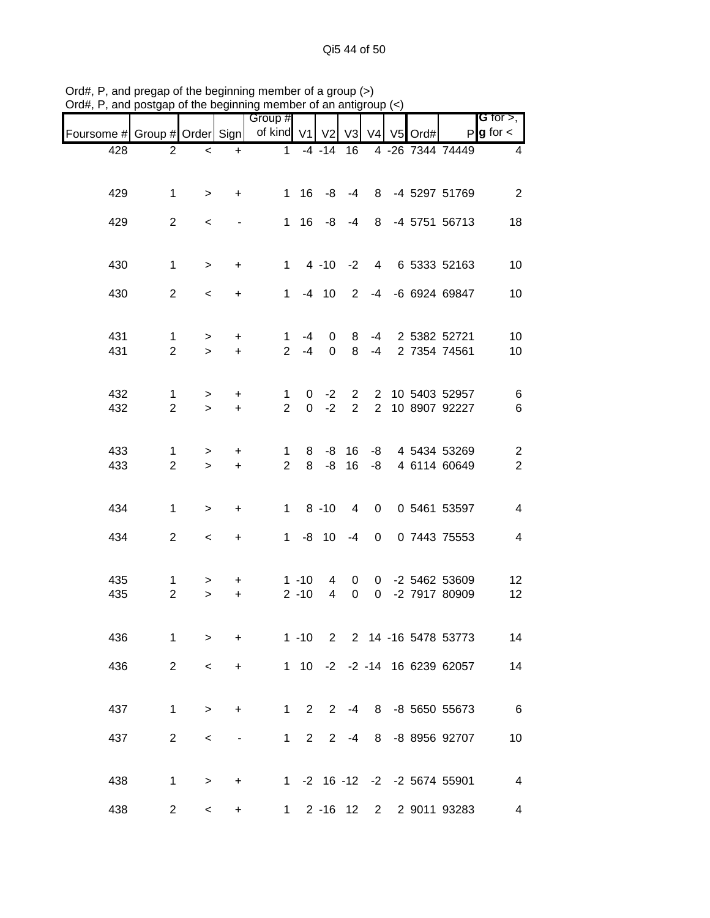| $O(dH, P)$ , and posigap or the beginning member or an anagroup $(3)$ |                                |                          |                |                               |                |                 |                |                |         |                              |                                           |
|-----------------------------------------------------------------------|--------------------------------|--------------------------|----------------|-------------------------------|----------------|-----------------|----------------|----------------|---------|------------------------------|-------------------------------------------|
| Foursome #                                                            | Group # Order Sign             |                          |                | Group #<br>of kind V1         |                | V <sub>2</sub>  | V3             | V <sub>4</sub> | V5 Ord# |                              | G for $>$ ,<br>$P g$ for $\lt$            |
| 428                                                                   | $\overline{2}$                 | $\prec$                  | $\ddot{}$      | $\mathbf{1}$                  |                | $-4 - 14$ 16    |                |                |         | 4 -26 7344 74449             | 4                                         |
|                                                                       |                                |                          |                |                               |                |                 |                |                |         |                              |                                           |
| 429                                                                   | $\mathbf 1$                    | $\,>$                    | $\ddot{}$      | 1                             | 16             |                 | $-8 - 4$       |                |         | 8 -4 5297 51769              | $\overline{2}$                            |
| 429                                                                   | $\overline{2}$                 | $\,<\,$                  |                | 1                             | 16             |                 | $-8 - 4$       | 8              |         | -4 5751 56713                | 18                                        |
|                                                                       |                                |                          |                |                               |                |                 |                |                |         |                              |                                           |
| 430                                                                   | $\mathbf 1$                    | $\, > \,$                | $\ddot{}$      | $\mathbf{1}$                  |                | $4 - 10 - 2$    |                | 4 <sup>1</sup> |         | 6 5333 52163                 | 10                                        |
| 430                                                                   | $\overline{2}$                 | $\,<\,$                  | $\ddot{}$      | $\mathbf 1$                   |                | $-4$ 10         | 2              | -4             |         | -6 6924 69847                | 10                                        |
|                                                                       |                                |                          |                |                               |                |                 |                |                |         |                              |                                           |
| 431                                                                   | 1                              | >                        | +              | 1                             | -4             | 0               | 8              | -4             |         | 2 5382 52721                 | 10                                        |
| 431                                                                   | $\overline{2}$                 | $\geq$                   | $+$            | $\overline{2}$                | $-4$           | $\mathbf 0$     | 8              | -4             |         | 2 7354 74561                 | 10                                        |
| 432                                                                   | 1                              | >                        | +              | 1                             | 0              | $-2$            | $\overline{2}$ | $2^{\circ}$    |         | 10 5403 52957                | 6                                         |
| 432                                                                   | $\overline{2}$                 | $\geq$                   | $\ddot{}$      | $\overline{2}$                | $\overline{0}$ | $-2$            | $\overline{2}$ | $\overline{2}$ |         | 10 8907 92227                | 6                                         |
|                                                                       |                                |                          |                |                               |                |                 |                |                |         |                              |                                           |
| 433<br>433                                                            | $\mathbf{1}$<br>$\overline{2}$ | ><br>$\geq$              | +<br>$+$       | $\mathbf 1$<br>$\overline{2}$ | 8<br>8         | -8              | $-8$ 16<br>16  | -8<br>-8       |         | 4 5434 53269<br>4 6114 60649 | $\overline{\mathbf{c}}$<br>$\overline{2}$ |
|                                                                       |                                |                          |                |                               |                |                 |                |                |         |                              |                                           |
| 434                                                                   | $\mathbf 1$                    | >                        | $\ddot{}$      |                               |                | $1 \t 8 \t -10$ | $\overline{4}$ | $\overline{0}$ |         | 0 5461 53597                 | 4                                         |
| 434                                                                   | $\overline{2}$                 | $\,<\,$                  | $\ddot{}$      | $\mathbf{1}$                  |                | $-8$ 10         | -4             | $\overline{0}$ |         | 0 7443 75553                 | 4                                         |
|                                                                       |                                |                          |                |                               |                |                 |                |                |         |                              |                                           |
| 435                                                                   | 1                              | >                        | +              |                               | $1 - 10$       | 4               | 0              | $\mathbf{0}$   |         | -2 5462 53609                | 12                                        |
| 435                                                                   | $\overline{2}$                 | $\geq$                   | $\ddot{}$      |                               | $2 - 10$       | $\overline{4}$  | $\mathbf 0$    | $\overline{0}$ |         | -2 7917 80909                | 12                                        |
|                                                                       |                                |                          |                |                               |                |                 |                |                |         |                              |                                           |
| 436                                                                   | $\mathbf{1}$                   | $\, > \,$                | +              |                               |                |                 |                |                |         | 1 -10 2 2 14 -16 5478 53773  | 14                                        |
| 436                                                                   | 2                              | $\,<$                    | $\ddot{}$      |                               |                |                 |                |                |         | 1 10 -2 -2 -14 16 6239 62057 | 14                                        |
|                                                                       |                                |                          |                |                               |                |                 |                |                |         |                              |                                           |
| 437                                                                   | $\mathbf{1}$                   | $\, > \,$                | $+$            |                               |                |                 |                |                |         | 1 2 2 -4 8 -8 5650 55673     | $6\overline{6}$                           |
| 437                                                                   | $\overline{2}$                 | $\,<$                    | $\blacksquare$ |                               |                |                 |                |                |         | 1 2 2 -4 8 -8 8956 92707     | 10                                        |
|                                                                       |                                |                          |                |                               |                |                 |                |                |         |                              |                                           |
| 438                                                                   | $\mathbf{1}$                   | $\, > \,$                | $+$            |                               |                |                 |                |                |         | 1 -2 16 -12 -2 -2 5674 55901 | $\overline{\mathbf{4}}$                   |
| 438                                                                   | $\overline{2}$                 | $\overline{\phantom{0}}$ | +              |                               |                |                 |                |                |         | 1 2 -16 12 2 2 9011 93283    | 4                                         |

Ord#, P, and pregap of the beginning member of a group (>) Ord#, P, and postgap of the beginning member of an antigroup (<)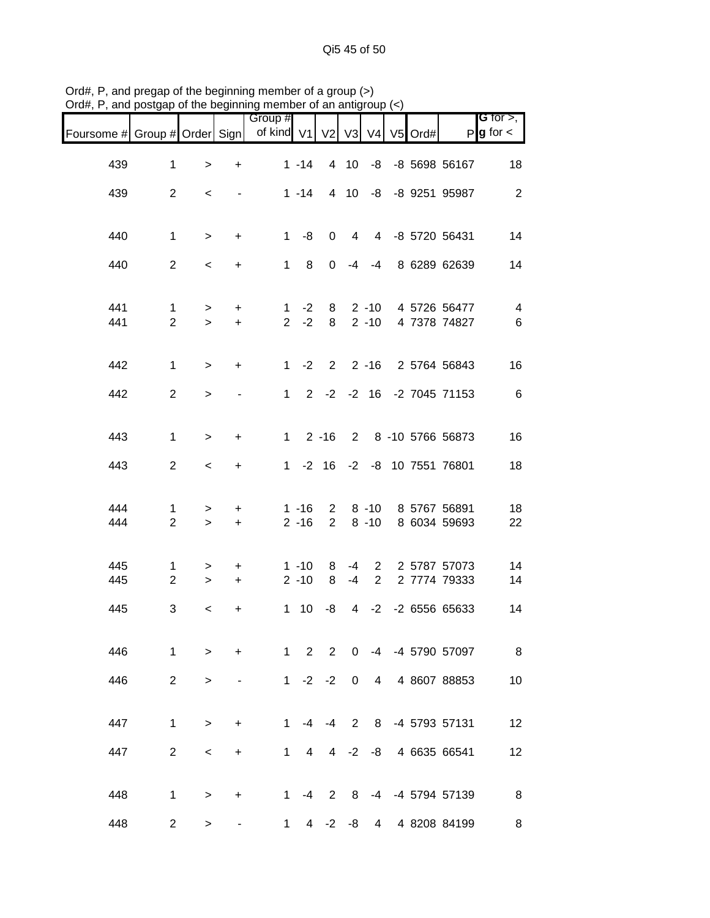Qi5 45 of 50

| $O(n\#P, P)$ , and postgap of the beginning member of an antigroup $(<)$ |                     |                          |                              |                                |                       |                |                |                      |           |                              |                                |
|--------------------------------------------------------------------------|---------------------|--------------------------|------------------------------|--------------------------------|-----------------------|----------------|----------------|----------------------|-----------|------------------------------|--------------------------------|
| Foursome # Group # Order Sign                                            |                     |                          |                              | Group #<br>of kind V1 V2 V3 V4 |                       |                |                |                      | $V5$ Ord# |                              | G for $>$ ,<br>$P g$ for $\lt$ |
| 439                                                                      | 1                   | $\geq$                   | $\ddot{}$                    |                                | $1 - 14$              |                | 4 10           | -8                   |           | -8 5698 56167                | 18                             |
| 439                                                                      | $\overline{2}$      | $\,<$                    |                              |                                | $1 - 14$              |                | 4 10           |                      |           | -8 -8 9251 95987             | $\overline{2}$                 |
| 440                                                                      | $\mathbf{1}$        | $\,>$                    | $\ddot{}$                    | $\mathbf 1$                    | -8                    | $\mathbf 0$    | $\overline{4}$ |                      |           | 4 -8 5720 56431              | 14                             |
| 440                                                                      | $\overline{2}$      | $\,<\,$                  | +                            | 1                              | 8                     | $\Omega$       | $-4$           | $-4$                 |           | 8 6289 62639                 | 14                             |
|                                                                          |                     |                          |                              |                                |                       |                |                |                      |           |                              |                                |
| 441<br>441                                                               | 1<br>$\overline{2}$ | ><br>$\geq$              | +<br>$\ddot{}$               | 1<br>$\overline{2}$            | $-2$<br>$-2$          | 8<br>8         |                | $2 - 10$<br>$2 - 10$ |           | 4 5726 56477<br>4 7378 74827 | 4<br>6                         |
|                                                                          |                     |                          |                              |                                |                       |                |                |                      |           |                              |                                |
| 442                                                                      | 1                   | $\, > \,$                | $\ddot{}$                    | $\mathbf{1}$                   | $-2$                  | $\overline{2}$ |                | $2 - 16$             |           | 2 5764 56843                 | 16                             |
| 442                                                                      | $\overline{2}$      | $\, > \,$                | $\overline{\phantom{a}}$     | $\mathbf 1$                    |                       |                |                |                      |           | 2 -2 -2 16 -2 7045 71153     | 6                              |
| 443                                                                      | $\mathbf{1}$        | $\, > \,$                | +                            | $\mathbf{1}$                   |                       | $2 - 16$       | $\overline{2}$ |                      |           | 8 -10 5766 56873             | 16                             |
| 443                                                                      | $\overline{2}$      | $\,<\,$                  | +                            | $\mathbf 1$                    |                       |                |                |                      |           | -2 16 -2 -8 10 7551 76801    | 18                             |
| 444                                                                      | 1                   | $\, > \,$                | +                            |                                | $1 - 16$              | $\overline{2}$ |                | $8 - 10$             |           | 8 5767 56891                 | 18                             |
| 444                                                                      | $\overline{2}$      | $\geq$                   | $\ddot{}$                    |                                | $2 - 16$              | 2              |                | $8 - 10$             |           | 8 6034 59693                 | 22                             |
| 445                                                                      | 1                   | >                        | $\ddot{}$                    |                                | $1 - 10$              | 8              | -4             | $2^{\circ}$          |           | 2 5787 57073                 | 14                             |
| 445                                                                      | $\overline{2}$      | $\,>$                    | $\ddot{}$                    |                                | $2 - 10$              | 8              | $-4$           | $\overline{2}$       |           | 2 7774 79333                 | 14                             |
| 445                                                                      | 3                   | $\,<\,$                  | +                            |                                | $1 10$                | -8             | $\overline{4}$ |                      |           | $-2$ $-2$ 6556 65633         | 14                             |
| 446                                                                      | $\mathbf{1}$        | $\,>$                    | $\ddot{}$                    |                                |                       |                |                |                      |           | 1 2 2 0 -4 -4 5790 57097     | 8                              |
| 446                                                                      | $\overline{2}$      | $\, > \,$                |                              |                                | $1 -2 -2 0$           |                |                | $\overline{4}$       |           | 4 8607 88853                 | 10                             |
|                                                                          |                     |                          |                              |                                |                       |                |                |                      |           |                              |                                |
| 447                                                                      | $\mathbf{1}$        | $\, >$                   | $\ddot{}$                    |                                |                       |                |                |                      |           | 1 -4 -4 2 8 -4 5793 57131    | 12                             |
| 447                                                                      | $\overline{2}$      | $\overline{\phantom{0}}$ | $+$                          |                                | $1 \t4 \t4 \t-2 \t-8$ |                |                |                      |           | 4 6635 66541                 | 12                             |
| 448                                                                      | 1                   | $\geq$                   | $\ddot{}$                    |                                |                       |                |                |                      |           | 1 -4 2 8 -4 -4 5794 57139    | 8                              |
| 448                                                                      | $\overline{2}$      | $\, > \,$                | $\qquad \qquad \blacksquare$ |                                | $1 \t 4 \t -2 \t -8$  |                |                | $\overline{4}$       |           | 4 8208 84199                 | 8                              |

Ord#, P, and pregap of the beginning member of a group (>) Ord#, P, and postgap of the beginning member of an antigroup (<)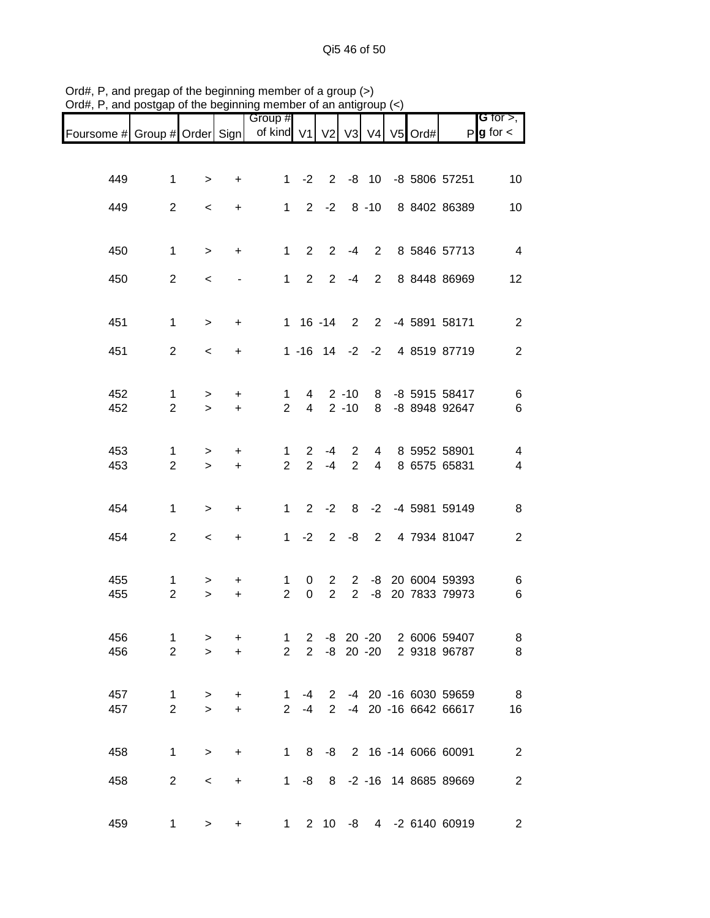|                                                 |                |           |                          | Group #        |                                  |                |                |                |               |                         | <b>G</b> for $>$ ,      |
|-------------------------------------------------|----------------|-----------|--------------------------|----------------|----------------------------------|----------------|----------------|----------------|---------------|-------------------------|-------------------------|
| Foursome # Group # Order Sign   of kind V1   V2 |                |           |                          |                |                                  |                |                |                | V3 V4 V5 Ord# |                         | $P g$ for $\lt$         |
|                                                 |                |           |                          |                |                                  |                |                |                |               |                         |                         |
| 449                                             | $\mathbf{1}$   | $\, > \,$ | $\ddot{}$                | $\mathbf 1$    | $-2$                             |                |                |                |               | 2 -8 10 -8 5806 57251   | 10                      |
|                                                 |                |           |                          |                |                                  |                |                |                |               |                         |                         |
| 449                                             | $\overline{2}$ | $\,<\,$   | +                        | $\mathbf 1$    |                                  |                |                | $2 -2 8 -10$   |               | 8 8402 86389            | 10                      |
| 450                                             | $\mathbf{1}$   | $\,>$     | $\ddot{}$                | $\mathbf 1$    | $2^{\circ}$                      |                | $2 - 4$        | $2^{\circ}$    |               | 8 5846 57713            | $\overline{4}$          |
| 450                                             | $\overline{2}$ | $\,<\,$   | $\overline{\phantom{a}}$ | $1 \quad$      | $2^{\circ}$                      | $2^{\circ}$    | $-4$           | $2^{\circ}$    |               | 8 8448 86969            | 12                      |
| 451                                             | $\mathbf{1}$   | $\,>$     | +                        |                | $1 16 - 14$                      |                |                |                |               | 2 2 -4 5891 58171       | $\overline{2}$          |
| 451                                             | $\overline{2}$ | $\prec$   | $\ddot{}$                |                | $1 - 16$ $14$ $-2$               |                |                | $-2$           |               | 4 8519 87719            | $\overline{2}$          |
| 452                                             | $\mathbf{1}$   | >         | +                        | $\mathbf{1}$   | 4                                |                | $2 - 10$       |                |               | 8 -8 5915 58417         | 6                       |
| 452                                             | $\overline{2}$ | $\geq$    | $\ddot{}$                | $\overline{2}$ | $\overline{4}$                   |                | $2 - 10$       | 8              |               | -8 8948 92647           | $\,6$                   |
| 453                                             | $\mathbf 1$    | >         | +                        | 1              | $\overline{2}$<br>$\overline{2}$ | -4             | $\overline{2}$ | $\overline{4}$ |               | 8 5952 58901            | 4                       |
| 453                                             | $\overline{2}$ | $\geq$    | $\ddot{}$                | $\overline{2}$ |                                  | $-4$           | $\overline{2}$ | $\overline{4}$ |               | 8 6575 65831            | $\overline{\mathbf{4}}$ |
| 454                                             | $\mathbf{1}$   | $\,>$     | +                        | $1 \quad$      |                                  | $2 -2$         | 8              |                |               | -2 -4 5981 59149        | 8                       |
| 454                                             | $\overline{2}$ | $\,<\,$   | $\ddot{}$                | $\mathbf{1}$   | $-2$                             |                | $2 - 8$        | $2^{\circ}$    |               | 4 7934 81047            | $\mathbf{2}$            |
| 455                                             | $\mathbf{1}$   | >         | +                        | 1              | 0                                | $\overline{2}$ | $\overline{2}$ |                |               | -8 20 6004 59393        | 6                       |
| 455                                             | $\overline{2}$ | $\geq$    | $\ddot{}$                | $\overline{2}$ | $\pmb{0}$                        | $\overline{2}$ | $\overline{2}$ | -8             |               | 20 7833 79973           | 6                       |
| 456                                             | $\mathbf{1}$   | >         | +                        | $\mathbf{1}$   | $\overline{2}$                   |                | -8 20 -20      |                |               | 2 6006 59407            | 8                       |
| 456                                             | $\overline{2}$ | $\geq$    | $\ddot{}$                | $\overline{2}$ | $\overline{2}$                   |                |                | $-8$ 20 $-20$  |               | 2 9318 96787            | 8                       |
| 457                                             | $\mathbf{1}$   | >         | +                        | 1              | -4                               | $\mathbf{2}$   |                |                |               | -4 20 -16 6030 59659    | 8                       |
| 457                                             | $\overline{2}$ | $\geq$    | $\ddot{}$                | $\overline{2}$ | $-4$                             | $2^{\circ}$    |                |                |               | -4 20 -16 6642 66617    | 16                      |
| 458                                             | $\mathbf{1}$   | $\,>$     | $\ddot{}$                | $\mathbf 1$    | 8 <sup>8</sup>                   |                |                |                |               | -8 2 16 -14 6066 60091  | $\overline{2}$          |
| 458                                             | $\overline{2}$ | $\,<\,$   | +                        | 1              | -8                               |                |                |                |               | 8 -2 -16 14 8685 89669  | $\mathbf{2}$            |
| 459                                             | 1              | >         | +                        |                | $1 \quad$                        |                |                |                |               | 2 10 -8 4 -2 6140 60919 | $\overline{2}$          |

Ord#, P, and pregap of the beginning member of a group (>) Ord#, P, and postgap of the beginning member of an antigroup (<)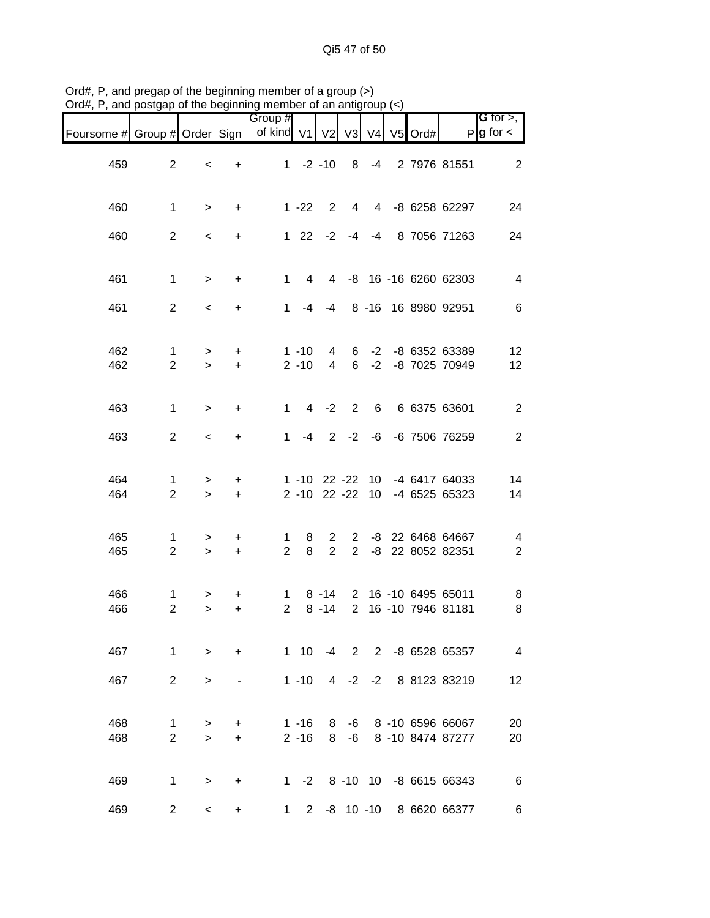Qi5 47 of 50

| $D$ iu#, r , and postyap or the beginning member or an antigroup $(\leq)$ |                                |             |                        |                                |                      |                                |                                |                 |         |                                                   |                                       |
|---------------------------------------------------------------------------|--------------------------------|-------------|------------------------|--------------------------------|----------------------|--------------------------------|--------------------------------|-----------------|---------|---------------------------------------------------|---------------------------------------|
| Foursome # Group # Order Sign                                             |                                |             |                        | Group #<br>of kind V1          |                      | V <sub>2</sub>                 |                                | V3 V4           | V5 Ord# |                                                   | G for $>$ ,<br>$P$ <b>g</b> for $\lt$ |
| 459                                                                       | $\overline{2}$                 | $\,<$       | +                      |                                | $1 -2 -10$           |                                | 8                              | $-4$            |         | 2 7976 81551                                      | $\overline{2}$                        |
| 460                                                                       | $\mathbf{1}$                   | $\,>$       | $\ddot{}$              |                                | $1 - 22$             | $\overline{2}$                 | $\overline{4}$                 |                 |         | 4 -8 6258 62297                                   | 24                                    |
| 460                                                                       | $\overline{2}$                 | $\prec$     | $\ddot{}$              |                                |                      | $122 -2 -4 -4$                 |                                |                 |         | 8 7056 71263                                      | 24                                    |
| 461                                                                       | $\mathbf{1}$                   | $\, > \,$   | +                      | $\mathbf{1}$                   | 4                    |                                |                                |                 |         | 4 -8 16 -16 6260 62303                            | $\overline{\mathbf{4}}$               |
| 461                                                                       | $\overline{2}$                 | $\,<\,$     | $\ddot{}$              | 1.                             | -4                   | -4                             |                                |                 |         | 8 -16 16 8980 92951                               | $6\phantom{1}6$                       |
| 462<br>462                                                                | $\mathbf{1}$<br>$\overline{2}$ | ><br>$\geq$ | +<br>$\ddot{}$         |                                | $1 - 10$<br>$2 - 10$ | 4<br>$\overline{4}$            | 6<br>6                         | $-2$            |         | -2 -8 6352 63389<br>-8 7025 70949                 | 12<br>12                              |
| 463                                                                       | $\mathbf{1}$                   | $\, > \,$   | +                      | $\mathbf{1}$                   |                      | $4 -2$                         | 2                              | $6\overline{6}$ |         | 6 6375 63601                                      | $\overline{c}$                        |
| 463                                                                       | $\overline{2}$                 | $\,<$       | $\ddot{}$              | $\mathbf{1}$                   | $-4$                 |                                | $2 -2$                         |                 |         | -6 -6 7506 76259                                  | $\mathbf{2}$                          |
| 464<br>464                                                                | $\mathbf{1}$<br>$\overline{2}$ | ><br>$\geq$ | $\ddot{}$<br>$\ddot{}$ |                                |                      | $2 - 10$ 22 $-22$              |                                |                 |         | 1 -10 22 -22 10 -4 6417 64033<br>10 -4 6525 65323 | 14<br>14                              |
| 465<br>465                                                                | $\mathbf{1}$<br>$\overline{2}$ | ><br>$\geq$ | +<br>$+$               | $\mathbf 1$<br>$\overline{2}$  | 8<br>8               | $\mathbf{2}$<br>$\overline{2}$ | $\mathbf{2}$<br>$\overline{2}$ |                 |         | -8 22 6468 64667<br>-8 22 8052 82351              | 4<br>$\overline{2}$                   |
| 466<br>466                                                                | $\mathbf{1}$<br>$\overline{2}$ | ><br>$\geq$ | +<br>+                 | $\mathbf{1}$<br>$\overline{2}$ |                      | $8 - 14$<br>$8 - 14$           | $\overline{2}$                 |                 |         | 2 16 -10 6495 65011<br>16 -10 7946 81181          | 8<br>8                                |
| 467                                                                       | $\mathbf{1}$                   | $\geq$      | $\ddot{}$              |                                |                      |                                |                                |                 |         | 1 10 -4 2 2 -8 6528 65357                         | $\overline{4}$                        |
| 467                                                                       | $\overline{2}$                 | >           |                        |                                | $1 - 10$             |                                | $4 -2$                         | $-2$            |         | 8 8123 83219                                      | 12                                    |
| 468<br>468                                                                | $\mathbf{1}$<br>$\overline{2}$ | ><br>$\geq$ | +<br>$\ddot{}$         |                                | $1 - 16$<br>$2 - 16$ | 8<br>8                         | -6<br>-6                       |                 |         | 8 -10 6596 66067<br>8 -10 8474 87277              | 20<br>20                              |
| 469                                                                       | $\mathbf{1}$                   | >           | $\ddot{}$              |                                |                      |                                |                                |                 |         | 1 -2 8 -10 10 -8 6615 66343                       | 6                                     |
| 469                                                                       | $\overline{2}$                 | $\,<$       | +                      | $1 \quad$                      |                      | 2 -8 10 -10                    |                                |                 |         | 8 6620 66377                                      | 6                                     |

Ord#, P, and pregap of the beginning member of a group (>) Ord#, P, and postgap of the beginning member of an antigroup (<)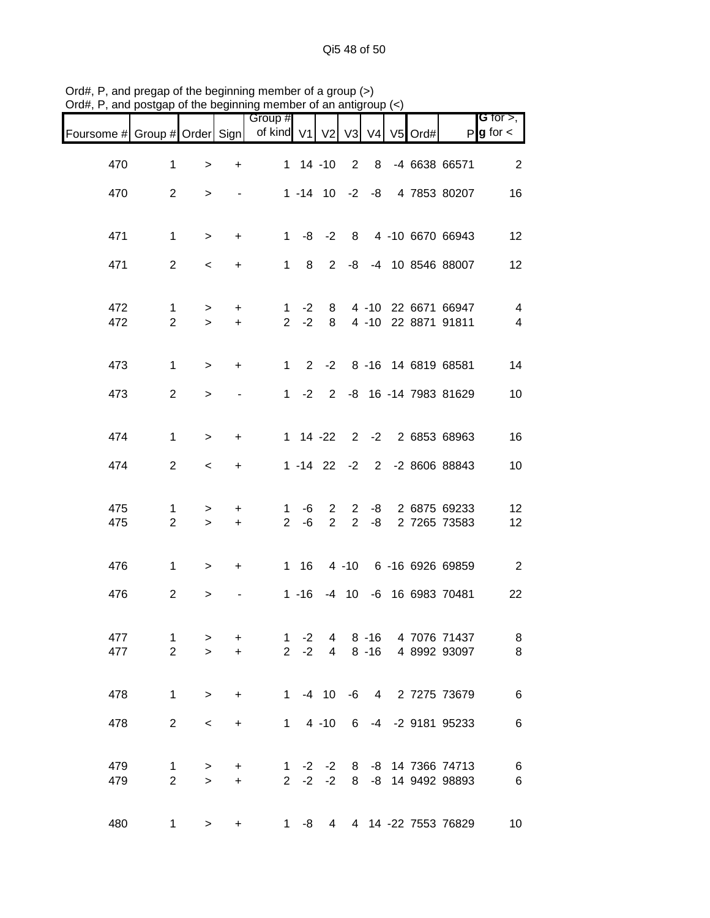Qi5 48 of 50

| $O$ of $H$ , $F$ , and posigap or the beginning member or an analytoup $(\leq)$ |                                |                     |                          |                       |                  |                                  |                               |                      |      |                                            |                                       |
|---------------------------------------------------------------------------------|--------------------------------|---------------------|--------------------------|-----------------------|------------------|----------------------------------|-------------------------------|----------------------|------|--------------------------------------------|---------------------------------------|
| Foursome # Group # Order Sign                                                   |                                |                     |                          | Group #<br>of kind V1 |                  | V <sub>2</sub>                   |                               | V3 V4 V5             | Ord# |                                            | <b>G</b> for $>$ ,<br>$P g$ for $\lt$ |
| 470                                                                             | $\mathbf 1$                    | $\, > \,$           | $\ddot{}$                |                       | $1 14 - 10$      |                                  | 2                             | 8                    |      | -4 6638 66571                              | $\overline{2}$                        |
| 470                                                                             | $\overline{2}$                 | $\geq$              | $\blacksquare$           |                       | $1 - 14$ 10 $-2$ |                                  |                               | -8                   |      | 4 7853 80207                               | 16                                    |
| 471                                                                             | 1                              | $\geq$              | $\ddot{}$                | $\mathbf 1$           | -8               | $-2$                             | 8                             |                      |      | 4 -10 6670 66943                           | 12                                    |
| 471                                                                             | 2                              | $\,<$               | $\ddot{}$                | $\mathbf{1}$          | 8                | $\mathbf{2}$                     |                               |                      |      | -8 -4 10 8546 88007                        | 12                                    |
| 472<br>472                                                                      | $\mathbf{1}$<br>$\overline{2}$ | ><br>$\geq$         | +<br>$\ddot{}$           | 1<br>$\overline{2}$   | $-2$<br>$-2$     | 8<br>8                           |                               |                      |      | 4 -10 22 6671 66947<br>4 -10 22 8871 91811 | 4<br>$\overline{4}$                   |
| 473                                                                             | $\mathbf 1$                    | $\, > \,$           | +                        | $\mathbf{1}$          |                  |                                  |                               |                      |      | 2 -2 8 -16 14 6819 68581                   | 14                                    |
| 473                                                                             | $\overline{2}$                 | $\, > \,$           | $\overline{\phantom{a}}$ | $\mathbf 1$           | $-2$             |                                  |                               |                      |      | 2 -8 16 -14 7983 81629                     | 10                                    |
| 474                                                                             | $\mathbf{1}$                   | $\geq$              | $\ddot{}$                |                       | $1 \t14 -22$     |                                  |                               | $2 -2$               |      | 2 6853 68963                               | 16                                    |
| 474                                                                             | $\overline{2}$                 | $\,<$               | $\ddot{}$                |                       | $1 - 14$ 22 $-2$ |                                  |                               |                      |      | 2 -2 8606 88843                            | 10                                    |
| 475<br>475                                                                      | $\mathbf 1$<br>$\overline{2}$  | ><br>$\geq$         | +<br>$\ddot{}$           | 1<br>$\overline{2}$   | -6<br>-6         | $\overline{2}$<br>$\overline{2}$ | 2<br>$\overline{2}$           | -8<br>-8             |      | 2 6875 69233<br>2 7265 73583               | 12<br>12                              |
| 476                                                                             | 1                              | $\, > \,$           | $\ddot{}$                |                       | 1 16             |                                  | $4 - 10$                      |                      |      | 6 -16 6926 69859                           | $\overline{2}$                        |
| 476                                                                             | $\overline{2}$                 | $\, > \,$           |                          |                       | $1 - 16$         |                                  | $-4$ 10                       |                      |      | -6 16 6983 70481                           | 22                                    |
| 477<br>477                                                                      | $\mathbf 1$<br>$\overline{2}$  | $\, > \,$<br>$\geq$ | +<br>$\ddot{}$           | $2^{\circ}$           | $1 -2$<br>$-2$   | 4                                |                               | 4 8 - 16<br>$8 - 16$ |      | 4 7076 71437<br>4 8992 93097               | 8<br>8                                |
| 478                                                                             | $\mathbf 1$                    | $\, > \,$           | $\ddot{}$                |                       |                  |                                  |                               |                      |      | 1 -4 10 -6 4 2 7275 73679                  | $\,6$                                 |
| 478                                                                             | $\overline{2}$                 | $\,<$               | $\ddot{}$                |                       | $1 4 - 10 6$     |                                  |                               |                      |      | -4 -2 9181 95233                           | 6                                     |
| 479<br>479                                                                      | $\mathbf{1}$<br>$\overline{2}$ | ><br>$\geq$         | +<br>$\ddot{}$           | 1<br>$\overline{2}$   |                  | $-2 -2$                          | $-2$ $-2$ 8<br>8 <sup>8</sup> |                      |      | -8 14 7366 74713<br>-8 14 9492 98893       | 6<br>$6\phantom{1}6$                  |
| 480                                                                             | $\mathbf 1$                    | $\, >$              | +                        | 1                     | -8               | 4                                |                               |                      |      | 4 14 -22 7553 76829                        | 10                                    |

Ord#, P, and pregap of the beginning member of a group (>) Ord#, P, and postgap of the beginning member of an antigroup (<)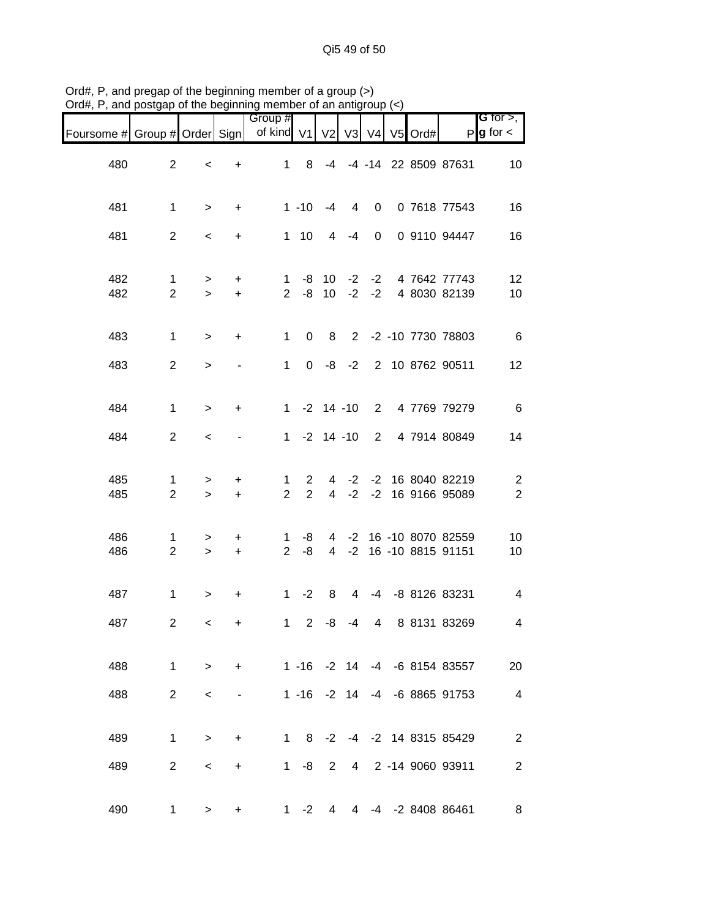Qi5 49 of 50

| $O(d\theta, r)$ , and posigap or the beginning member or an anily oup $(5)$ |                                |                     |                |                                |                                  |                     |                |                |               |                                           |                                           |
|-----------------------------------------------------------------------------|--------------------------------|---------------------|----------------|--------------------------------|----------------------------------|---------------------|----------------|----------------|---------------|-------------------------------------------|-------------------------------------------|
| Foursome # Group # Order Sign                                               |                                |                     |                | Group #<br>of kind V1 V2       |                                  |                     |                |                | V3 V4 V5 Ord# |                                           | G for $>$ ,<br>$P$ <b>g</b> for $\lt$     |
| 480                                                                         | $\overline{2}$                 | $\,<$               | $\ddot{}$      | $\mathbf{1}$                   | 8                                |                     |                |                |               | -4 -4 -14 22 8509 87631                   | 10                                        |
| 481                                                                         | $\mathbf{1}$                   | $\geq$              | $\ddot{}$      |                                | $1 - 10$                         | -4                  | $\overline{4}$ | $\mathbf 0$    |               | 0 7618 77543                              | 16                                        |
| 481                                                                         | $\overline{2}$                 | $\,<$               | $\ddot{}$      |                                | $1 \quad 10$                     | 4                   | -4             | $\overline{0}$ |               | 0 9110 94447                              | 16                                        |
| 482<br>482                                                                  | $\mathbf{1}$<br>$\overline{2}$ | $\, > \,$<br>$\geq$ | +<br>$\ddot{}$ | 1<br>$\overline{2}$            | -8<br>-8                         | 10<br>10            | $-2$<br>$-2$   | $-2$<br>$-2$   |               | 4 7642 77743<br>4 8030 82139              | 12<br>10                                  |
| 483                                                                         | $\mathbf 1$                    | $\,>$               | +              | $\mathbf 1$                    | 0                                | 8                   | $\overline{2}$ |                |               | -2 -10 7730 78803                         | $6\phantom{1}6$                           |
| 483                                                                         | $\overline{2}$                 | $\, > \,$           |                | $\mathbf{1}$                   |                                  |                     | $0 -8 -2$      |                |               | 2 10 8762 90511                           | 12                                        |
| 484                                                                         | $\mathbf{1}$                   | $\,>$               | $\ddot{}$      | $\mathbf{1}$                   |                                  | $-2$ 14 $-10$       |                | $2^{\circ}$    |               | 4 7769 79279                              | $\,6$                                     |
| 484                                                                         | $\overline{2}$                 | $\,<\,$             |                | $\mathbf 1$                    |                                  | $-2$ 14 $-10$       |                | $2^{\circ}$    |               | 4 7914 80849                              | 14                                        |
| 485<br>485                                                                  | 1<br>$\overline{2}$            | $\, > \,$<br>$\geq$ | +<br>$\ddot{}$ | $\mathbf{1}$<br>$\overline{2}$ | $\overline{2}$<br>$\overline{2}$ | $\overline{4}$      | $4 -2$<br>$-2$ |                |               | -2 16 8040 82219<br>-2 16 9166 95089      | $\overline{\mathbf{c}}$<br>$\overline{2}$ |
| 486<br>486                                                                  | $\mathbf 1$<br>$\overline{2}$  | ><br>$\geq$         | +<br>$\ddot{}$ | 1<br>$\overline{2}$            | -8<br>-8                         | 4<br>$\overline{4}$ | $-2$           |                |               | -2 16 -10 8070 82559<br>16 -10 8815 91151 | 10<br>10                                  |
| 487                                                                         | $\mathbf 1$                    | $\,>$               | +              | 1                              | $-2$                             | 8                   | 4              |                |               | -4 -8 8126 83231                          | 4                                         |
| 487                                                                         | $\overline{2}$                 | $\lt$               | $+$            |                                |                                  |                     |                |                |               | 1 2 -8 -4 4 8 8131 83269                  | 4                                         |
| 488                                                                         | $\mathbf{1}$                   | $\, >$              | $\ddot{}$      |                                |                                  |                     |                |                |               | 1 -16 -2 14 -4 -6 8154 83557              | 20                                        |
| 488                                                                         | $\overline{2}$                 | $\,<$               |                |                                |                                  |                     |                |                |               | 1 -16 -2 14 -4 -6 8865 91753              | $\overline{4}$                            |
| 489                                                                         | $\mathbf{1}$                   | $\, >$              | $\ddot{}$      |                                |                                  |                     |                |                |               | 1 8 -2 -4 -2 14 8315 85429                | $\sqrt{2}$                                |
| 489                                                                         | $\overline{2}$                 | $\,<$               | $\ddot{}$      |                                |                                  |                     |                |                |               | 1 -8 2 4 2 -14 9060 93911                 | $\overline{c}$                            |
| 490                                                                         | $\mathbf{1}$                   | $\, >$              | $\pmb{+}$      | 1                              | $-2$                             | 4                   | 4              |                |               | -4 -2 8408 86461                          | $\,8\,$                                   |

Ord#, P, and pregap of the beginning member of a group (>) Ord#, P, and postgap of the beginning member of an antigroup (<)